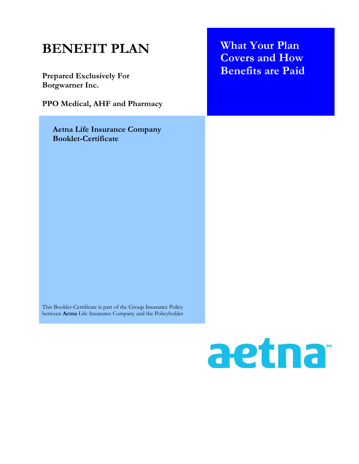# **BENEFIT PLAN Prepared Exclusively For Borgwarner Inc. PPO Medical, AHF and Pharmacy What Your Plan Covers and How Benefits are Paid Aetna Life Insurance Company Booklet-Certificate**  This Booklet-Certificate is part of the Group Insurance Policy between **Aetna** Life Insurance Company and the Policyholder

# aetna<sup>®</sup>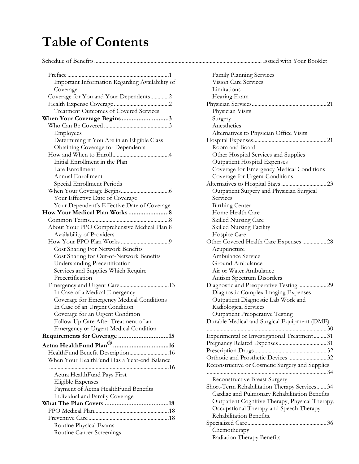# **Table of Contents**

Schedule of Benefits ....................................................................................................................... Issued with Your Booklet

| Important Information Regarding Availability of         |
|---------------------------------------------------------|
| Coverage                                                |
| Coverage for You and Your Dependents2                   |
|                                                         |
| <b>Treatment Outcomes of Covered Services</b>           |
| When Your Coverage Begins3                              |
|                                                         |
| Employees                                               |
| Determining if You Are in an Eligible Class             |
| <b>Obtaining Coverage for Dependents</b>                |
|                                                         |
| Initial Enrollment in the Plan                          |
| Late Enrollment                                         |
| Annual Enrollment                                       |
| Special Enrollment Periods                              |
|                                                         |
| Your Effective Date of Coverage                         |
|                                                         |
| Your Dependent's Effective Date of Coverage             |
|                                                         |
| About Your PPO Comprehensive Medical Plan.8             |
| Availability of Providers                               |
|                                                         |
|                                                         |
| Cost Sharing For Network Benefits                       |
| Cost Sharing for Out-of-Network Benefits                |
| Understanding Precertification                          |
| Services and Supplies Which Require<br>Precertification |
|                                                         |
|                                                         |
| In Case of a Medical Emergency                          |
| Coverage for Emergency Medical Conditions               |
| In Case of an Urgent Condition                          |
| Coverage for an Urgent Condition                        |
| Follow-Up Care After Treatment of an                    |
| <b>Emergency or Urgent Medical Condition</b>            |
| Requirements for Coverage 15                            |
|                                                         |
| HealthFund Benefit Description16                        |
| When Your HealthFund Has a Year-end Balance             |
|                                                         |
| Aetna HealthFund Pays First                             |
| Eligible Expenses                                       |
| Payment of Aetna HealthFund Benefits                    |
| Individual and Family Coverage                          |
|                                                         |
|                                                         |
|                                                         |
| Routine Physical Exams                                  |
| Routine Cancer Screenings                               |

| Issued with Your Booklet                        |
|-------------------------------------------------|
|                                                 |
| Family Planning Services                        |
| <b>Vision Care Services</b>                     |
| Limitations                                     |
| Hearing Exam                                    |
|                                                 |
| Physician Visits                                |
| Surgery                                         |
| Anesthetics                                     |
| Alternatives to Physician Office Visits         |
|                                                 |
| Room and Board                                  |
| Other Hospital Services and Supplies            |
| <b>Outpatient Hospital Expenses</b>             |
| Coverage for Emergency Medical Conditions       |
| Coverage for Urgent Conditions                  |
|                                                 |
| Outpatient Surgery and Physician Surgical       |
| Services                                        |
| <b>Birthing Center</b>                          |
| Home Health Care                                |
| Skilled Nursing Care                            |
| Skilled Nursing Facility                        |
| Hospice Care                                    |
| Other Covered Health Care Expenses  28          |
| Acupuncture                                     |
| Ambulance Service                               |
| <b>Ground Ambulance</b>                         |
| Air or Water Ambulance                          |
| <b>Autism Spectrum Disorders</b>                |
|                                                 |
| Diagnostic Complex Imaging Expenses             |
| Outpatient Diagnostic Lab Work and              |
| Radiological Services                           |
| <b>Outpatient Preoperative Testing</b>          |
| Durable Medical and Surgical Equipment (DME)    |
| 30                                              |
| Experimental or Investigational Treatment 31    |
|                                                 |
|                                                 |
|                                                 |
| Reconstructive or Cosmetic Surgery and Supplies |
|                                                 |
| Reconstructive Breast Surgery                   |
| Short-Term Rehabilitation Therapy Services 34   |
| Cardiac and Pulmonary Rehabilitation Benefits   |
| Outpatient Cognitive Therapy, Physical Therapy, |
| Occupational Therapy and Speech Therapy         |
| Rehabilitation Benefits.                        |
|                                                 |
| Chemotherapy                                    |
| Radiation Therapy Benefits                      |
|                                                 |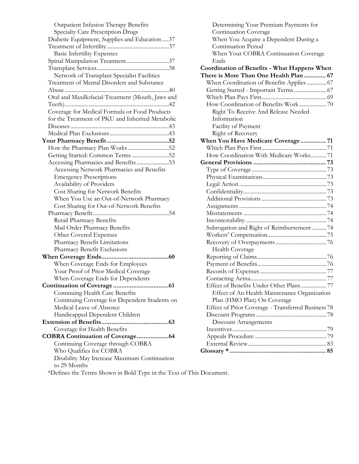| Outpatient Infusion Therapy Benefits              |
|---------------------------------------------------|
| Specialty Care Prescription Drugs                 |
| Diabetic Equipment, Supplies and Education37      |
|                                                   |
| <b>Basic Infertility Expenses</b>                 |
| Spinal Manipulation Treatment37                   |
|                                                   |
| Network of Transplant Specialist Facilities       |
| Treatment of Mental Disorders and Substance       |
|                                                   |
| Oral and Maxillofacial Treatment (Mouth, Jaws and |
|                                                   |
| Coverage for Medical Formula or Food Products     |
| for the Treatment of PKU and Inherited Metabolic  |
|                                                   |
|                                                   |
|                                                   |
|                                                   |
| Getting Started: Common Terms 52                  |
| Accessing Pharmacies and Benefits53               |
| Accessing Network Pharmacies and Benefits         |
| <b>Emergency Prescriptions</b>                    |
| Availability of Providers                         |
| Cost Sharing for Network Benefits                 |
| When You Use an Out-of-Network Pharmacy           |
| Cost Sharing for Out-of-Network Benefits          |
|                                                   |
| Retail Pharmacy Benefits                          |
| Mail Order Pharmacy Benefits                      |
| Other Covered Expenses                            |
| Pharmacy Benefit Limitations                      |
| Pharmacy Benefit Exclusions                       |
|                                                   |
| When Coverage Ends for Employees                  |
| Your Proof of Prior Medical Coverage              |
| When Coverage Ends for Dependents                 |
|                                                   |
| Continuing Health Care Benefits                   |
| Continuing Coverage for Dependent Students on     |
| Medical Leave of Absence                          |
| Handicapped Dependent Children                    |
|                                                   |
| Coverage for Health Benefits                      |
| COBRA Continuation of Coverage64                  |
| Continuing Coverage through COBRA                 |
| Who Qualifies for COBRA                           |
| Disability May Increase Maximum Continuation      |
| to 29 Months                                      |
| *Defines the Terms Shown in Bold Type in the Text |

| Determining Your Premium Payments for               |  |
|-----------------------------------------------------|--|
| Continuation Coverage                               |  |
| When You Acquire a Dependent During a               |  |
| Continuation Period                                 |  |
| When Your COBRA Continuation Coverage               |  |
| Ends                                                |  |
| <b>Coordination of Benefits - What Happens When</b> |  |
| There is More Than One Health Plan  67              |  |
| When Coordination of Benefits Applies 67            |  |
|                                                     |  |
|                                                     |  |
| How Coordination of Benefits Work 70                |  |
| Right To Receive And Release Needed                 |  |
| Information                                         |  |
| Facility of Payment                                 |  |
| Right of Recovery                                   |  |
| When You Have Medicare Coverage 71                  |  |
|                                                     |  |
| How Coordination With Medicare Works71              |  |
|                                                     |  |
|                                                     |  |
|                                                     |  |
|                                                     |  |
|                                                     |  |
|                                                     |  |
|                                                     |  |
|                                                     |  |
|                                                     |  |
| Subrogation and Right of Reimbursement 74           |  |
|                                                     |  |
|                                                     |  |
| Health Coverage                                     |  |
|                                                     |  |
|                                                     |  |
|                                                     |  |
|                                                     |  |
| Effect of Benefits Under Other Plans 77             |  |
| Effect of An Health Maintenance Organization        |  |
| Plan (HMO Plan) On Coverage                         |  |
| Effect of Prior Coverage - Transferred Business 78  |  |
|                                                     |  |
| <b>Discount Arrangements</b>                        |  |
|                                                     |  |
|                                                     |  |
|                                                     |  |
|                                                     |  |
|                                                     |  |

\*Defines the Terms Shown in Bold Type in the Text of This Document.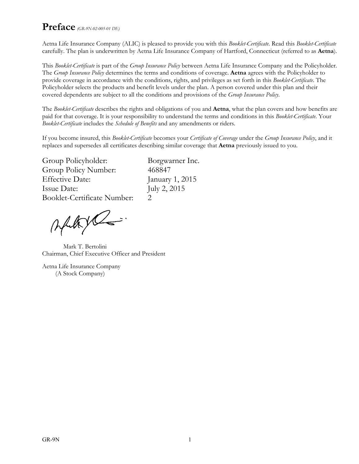### **Preface** *(GR-9N-02-005-01 DE)*

Aetna Life Insurance Company (ALIC) is pleased to provide you with this *Booklet-Certificate*. Read this *Booklet-Certificate* carefully. The plan is underwritten by Aetna Life Insurance Company of Hartford, Connecticut (referred to as **Aetna**).

This *Booklet-Certificate* is part of the *Group Insurance Policy* between Aetna Life Insurance Company and the Policyholder. The *Group Insurance Policy* determines the terms and conditions of coverage. **Aetna** agrees with the Policyholder to provide coverage in accordance with the conditions, rights, and privileges as set forth in this *Booklet-Certificate*. The Policyholder selects the products and benefit levels under the plan. A person covered under this plan and their covered dependents are subject to all the conditions and provisions of the *Group Insurance Policy*.

The *Booklet-Certificate* describes the rights and obligations of you and **Aetna**, what the plan covers and how benefits are paid for that coverage. It is your responsibility to understand the terms and conditions in this *Booklet-Certificate*. Your *Booklet-Certificate* includes the *Schedule of Benefits* and any amendments or riders.

If you become insured, this *Booklet-Certificate* becomes your *Certificate of Coverage* under the *Group Insurance Policy*, and it replaces and supersedes all certificates describing similar coverage that **Aetna** previously issued to you.

Group Policyholder: Borgwarner Inc. Group Policy Number: 468847 Effective Date: January 1, 2015 Issue Date: July 2, 2015 Booklet-Certificate Number: 2

Ally Co.

Mark T. Bertolini Chairman, Chief Executive Officer and President

Aetna Life Insurance Company (A Stock Company)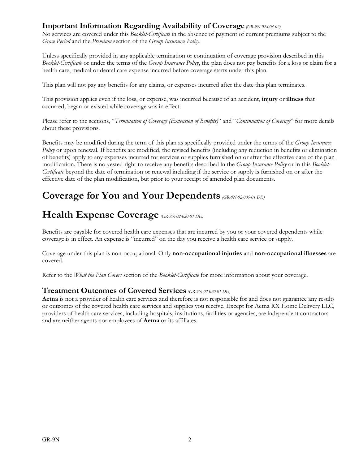#### **Important Information Regarding Availability of Coverage** *(GR-9N 02-005 02)*

No services are covered under this *Booklet-Certificate* in the absence of payment of current premiums subject to the *Grace Period* and the *Premium* section of the *Group Insurance Policy*.

Unless specifically provided in any applicable termination or continuation of coverage provision described in this *Booklet-Certificate* or under the terms of the *Group Insurance Policy*, the plan does not pay benefits for a loss or claim for a health care, medical or dental care expense incurred before coverage starts under this plan.

This plan will not pay any benefits for any claims, or expenses incurred after the date this plan terminates.

This provision applies even if the loss, or expense, was incurred because of an accident, **injury** or **illness** that occurred, began or existed while coverage was in effect.

Please refer to the sections, "*Termination of Coverage (Extension of Benefits)*" and "*Continuation of Coverage*" for more details about these provisions.

Benefits may be modified during the term of this plan as specifically provided under the terms of the *Group Insurance Policy* or upon renewal. If benefits are modified, the revised benefits (including any reduction in benefits or elimination of benefits) apply to any expenses incurred for services or supplies furnished on or after the effective date of the plan modification. There is no vested right to receive any benefits described in the *Group Insurance Policy* or in this *Booklet-Certificate* beyond the date of termination or renewal including if the service or supply is furnished on or after the effective date of the plan modification, but prior to your receipt of amended plan documents.

# **Coverage for You and Your Dependents** *(GR-9N-02-005-01 DE)*

# **Health Expense Coverage** *(GR-9N-02-020-01 DE)*

Benefits are payable for covered health care expenses that are incurred by you or your covered dependents while coverage is in effect. An expense is "incurred" on the day you receive a health care service or supply.

Coverage under this plan is non-occupational. Only **non-occupational injuries** and **non-occupational illnesses** are covered.

Refer to the *What the Plan Covers* section of the *Booklet-Certificate* for more information about your coverage.

#### **Treatment Outcomes of Covered Services** *(GR-9N-02-020-01 DE)*

**Aetna** is not a provider of health care services and therefore is not responsible for and does not guarantee any results or outcomes of the covered health care services and supplies you receive. Except for Aetna RX Home Delivery LLC, providers of health care services, including hospitals, institutions, facilities or agencies, are independent contractors and are neither agents nor employees of **Aetna** or its affiliates.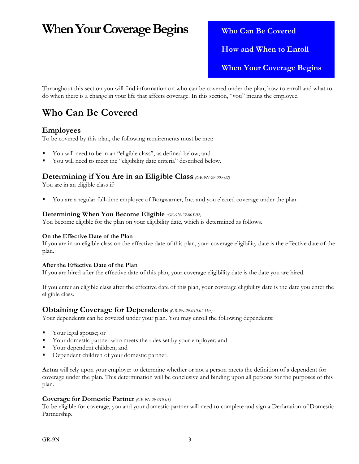# **When Your Coverage Begins** Who Can Be Covered

 **How and When to Enroll When Your Coverage Begins** 

Throughout this section you will find information on who can be covered under the plan, how to enroll and what to do when there is a change in your life that affects coverage. In this section, "you" means the employee.

# **Who Can Be Covered**

#### **Employees**

To be covered by this plan, the following requirements must be met:

- You will need to be in an "eligible class", as defined below; and
- You will need to meet the "eligibility date criteria" described below.

#### **Determining if You Are in an Eligible Class** *(GR-9N-29-005-02)*

You are in an eligible class if:

You are a regular full-time employee of Borgwarner, Inc. and you elected coverage under the plan.

#### **Determining When You Become Eligible** *(GR-9N-29-005-02)*

You become eligible for the plan on your eligibility date, which is determined as follows.

#### **On the Effective Date of the Plan**

If you are in an eligible class on the effective date of this plan, your coverage eligibility date is the effective date of the plan.

#### **After the Effective Date of the Plan**

If you are hired after the effective date of this plan, your coverage eligibility date is the date you are hired.

If you enter an eligible class after the effective date of this plan, your coverage eligibility date is the date you enter the eligible class.

#### **Obtaining Coverage for Dependents** *(GR-9N-29-010-02 DE)*

Your dependents can be covered under your plan. You may enroll the following dependents:

- Your legal spouse; or
- Your domestic partner who meets the rules set by your employer; and
- Your dependent children; and
- Dependent children of your domestic partner.

**Aetna** will rely upon your employer to determine whether or not a person meets the definition of a dependent for coverage under the plan. This determination will be conclusive and binding upon all persons for the purposes of this plan.

#### **Coverage for Domestic Partner** *(GR-9N 29-010 01)*

To be eligible for coverage, you and your domestic partner will need to complete and sign a Declaration of Domestic Partnership.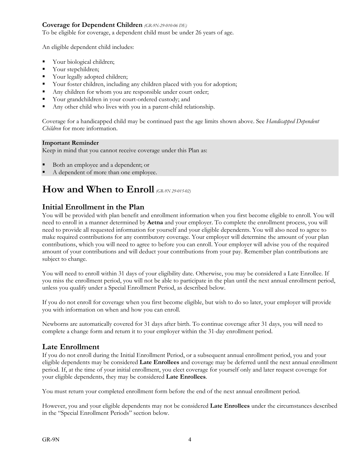#### **Coverage for Dependent Children** *(GR-9N-29-010-06 DE)*

To be eligible for coverage, a dependent child must be under 26 years of age.

An eligible dependent child includes:

- Your biological children;
- Vour stepchildren;
- Your legally adopted children;
- Your foster children, including any children placed with you for adoption;
- Any children for whom you are responsible under court order;
- Your grandchildren in your court-ordered custody; and
- Any other child who lives with you in a parent-child relationship.

Coverage for a handicapped child may be continued past the age limits shown above. See *Handicapped Dependent Children* for more information.

#### **Important Reminder**

Keep in mind that you cannot receive coverage under this Plan as:

- Both an employee and a dependent; or
- A dependent of more than one employee.

# **How and When to Enroll** *(GR-9N 29-015-02)*

#### **Initial Enrollment in the Plan**

You will be provided with plan benefit and enrollment information when you first become eligible to enroll. You will need to enroll in a manner determined by **Aetna** and your employer. To complete the enrollment process, you will need to provide all requested information for yourself and your eligible dependents. You will also need to agree to make required contributions for any contributory coverage. Your employer will determine the amount of your plan contributions, which you will need to agree to before you can enroll. Your employer will advise you of the required amount of your contributions and will deduct your contributions from your pay. Remember plan contributions are subject to change.

You will need to enroll within 31 days of your eligibility date. Otherwise, you may be considered a Late Enrollee. If you miss the enrollment period, you will not be able to participate in the plan until the next annual enrollment period, unless you qualify under a Special Enrollment Period, as described below.

If you do not enroll for coverage when you first become eligible, but wish to do so later, your employer will provide you with information on when and how you can enroll.

Newborns are automatically covered for 31 days after birth. To continue coverage after 31 days, you will need to complete a change form and return it to your employer within the 31-day enrollment period.

#### **Late Enrollment**

If you do not enroll during the Initial Enrollment Period, or a subsequent annual enrollment period, you and your eligible dependents may be considered **Late Enrollees** and coverage may be deferred until the next annual enrollment period. If, at the time of your initial enrollment, you elect coverage for yourself only and later request coverage for your eligible dependents, they may be considered **Late Enrollees**.

You must return your completed enrollment form before the end of the next annual enrollment period.

However, you and your eligible dependents may not be considered **Late Enrollees** under the circumstances described in the "Special Enrollment Periods" section below.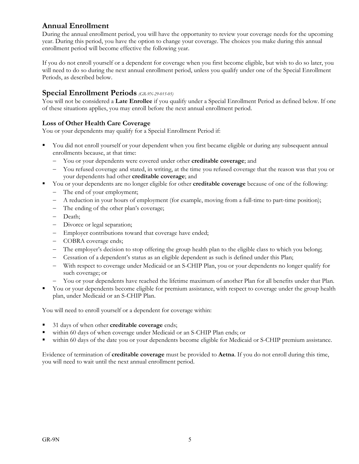#### **Annual Enrollment**

During the annual enrollment period, you will have the opportunity to review your coverage needs for the upcoming year. During this period, you have the option to change your coverage. The choices you make during this annual enrollment period will become effective the following year.

If you do not enroll yourself or a dependent for coverage when you first become eligible, but wish to do so later, you will need to do so during the next annual enrollment period, unless you qualify under one of the Special Enrollment Periods, as described below.

#### **Special Enrollment Periods** *(GR-9N-29-015-05)*

You will not be considered a **Late Enrollee** if you qualify under a Special Enrollment Period as defined below. If one of these situations applies, you may enroll before the next annual enrollment period.

#### **Loss of Other Health Care Coverage**

You or your dependents may qualify for a Special Enrollment Period if:

- You did not enroll yourself or your dependent when you first became eligible or during any subsequent annual enrollments because, at that time:
	- You or your dependents were covered under other **creditable coverage**; and
	- You refused coverage and stated, in writing, at the time you refused coverage that the reason was that you or your dependents had other **creditable coverage**; and
- You or your dependents are no longer eligible for other **creditable coverage** because of one of the following:
	- The end of your employment;
	- A reduction in your hours of employment (for example, moving from a full-time to part-time position);
	- The ending of the other plan's coverage;
	- Death;
	- Divorce or legal separation;
	- Employer contributions toward that coverage have ended;
	- COBRA coverage ends;
	- The employer's decision to stop offering the group health plan to the eligible class to which you belong;
	- Cessation of a dependent's status as an eligible dependent as such is defined under this Plan;
	- With respect to coverage under Medicaid or an S-CHIP Plan, you or your dependents no longer qualify for such coverage; or
	- You or your dependents have reached the lifetime maximum of another Plan for all benefits under that Plan.
- You or your dependents become eligible for premium assistance, with respect to coverage under the group health plan, under Medicaid or an S-CHIP Plan.

You will need to enroll yourself or a dependent for coverage within:

- 31 days of when other **creditable coverage** ends;
- within 60 days of when coverage under Medicaid or an S-CHIP Plan ends; or
- within 60 days of the date you or your dependents become eligible for Medicaid or S-CHIP premium assistance.

Evidence of termination of **creditable coverage** must be provided to **Aetna**. If you do not enroll during this time, you will need to wait until the next annual enrollment period.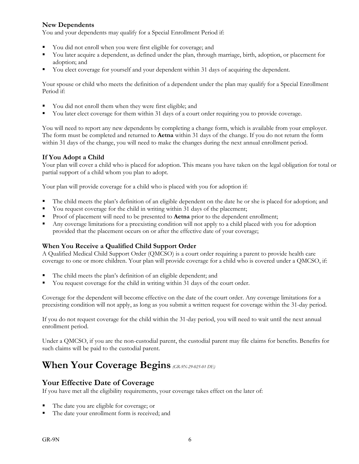#### **New Dependents**

You and your dependents may qualify for a Special Enrollment Period if:

- You did not enroll when you were first eligible for coverage; and
- You later acquire a dependent, as defined under the plan, through marriage, birth, adoption, or placement for adoption; and
- You elect coverage for yourself and your dependent within 31 days of acquiring the dependent.

Your spouse or child who meets the definition of a dependent under the plan may qualify for a Special Enrollment Period if:

- You did not enroll them when they were first eligible; and
- You later elect coverage for them within 31 days of a court order requiring you to provide coverage.

You will need to report any new dependents by completing a change form, which is available from your employer. The form must be completed and returned to **Aetna** within 31 days of the change. If you do not return the form within 31 days of the change, you will need to make the changes during the next annual enrollment period.

#### **If You Adopt a Child**

Your plan will cover a child who is placed for adoption. This means you have taken on the legal obligation for total or partial support of a child whom you plan to adopt.

Your plan will provide coverage for a child who is placed with you for adoption if:

- The child meets the plan's definition of an eligible dependent on the date he or she is placed for adoption; and
- You request coverage for the child in writing within 31 days of the placement;
- Proof of placement will need to be presented to **Aetna** prior to the dependent enrollment;
- Any coverage limitations for a preexisting condition will not apply to a child placed with you for adoption provided that the placement occurs on or after the effective date of your coverage;

#### **When You Receive a Qualified Child Support Order**

A Qualified Medical Child Support Order (QMCSO) is a court order requiring a parent to provide health care coverage to one or more children. Your plan will provide coverage for a child who is covered under a QMCSO, if:

- The child meets the plan's definition of an eligible dependent; and
- You request coverage for the child in writing within 31 days of the court order.

Coverage for the dependent will become effective on the date of the court order. Any coverage limitations for a preexisting condition will not apply, as long as you submit a written request for coverage within the 31-day period.

If you do not request coverage for the child within the 31-day period, you will need to wait until the next annual enrollment period.

Under a QMCSO, if you are the non-custodial parent, the custodial parent may file claims for benefits. Benefits for such claims will be paid to the custodial parent.

# **When Your Coverage Begins** *(GR-9N-29-025-01 DE)*

#### **Your Effective Date of Coverage**

If you have met all the eligibility requirements, your coverage takes effect on the later of:

- The date you are eligible for coverage; or
- The date your enrollment form is received; and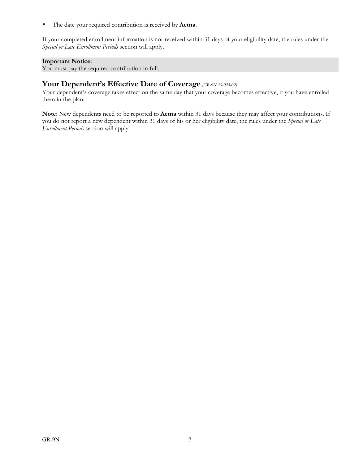The date your required contribution is received by **Aetna**.

If your completed enrollment information is not received within 31 days of your eligibility date, the rules under the *Special or Late Enrollment Periods* section will apply.

#### **Important Notice:**

You must pay the required contribution in full.

#### **Your Dependent's Effective Date of Coverage** *(GR-9N 29-025-02)*

Your dependent's coverage takes effect on the same day that your coverage becomes effective, if you have enrolled them in the plan.

**Note**: New dependents need to be reported to **Aetna** within 31 days because they may affect your contributions. If you do not report a new dependent within 31 days of his or her eligibility date, the rules under the *Special or Late Enrollment Periods* section will apply.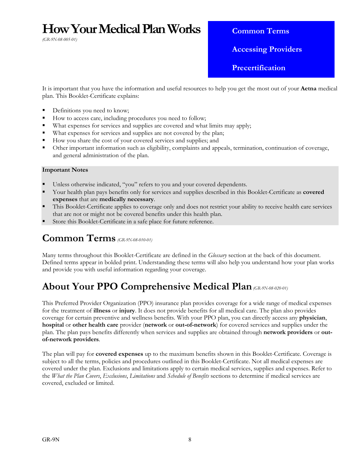# **How Your Medical Plan Works**

*(GR-9N-08-005-01)*

**Common Terms** 

 **Accessing Providers** 

 **Precertification** 

It is important that you have the information and useful resources to help you get the most out of your **Aetna** medical plan. This Booklet-Certificate explains:

- Definitions you need to know;
- How to access care, including procedures you need to follow;
- What expenses for services and supplies are covered and what limits may apply;
- What expenses for services and supplies are not covered by the plan;
- How you share the cost of your covered services and supplies; and
- Other important information such as eligibility, complaints and appeals, termination, continuation of coverage, and general administration of the plan.

#### **Important Notes**

- Unless otherwise indicated, "you" refers to you and your covered dependents.
- Your health plan pays benefits only for services and supplies described in this Booklet-Certificate as **covered expenses** that are **medically necessary**.
- This Booklet-Certificate applies to coverage only and does not restrict your ability to receive health care services that are not or might not be covered benefits under this health plan.
- Store this Booklet-Certificate in a safe place for future reference.

### **Common Terms** *(GR-9N-08-010-01)*

Many terms throughout this Booklet-Certificate are defined in the *Glossary* section at the back of this document. Defined terms appear in bolded print. Understanding these terms will also help you understand how your plan works and provide you with useful information regarding your coverage.

### **About Your PPO Comprehensive Medical Plan***(GR-9N-08-020-01)*

This Preferred Provider Organization (PPO) insurance plan provides coverage for a wide range of medical expenses for the treatment of **illness** or **injury**. It does not provide benefits for all medical care. The plan also provides coverage for certain preventive and wellness benefits. With your PPO plan, you can directly access any **physician**, **hospital** or **other health care** provider (**network** or **out-of-network**) for covered services and supplies under the plan. The plan pays benefits differently when services and supplies are obtained through **network providers** or **outof-network providers**.

The plan will pay for **covered expenses** up to the maximum benefits shown in this Booklet-Certificate. Coverage is subject to all the terms, policies and procedures outlined in this Booklet-Certificate. Not all medical expenses are covered under the plan. Exclusions and limitations apply to certain medical services, supplies and expenses. Refer to the *What the Plan Covers*, *Exclusions*, *Limitations* and *Schedule of Benefits* sections to determine if medical services are covered, excluded or limited.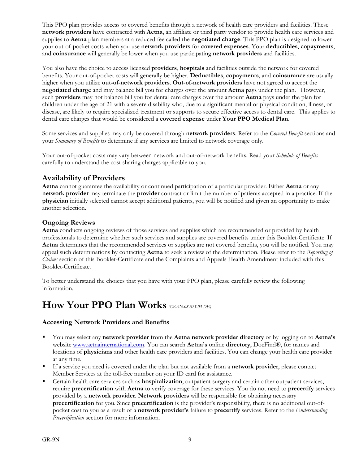This PPO plan provides access to covered benefits through a network of health care providers and facilities. These **network providers** have contracted with **Aetna**, an affiliate or third party vendor to provide health care services and supplies to **Aetna** plan members at a reduced fee called the **negotiated charge**. This PPO plan is designed to lower your out-of-pocket costs when you use **network providers** for **covered expenses**. Your **deductibles**, **copayments**, and **coinsurance** will generally be lower when you use participating **network providers** and facilities.

You also have the choice to access licensed **providers**, **hospitals** and facilities outside the network for covered benefits. Your out-of-pocket costs will generally be higher. **Deductibles**, **copayments**, and **coinsurance** are usually higher when you utilize **out-of-network providers**. **Out-of-network providers** have not agreed to accept the **negotiated charge** and may balance bill you for charges over the amount **Aetna** pays under the plan. However, such **providers** may not balance bill you for dental care charges over the amount **Aetna** pays under the plan for children under the age of 21 with a severe disability who, due to a significant mental or physical condition, illness, or disease, are likely to require specialized treatment or supports to secure effective access to dental care. This applies to dental care charges that would be considered a **covered expense** under **Your PPO Medical Plan**.

Some services and supplies may only be covered through **network providers**. Refer to the *Covered Benefit* sections and your *Summary of Benefits* to determine if any services are limited to network coverage only.

Your out-of-pocket costs may vary between network and out-of-network benefits. Read your *Schedule of Benefits* carefully to understand the cost sharing charges applicable to you.

#### **Availability of Providers**

**Aetna** cannot guarantee the availability or continued participation of a particular provider. Either **Aetna** or any **network provider** may terminate the **provider** contract or limit the number of patients accepted in a practice. If the **physician** initially selected cannot accept additional patients, you will be notified and given an opportunity to make another selection.

#### **Ongoing Reviews**

**Aetna** conducts ongoing reviews of those services and supplies which are recommended or provided by health professionals to determine whether such services and supplies are covered benefits under this Booklet-Certificate. If **Aetna** determines that the recommended services or supplies are not covered benefits, you will be notified. You may appeal such determinations by contacting **Aetna** to seek a review of the determination. Please refer to the *Reporting of Claims* section of this Booklet-Certificate and the Complaints and Appeals Health Amendment included with this Booklet-Certificate.

To better understand the choices that you have with your PPO plan, please carefully review the following information.

# **How Your PPO Plan Works** *(GR-9N-08-025-03 DE)*

#### **Accessing Network Providers and Benefits**

- You may select any **network provider** from the **Aetna network provider directory** or by logging on to **Aetna's** website www.aetnainternational.com. You can search **Aetna's** online **directory**, DocFind®, for names and locations of **physicians** and other health care providers and facilities. You can change your health care provider at any time.
- If a service you need is covered under the plan but not available from a **network provider**, please contact Member Services at the toll-free number on your ID card for assistance.
- Certain health care services such as **hospitalization**, outpatient surgery and certain other outpatient services, require **precertification** with **Aetna** to verify coverage for these services. You do not need to **precertify** services provided by a **network provider**. **Network providers** will be responsible for obtaining necessary **precertification** for you. Since **precertification** is the provider's responsibility, there is no additional out-ofpocket cost to you as a result of a **network provider's** failure to **precertify** services. Refer to the *Understanding Precertification* section for more information.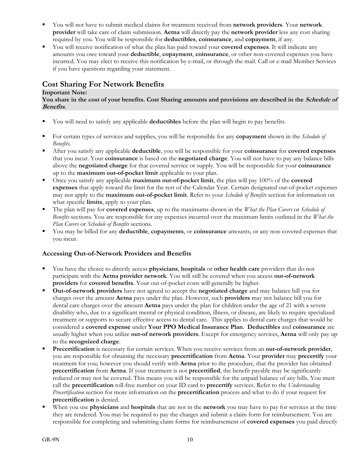- You will not have to submit medical claims for treatment received from **network providers**. Your **network provider** will take care of claim submission. **Aetna** will directly pay the **network provider** less any cost sharing required by you. You will be responsible for **deductibles**, **coinsurance**, and **copayment**, if any.
- You will receive notification of what the plan has paid toward your **covered expenses**. It will indicate any amounts you owe toward your **deductible**, **copayment**, **coinsurance**, or other non-covered expenses you have incurred. You may elect to receive this notification by e-mail, or through the mail. Call or e-mail Member Services if you have questions regarding your statement.

#### **Cost Sharing For Network Benefits**

#### **Important Note:**

#### You share in the cost of your benefits. Cost Sharing amounts and provisions are described in the *Schedule of* **Benefits**.

- You will need to satisfy any applicable **deductibles** before the plan will begin to pay benefits.
- For certain types of services and supplies, you will be responsible for any **copayment** shown in the *Schedule of Benefits*.
- After you satisfy any applicable **deductible**, you will be responsible for your **coinsurance** for **covered expenses** that you incur. Your **coinsurance** is based on the **negotiated charge**. You will not have to pay any balance bills above the **negotiated charge** for that covered service or supply. You will be responsible for your **coinsurance** up to the **maximum out-of-pocket limit** applicable to your plan.
- Once you satisfy any applicable **maximum out-of-pocket limit**, the plan will pay 100% of the **covered expenses** that apply toward the limit for the rest of the Calendar Year. Certain designated out-of-pocket expenses may not apply to the **maximum out-of-pocket limit**. Refer to your *Schedule of Benefits* section for information on what specific **limits**, apply to your plan.
- The plan will pay for **covered expenses**, up to the maximums shown in the *What the Plan Covers* or *Schedule of Benefits* sections. You are responsible for any expenses incurred over the maximum limits outlined in the *What the Plan Covers* or *Schedule of Benefits* sections.
- You may be billed for any **deductible**, **copayments**, or **coinsurance** amounts, or any non-covered expenses that you incur.

#### **Accessing Out-of-Network Providers and Benefits**

- You have the choice to directly access **physicians**, **hospitals** or **other health care** providers that do not participate with the **Aetna provider network**. You will still be covered when you access **out-of-network providers** for **covered benefits**. Your out-of-pocket costs will generally be higher.
- **Out-of-network providers** have not agreed to accept the **negotiated charge** and may balance bill you for charges over the amount **Aetna** pays under the plan. However, such **providers** may not balance bill you for dental care charges over the amount **Aetna** pays under the plan for children under the age of 21 with a severe disability who, due to a significant mental or physical condition, illness, or disease, are likely to require specialized treatment or supports to secure effective access to dental care. This applies to dental care charges that would be considered a **covered expense** under **Your PPO Medical Insurance Plan**. **Deductibles** and **coinsurance** are usually higher when you utilize **out-of network providers**. Except for emergency services, **Aetna** will only pay up to the **recognized charge**.
- **Precertification** is necessary for certain services. When you receive services from an **out-of-network provider**, you are responsible for obtaining the necessary **precertification** from **Aetna**. Your **provider** may **precertify** your treatment for you; however you should verify with **Aetna** prior to the procedure, that the provider has obtained **precertification** from **Aetna**. If your treatment is not **precertified**, the benefit payable may be significantly reduced or may not be covered. This means you will be responsible for the unpaid balance of any bills. You must call the **precertification** toll-free number on your ID card to **precertify** services. Refer to the *Understanding Precertification* section for more information on the **precertification** process and what to do if your request for **precertification** is denied.
- When you use **physicians** and **hospitals** that are not in the **network** you may have to pay for services at the time they are rendered. You may be required to pay the charges and submit a claim form for reimbursement. You are responsible for completing and submitting claim forms for reimbursement of **covered expenses** you paid directly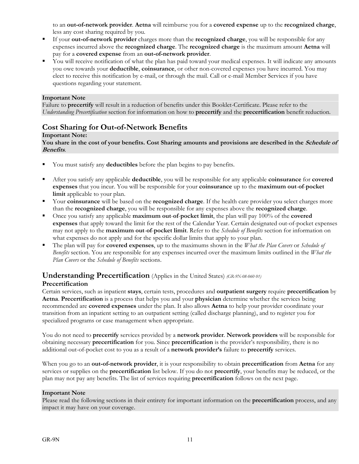to an **out-of-network provider**. **Aetna** will reimburse you for a **covered expense** up to the **recognized charge**, less any cost sharing required by you.

- If your **out-of-network provider** charges more than the **recognized charge**, you will be responsible for any expenses incurred above the **recognized charge**. The **recognized charge** is the maximum amount **Aetna** will pay for a **covered expense** from an **out-of-network provider**.
- You will receive notification of what the plan has paid toward your medical expenses. It will indicate any amounts you owe towards your **deductible**, **coinsurance**, or other non-covered expenses you have incurred. You may elect to receive this notification by e-mail, or through the mail. Call or e-mail Member Services if you have questions regarding your statement.

#### **Important Note**

Failure to **precertify** will result in a reduction of benefits under this Booklet-Certificate. Please refer to the *Understanding Precertification* section for information on how to **precertify** and the **precertification** benefit reduction.

#### **Cost Sharing for Out-of-Network Benefits**

#### **Important Note:**

#### You share in the cost of your benefits. Cost Sharing amounts and provisions are described in the *Schedule of* **Benefits**.

- You must satisfy any **deductibles** before the plan begins to pay benefits.
- After you satisfy any applicable **deductible**, you will be responsible for any applicable **coinsurance** for **covered expenses** that you incur. You will be responsible for your **coinsurance** up to the **maximum out**-**of**-**pocket limit** applicable to your plan.
- Your **coinsurance** will be based on the **recognized charge**. If the health care provider you select charges more than the **recognized charge**, you will be responsible for any expenses above the **recognized charge**.
- Once you satisfy any applicable **maximum out**-**of**-**pocket limit**, the plan will pay 100% of the **covered expenses** that apply toward the limit for the rest of the Calendar Year. Certain designated out-of-pocket expenses may not apply to the **maximum out**-**of**-**pocket limit**. Refer to the *Schedule of Benefits* section for information on what expenses do not apply and for the specific dollar limits that apply to your plan.
- The plan will pay for **covered expenses**, up to the maximums shown in the *What the Plan Covers* or *Schedule of Benefits* section. You are responsible for any expenses incurred over the maximum limits outlined in the *What the Plan Covers* or the *Schedule of Benefits* sections.

#### **Understanding Precertification** (Applies in the United States) *(GR-9N-08-060 01)*

#### **Precertification**

Certain services, such as inpatient **stays**, certain tests, procedures and **outpatient surgery** require **precertification** by **Aetna**. **Precertification** is a process that helps you and your **physician** determine whether the services being recommended are **covered expenses** under the plan. It also allows **Aetna** to help your provider coordinate your transition from an inpatient setting to an outpatient setting (called discharge planning), and to register you for specialized programs or case management when appropriate.

You do not need to **precertify** services provided by a **network provider**. **Network providers** will be responsible for obtaining necessary **precertification** for you. Since **precertification** is the provider's responsibility, there is no additional out-of-pocket cost to you as a result of a **network provider's** failure to **precertify** services.

When you go to an **out-of-network provider**, it is your responsibility to obtain **precertification** from **Aetna** for any services or supplies on the **precertification** list below. If you do not **precertify**, your benefits may be reduced, or the plan may not pay any benefits. The list of services requiring **precertification** follows on the next page.

#### **Important Note**

Please read the following sections in their entirety for important information on the **precertification** process, and any impact it may have on your coverage.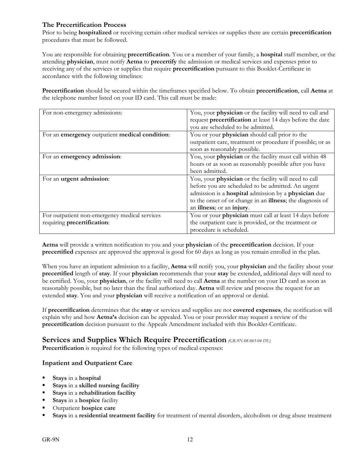#### **The Precertification Process**

Prior to being **hospitalized** or receiving certain other medical services or supplies there are certain **precertification** procedures that must be followed.

You are responsible for obtaining **precertification**. You or a member of your family, a **hospital** staff member, or the attending **physician**, must notify **Aetna** to **precertify** the admission or medical services and expenses prior to receiving any of the services or supplies that require **precertification** pursuant to this Booklet-Certificate in accordance with the following timelines:

**Precertification** should be secured within the timeframes specified below. To obtain **precertification**, call **Aetna** at the telephone number listed on your ID card. This call must be made:

| For non-emergency admissions:                  | You, your physician or the facility will need to call and  |
|------------------------------------------------|------------------------------------------------------------|
|                                                | request precertification at least 14 days before the date  |
|                                                | you are scheduled to be admitted.                          |
| For an emergency outpatient medical condition: | You or your physician should call prior to the             |
|                                                | outpatient care, treatment or procedure if possible; or as |
|                                                | soon as reasonably possible.                               |
| For an emergency admission:                    | You, your physician or the facility must call within 48    |
|                                                | hours or as soon as reasonably possible after you have     |
|                                                | been admitted.                                             |
| For an urgent admission:                       | You, your physician or the facility will need to call      |
|                                                | before you are scheduled to be admitted. An urgent         |
|                                                | admission is a hospital admission by a physician due       |
|                                                | to the onset of or change in an illness; the diagnosis of  |
|                                                | an illness; or an injury.                                  |
| For outpatient non-emergency medical services  | You or your physician must call at least 14 days before    |
| requiring precertification:                    | the outpatient care is provided, or the treatment or       |
|                                                | procedure is scheduled.                                    |

**Aetna** will provide a written notification to you and your **physician** of the **precertification** decision. If your **precertified** expenses are approved the approval is good for 60 days as long as you remain enrolled in the plan.

When you have an inpatient admission to a facility, **Aetna** will notify you, your **physician** and the facility about your **precertified** length of **stay**. If your **physician** recommends that your **stay** be extended, additional days will need to be certified. You, your **physician**, or the facility will need to call **Aetna** at the number on your ID card as soon as reasonably possible, but no later than the final authorized day. **Aetna** will review and process the request for an extended **stay**. You and your **physician** will receive a notification of an approval or denial.

If **precertification** determines that the **stay** or services and supplies are not **covered expenses**, the notification will explain why and how **Aetna's** decision can be appealed. You or your provider may request a review of the **precertification** decision pursuant to the Appeals Amendment included with this Booklet-Certificate.

#### **Services and Supplies Which Require Precertification** *(GR-9N-08-065-04 DE)*

**Precertification** is required for the following types of medical expenses:

#### **Inpatient and Outpatient Care**

- **Stays** in a **hospital**
- **Stays** in a **skilled nursing facility**
- **Stays** in a **rehabilitation facility**
- **Stays** in a **hospice** facility
- Outpatient **hospice care**
- **Stays** in a **residential treatment facility** for treatment of mental disorders, alcoholism or drug abuse treatment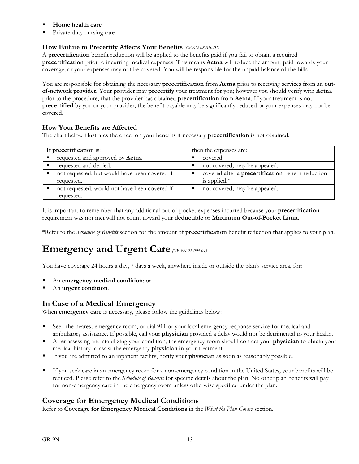- **Home health care**
- Private duty nursing care

#### **How Failure to Precertify Affects Your Benefits** *(GR-9N 08-070-01)*

A **precertification** benefit reduction will be applied to the benefits paid if you fail to obtain a required **precertification** prior to incurring medical expenses. This means **Aetna** will reduce the amount paid towards your coverage, or your expenses may not be covered. You will be responsible for the unpaid balance of the bills.

You are responsible for obtaining the necessary **precertification** from **Aetna** prior to receiving services from an **outof-network provider**. Your provider may **precertify** your treatment for you; however you should verify with **Aetna** prior to the procedure, that the provider has obtained **precertification** from **Aetna**. If your treatment is not **precertified** by you or your provider, the benefit payable may be significantly reduced or your expenses may not be covered.

#### **How Your Benefits are Affected**

The chart below illustrates the effect on your benefits if necessary **precertification** is not obtained.

| If precertification is:                       | then the expenses are:                             |
|-----------------------------------------------|----------------------------------------------------|
| requested and approved by <b>Aetna</b>        | covered.                                           |
| requested and denied.                         | not covered, may be appealed.                      |
| not requested, but would have been covered if | covered after a precertification benefit reduction |
| requested.                                    | is applied. $*$                                    |
| not requested, would not have been covered if | not covered, may be appealed.                      |
| requested.                                    |                                                    |

It is important to remember that any additional out-of-pocket expenses incurred because your **precertification** requirement was not met will not count toward your **deductible** or **Maximum Out-of-Pocket Limit**.

\*Refer to the *Schedule of Benefits* section for the amount of **precertification** benefit reduction that applies to your plan.

# **Emergency and Urgent Care** *(GR-9N-27-005-01)*

You have coverage 24 hours a day, 7 days a week, anywhere inside or outside the plan's service area, for:

- An **emergency medical condition**; or
- An **urgent condition**.

#### **In Case of a Medical Emergency**

When **emergency care** is necessary, please follow the guidelines below:

- Seek the nearest emergency room, or dial 911 or your local emergency response service for medical and ambulatory assistance. If possible, call your **physician** provided a delay would not be detrimental to your health.
- After assessing and stabilizing your condition, the emergency room should contact your **physician** to obtain your medical history to assist the emergency **physician** in your treatment.
- If you are admitted to an inpatient facility, notify your **physician** as soon as reasonably possible.
- If you seek care in an emergency room for a non-emergency condition in the United States, your benefits will be reduced. Please refer to the *Schedule of Benefits* for specific details about the plan. No other plan benefits will pay for non-emergency care in the emergency room unless otherwise specified under the plan.

#### **Coverage for Emergency Medical Conditions**

Refer to **Coverage for Emergency Medical Conditions** in the *What the Plan Covers* section.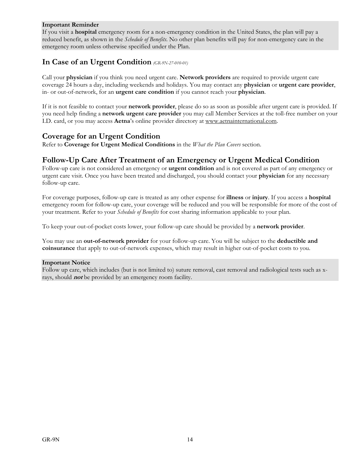#### **Important Reminder**

If you visit a **hospital** emergency room for a non-emergency condition in the United States, the plan will pay a reduced benefit, as shown in the *Schedule of Benefits*. No other plan benefits will pay for non-emergency care in the emergency room unless otherwise specified under the Plan.

#### **In Case of an Urgent Condition** *(GR-9N-27-010-01)*

Call your **physician** if you think you need urgent care. **Network providers** are required to provide urgent care coverage 24 hours a day, including weekends and holidays. You may contact any **physician** or **urgent care provider**, in- or out-of-network, for an **urgent care condition** if you cannot reach your **physician**.

If it is not feasible to contact your **network provider**, please do so as soon as possible after urgent care is provided. If you need help finding a **network urgent care provider** you may call Member Services at the toll-free number on your I.D. card, or you may access **Aetna**'s online provider directory at www.aetnainternational.com.

#### **Coverage for an Urgent Condition**

Refer to **Coverage for Urgent Medical Conditions** in the *What the Plan Covers* section.

#### **Follow-Up Care After Treatment of an Emergency or Urgent Medical Condition**

Follow-up care is not considered an emergency or **urgent condition** and is not covered as part of any emergency or urgent care visit. Once you have been treated and discharged, you should contact your **physician** for any necessary follow-up care.

For coverage purposes, follow-up care is treated as any other expense for **illness** or **injury**. If you access a **hospital** emergency room for follow-up care, your coverage will be reduced and you will be responsible for more of the cost of your treatment. Refer to your *Schedule of Benefits* for cost sharing information applicable to your plan.

To keep your out-of-pocket costs lower, your follow-up care should be provided by a **network provider**.

You may use an **out-of-network provider** for your follow-up care. You will be subject to the **deductible and coinsurance** that apply to out-of-network expenses, which may result in higher out-of-pocket costs to you.

#### **Important Notice**

Follow up care, which includes (but is not limited to) suture removal, cast removal and radiological tests such as xrays, should **not** be provided by an emergency room facility.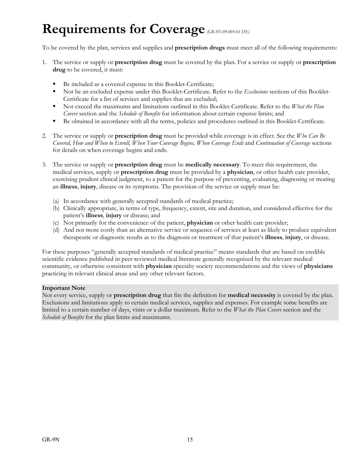# **Requirements for Coverage***(GR-9N-09-005-01 DE)*

To be covered by the plan, services and supplies and **prescription drugs** must meet all of the following requirements:

- 1. The service or supply or **prescription drug** must be covered by the plan. For a service or supply or **prescription drug** to be covered, it must:
	- Be included as a covered expense in this Booklet-Certificate;
	- Not be an excluded expense under this Booklet-Certificate. Refer to the *Exclusions* sections of this Booklet-Certificate for a list of services and supplies that are excluded;
	- Not exceed the maximums and limitations outlined in this Booklet-Certificate. Refer to the *What the Plan Covers* section and the *Schedule of Benefits* for information about certain expense limits; and
	- Be obtained in accordance with all the terms, policies and procedures outlined in this Booklet-Certificate.
- 2. The service or supply or **prescription drug** must be provided while coverage is in effect. See the *Who Can Be Covered, How and When to Enroll, When Your Coverage Begins, When Coverage Ends* and *Continuation of Coverage* sections for details on when coverage begins and ends.
- 3. The service or supply or **prescription drug** must be **medically necessary**. To meet this requirement, the medical services, supply or **prescription drug** must be provided by a **physician**, or other health care provider, exercising prudent clinical judgment, to a patient for the purpose of preventing, evaluating, diagnosing or treating an **illness**, **injury**, disease or its symptoms. The provision of the service or supply must be:
	- (a) In accordance with generally accepted standards of medical practice;
	- (b) Clinically appropriate, in terms of type, frequency, extent, site and duration, and considered effective for the patient's **illness**, **injury** or disease; and
	- (c) Not primarily for the convenience of the patient, **physician** or other health care provider;
	- (d) And not more costly than an alternative service or sequence of services at least as likely to produce equivalent therapeutic or diagnostic results as to the diagnosis or treatment of that patient's **illness**, **injury**, or disease.

For these purposes "generally accepted standards of medical practice" means standards that are based on credible scientific evidence published in peer-reviewed medical literature generally recognized by the relevant medical community, or otherwise consistent with **physician** specialty society recommendations and the views of **physicians** practicing in relevant clinical areas and any other relevant factors.

#### **Important Note**

Not every service, supply or **prescription drug** that fits the definition for **medical necessity** is covered by the plan. Exclusions and limitations apply to certain medical services, supplies and expenses. For example some benefits are limited to a certain number of days, visits or a dollar maximum. Refer to the *What the Plan Covers* section and the *Schedule of Benefits* for the plan limits and maximums.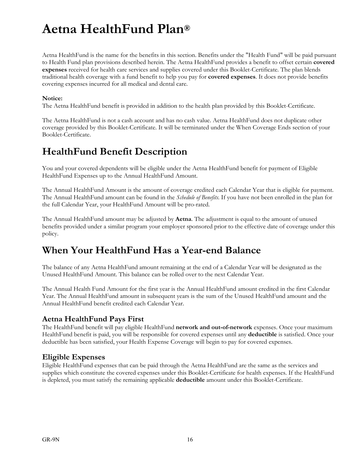# **Aetna HealthFund Plan®**

Aetna HealthFund is the name for the benefits in this section. Benefits under the "Health Fund" will be paid pursuant to Health Fund plan provisions described herein. The Aetna HealthFund provides a benefit to offset certain **covered expenses** received for health care services and supplies covered under this Booklet-Certificate. The plan blends traditional health coverage with a fund benefit to help you pay for **covered expenses**. It does not provide benefits covering expenses incurred for all medical and dental care.

#### **Notice:**

The Aetna HealthFund benefit is provided in addition to the health plan provided by this Booklet-Certificate.

The Aetna HealthFund is not a cash account and has no cash value. Aetna HealthFund does not duplicate other coverage provided by this Booklet-Certificate. It will be terminated under the When Coverage Ends section of your Booklet-Certificate.

# **HealthFund Benefit Description**

You and your covered dependents will be eligible under the Aetna HealthFund benefit for payment of Eligible HealthFund Expenses up to the Annual HealthFund Amount.

The Annual HealthFund Amount is the amount of coverage credited each Calendar Year that is eligible for payment. The Annual HealthFund amount can be found in the *Schedule of Benefits*. If you have not been enrolled in the plan for the full Calendar Year, your HealthFund Amount will be pro-rated.

The Annual HealthFund amount may be adjusted by **Aetna**. The adjustment is equal to the amount of unused benefits provided under a similar program your employer sponsored prior to the effective date of coverage under this policy.

# **When Your HealthFund Has a Year-end Balance**

The balance of any Aetna HealthFund amount remaining at the end of a Calendar Year will be designated as the Unused HealthFund Amount. This balance can be rolled over to the next Calendar Year.

The Annual Health Fund Amount for the first year is the Annual HealthFund amount credited in the first Calendar Year. The Annual HealthFund amount in subsequent years is the sum of the Unused HealthFund amount and the Annual HealthFund benefit credited each Calendar Year.

#### **Aetna HealthFund Pays First**

The HealthFund benefit will pay eligible HealthFund **network and out-of-network** expenses. Once your maximum HealthFund benefit is paid, you will be responsible for covered expenses until any **deductible** is satisfied. Once your deductible has been satisfied, your Health Expense Coverage will begin to pay for covered expenses.

#### **Eligible Expenses**

Eligible HealthFund expenses that can be paid through the Aetna HealthFund are the same as the services and supplies which constitute the covered expenses under this Booklet-Certificate for health expenses. If the HealthFund is depleted, you must satisfy the remaining applicable **deductible** amount under this Booklet-Certificate.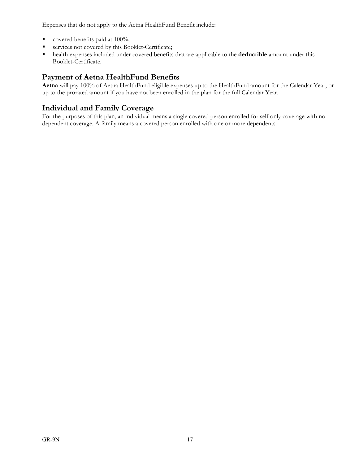Expenses that do not apply to the Aetna HealthFund Benefit include:

- covered benefits paid at 100%;
- services not covered by this Booklet-Certificate;
- health expenses included under covered benefits that are applicable to the **deductible** amount under this Booklet-Certificate.

#### **Payment of Aetna HealthFund Benefits**

**Aetna** will pay 100% of Aetna HealthFund eligible expenses up to the HealthFund amount for the Calendar Year, or up to the prorated amount if you have not been enrolled in the plan for the full Calendar Year.

#### **Individual and Family Coverage**

For the purposes of this plan, an individual means a single covered person enrolled for self only coverage with no dependent coverage. A family means a covered person enrolled with one or more dependents.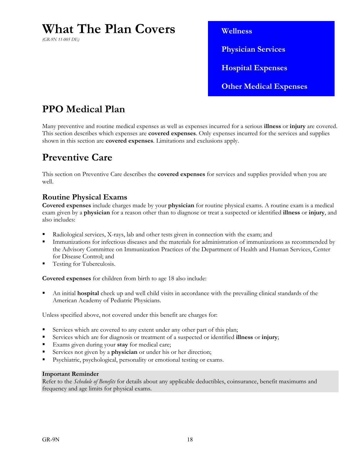# **What The Plan Covers**

*(GR-9N 11-005 DE)*

 **Wellness Physician Services Hospital Expenses Other Medical Expenses** 

# **PPO Medical Plan**

Many preventive and routine medical expenses as well as expenses incurred for a serious **illness** or **injury** are covered. This section describes which expenses are **covered expenses**. Only expenses incurred for the services and supplies shown in this section are **covered expenses**. Limitations and exclusions apply.

# **Preventive Care**

This section on Preventive Care describes the **covered expenses** for services and supplies provided when you are well.

#### **Routine Physical Exams**

**Covered expenses** include charges made by your **physician** for routine physical exams. A routine exam is a medical exam given by a **physician** for a reason other than to diagnose or treat a suspected or identified **illness** or **injury**, and also includes:

- Radiological services, X-rays, lab and other tests given in connection with the exam; and
- Immunizations for infectious diseases and the materials for administration of immunizations as recommended by the Advisory Committee on Immunization Practices of the Department of Health and Human Services, Center for Disease Control; and
- Testing for Tuberculosis.

**Covered expenses** for children from birth to age 18 also include:

 An initial **hospital** check up and well child visits in accordance with the prevailing clinical standards of the American Academy of Pediatric Physicians.

Unless specified above, not covered under this benefit are charges for:

- Services which are covered to any extent under any other part of this plan;
- Services which are for diagnosis or treatment of a suspected or identified **illness** or **injury**;
- Exams given during your **stay** for medical care;
- Services not given by a **physician** or under his or her direction;
- Psychiatric, psychological, personality or emotional testing or exams.

#### **Important Reminder**

Refer to the *Schedule of Benefits* for details about any applicable deductibles, coinsurance, benefit maximums and frequency and age limits for physical exams.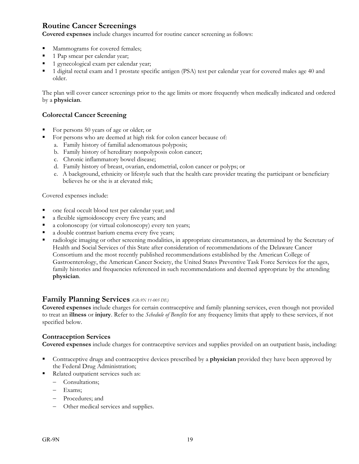#### **Routine Cancer Screenings**

**Covered expenses** include charges incurred for routine cancer screening as follows:

- Mammograms for covered females;
- 1 Pap smear per calendar year;
- <sup>1</sup> gynecological exam per calendar year;
- 1 digital rectal exam and 1 prostate specific antigen (PSA) test per calendar year for covered males age 40 and older.

The plan will cover cancer screenings prior to the age limits or more frequently when medically indicated and ordered by a **physician**.

#### **Colorectal Cancer Screening**

- For persons 50 years of age or older; or
- For persons who are deemed at high risk for colon cancer because of:
	- a. Family history of familial adenomatous polyposis;
	- b. Family history of hereditary nonpolyposis colon cancer;
	- c. Chronic inflammatory bowel disease;
	- d. Family history of breast, ovarian, endometrial, colon cancer or polyps; or
	- e. A background, ethnicity or lifestyle such that the health care provider treating the participant or beneficiary believes he or she is at elevated risk;

Covered expenses include:

- one fecal occult blood test per calendar year; and
- a flexible sigmoidoscopy every five years; and
- a colonoscopy (or virtual colonoscopy) every ten years;
- a double contrast barium enema every five years;
- radiologic imaging or other screening modalities, in appropriate circumstances, as determined by the Secretary of Health and Social Services of this State after consideration of recommendations of the Delaware Cancer Consortium and the most recently published recommendations established by the American College of Gastroenterology, the American Cancer Society, the United States Preventive Task Force Services for the ages, family histories and frequencies referenced in such recommendations and deemed appropriate by the attending **physician**.

#### **Family Planning Services** *(GR-9N 11-005 DE)*

**Covered expenses** include charges for certain contraceptive and family planning services, even though not provided to treat an **illness** or **injury**. Refer to the *Schedule of Benefits* for any frequency limits that apply to these services, if not specified below.

#### **Contraception Services**

**Covered expenses** include charges for contraceptive services and supplies provided on an outpatient basis, including:

- Contraceptive drugs and contraceptive devices prescribed by a **physician** provided they have been approved by the Federal Drug Administration;
- Related outpatient services such as:
	- Consultations;
	- Exams;
	- Procedures; and
	- Other medical services and supplies.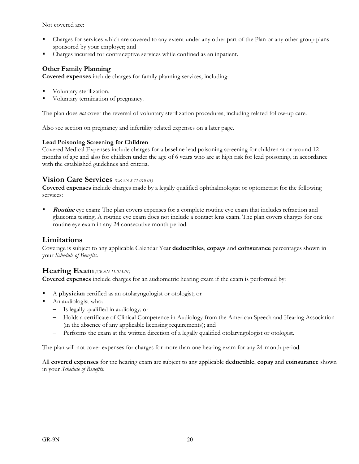Not covered are:

- Charges for services which are covered to any extent under any other part of the Plan or any other group plans sponsored by your employer; and
- Charges incurred for contraceptive services while confined as an inpatient.

#### **Other Family Planning**

**Covered expenses** include charges for family planning services, including:

- Voluntary sterilization.
- Voluntary termination of pregnancy.

The plan does *not* cover the reversal of voluntary sterilization procedures, including related follow-up care.

Also see section on pregnancy and infertility related expenses on a later page.

#### **Lead Poisoning Screening for Children**

Covered Medical Expenses include charges for a baseline lead poisoning screening for children at or around 12 months of age and also for children under the age of 6 years who are at high risk for lead poisoning, in accordance with the established guidelines and criteria.

#### **Vision Care Services** *(GR-9N S-11-010-01)*

**Covered expenses** include charges made by a legally qualified ophthalmologist or optometrist for the following services:

**Routine** eye exam: The plan covers expenses for a complete routine eye exam that includes refraction and glaucoma testing. A routine eye exam does not include a contact lens exam. The plan covers charges for one routine eye exam in any 24 consecutive month period.

#### **Limitations**

Coverage is subject to any applicable Calendar Year **deductibles**, **copays** and **coinsurance** percentages shown in your *Schedule of Benefits*.

#### **Hearing Exam** *(GR-9N 11-015-01)*

**Covered expenses** include charges for an audiometric hearing exam if the exam is performed by:

- A **physician** certified as an otolaryngologist or otologist; or
- An audiologist who:
	- Is legally qualified in audiology; or
	- Holds a certificate of Clinical Competence in Audiology from the American Speech and Hearing Association (in the absence of any applicable licensing requirements); and
	- Performs the exam at the written direction of a legally qualified otolaryngologist or otologist.

The plan will not cover expenses for charges for more than one hearing exam for any 24-month period.

All **covered expenses** for the hearing exam are subject to any applicable **deductible**, **copay** and **coinsurance** shown in your *Schedule of Benefits*.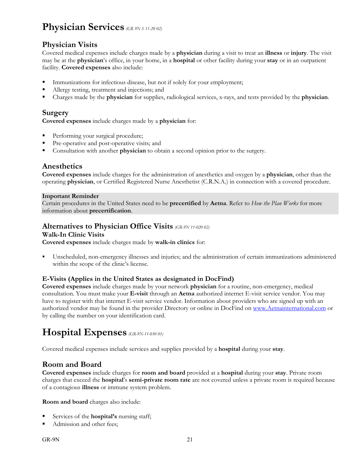### **Physician Services** *(GR 9N S 11-20 02)*

#### **Physician Visits**

Covered medical expenses include charges made by a **physician** during a visit to treat an **illness** or **injury**. The visit may be at the **physician**'s office, in your home, in a **hospital** or other facility during your **stay** or in an outpatient facility. **Covered expenses** also include:

- Immunizations for infectious disease, but not if solely for your employment;
- Allergy testing, treatment and injections; and
- Charges made by the **physician** for supplies, radiological services, x-rays, and tests provided by the **physician**.

#### **Surgery**

**Covered expenses** include charges made by a **physician** for:

- Performing your surgical procedure;
- Pre-operative and post-operative visits; and
- Consultation with another **physician** to obtain a second opinion prior to the surgery.

#### **Anesthetics**

**Covered expenses** include charges for the administration of anesthetics and oxygen by a **physician**, other than the operating **physician**, or Certified Registered Nurse Anesthetist (C.R.N.A.) in connection with a covered procedure.

#### **Important Reminder**

Certain procedures in the United States need to be **precertified** by **Aetna**. Refer to *How the Plan Works* for more information about **precertification**.

#### **Alternatives to Physician Office Visits** *(GR-9N 11-020 02)*

#### **Walk-In Clinic Visits**

**Covered expenses** include charges made by **walk-in clinics** for:

 Unscheduled, non-emergency illnesses and injuries; and the administration of certain immunizations administered within the scope of the clinic's license.

#### **E-Visits (Applies in the United States as designated in DocFind)**

**Covered expenses** include charges made by your network **physician** for a routine, non-emergency, medical consultation. You must make your **E-visit** through an **Aetna** authorized internet E-visit service vendor. You may have to register with that internet E-visit service vendor. Information about providers who are signed up with an authorized vendor may be found in the provider Directory or online in DocFind on www.Aetnainternational.com or by calling the number on your identification card.

# **Hospital Expenses** *(GR-9N-11-030 01)*

Covered medical expenses include services and supplies provided by a **hospital** during your **stay**.

#### **Room and Board**

**Covered expenses** include charges for **room and board** provided at a **hospital** during your **stay**. Private room charges that exceed the **hospital**'s **semi-private room rate** are not covered unless a private room is required because of a contagious **illness** or immune system problem.

**Room and board** charges also include:

- Services of the **hospital's** nursing staff;
- Admission and other fees;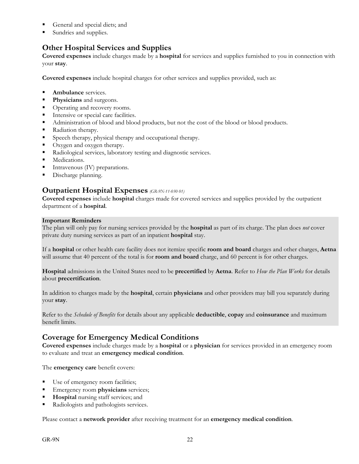- General and special diets; and
- Sundries and supplies.

#### **Other Hospital Services and Supplies**

**Covered expenses** include charges made by a **hospital** for services and supplies furnished to you in connection with your **stay**.

**Covered expenses** include hospital charges for other services and supplies provided, such as:

- **Ambulance** services.
- **Physicians** and surgeons.
- Operating and recovery rooms.
- Intensive or special care facilities.
- Administration of blood and blood products, but not the cost of the blood or blood products.
- Radiation therapy.
- Speech therapy, physical therapy and occupational therapy.
- Oxygen and oxygen therapy.
- Radiological services, laboratory testing and diagnostic services.
- **Medications.**
- Intravenous (IV) preparations.
- Discharge planning.

#### **Outpatient Hospital Expenses** *(GR-9N-11-030 01)*

**Covered expenses** include **hospital** charges made for covered services and supplies provided by the outpatient department of a **hospital**.

#### **Important Reminders**

The plan will only pay for nursing services provided by the **hospital** as part of its charge. The plan does *not* cover private duty nursing services as part of an inpatient **hospital** stay.

If a **hospital** or other health care facility does not itemize specific **room and board** charges and other charges, **Aetna** will assume that 40 percent of the total is for **room and board** charge, and 60 percent is for other charges.

**Hospital** admissions in the United States need to be **precertified** by **Aetna**. Refer to *How the Plan Works* for details about **precertification**.

In addition to charges made by the **hospital**, certain **physicians** and other providers may bill you separately during your **stay**.

Refer to the *Schedule of Benefits* for details about any applicable **deductible**, **copay** and **coinsurance** and maximum benefit limits.

#### **Coverage for Emergency Medical Conditions**

**Covered expenses** include charges made by a **hospital** or a **physician** for services provided in an emergency room to evaluate and treat an **emergency medical condition**.

The **emergency care** benefit covers:

- Use of emergency room facilities;
- Emergency room **physicians** services;
- **Hospital** nursing staff services; and
- Radiologists and pathologists services.

Please contact a **network provider** after receiving treatment for an **emergency medical condition**.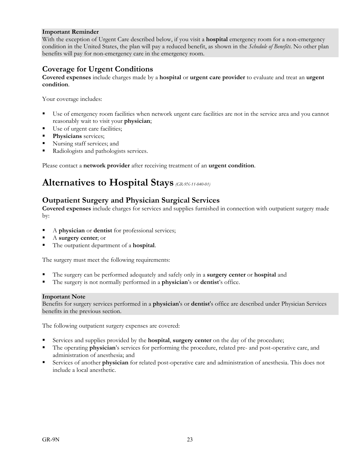#### **Important Reminder**

With the exception of Urgent Care described below, if you visit a **hospital** emergency room for a non-emergency condition in the United States, the plan will pay a reduced benefit, as shown in the *Schedule of Benefits*. No other plan benefits will pay for non-emergency care in the emergency room.

#### **Coverage for Urgent Conditions**

**Covered expenses** include charges made by a **hospital** or **urgent care provider** to evaluate and treat an **urgent condition**.

Your coverage includes:

- Use of emergency room facilities when network urgent care facilities are not in the service area and you cannot reasonably wait to visit your **physician**;
- Use of urgent care facilities;
- **Physicians** services;
- Nursing staff services; and
- Radiologists and pathologists services.

Please contact a **network provider** after receiving treatment of an **urgent condition**.

# **Alternatives to Hospital Stays** *(GR-9N-11-040-01)*

#### **Outpatient Surgery and Physician Surgical Services**

**Covered expenses** include charges for services and supplies furnished in connection with outpatient surgery made by:

- A **physician** or **dentist** for professional services;
- A **surgery center**; or
- The outpatient department of a **hospital**.

The surgery must meet the following requirements:

- The surgery can be performed adequately and safely only in a **surgery center** or **hospital** and
- The surgery is not normally performed in a **physician**'s or **dentist**'s office.

#### **Important Note**

Benefits for surgery services performed in a **physician**'s or **dentist**'s office are described under Physician Services benefits in the previous section.

The following outpatient surgery expenses are covered:

- Services and supplies provided by the **hospital**, **surgery center** on the day of the procedure;
- The operating **physician**'s services for performing the procedure, related pre- and post-operative care, and administration of anesthesia; and
- Services of another **physician** for related post-operative care and administration of anesthesia. This does not include a local anesthetic.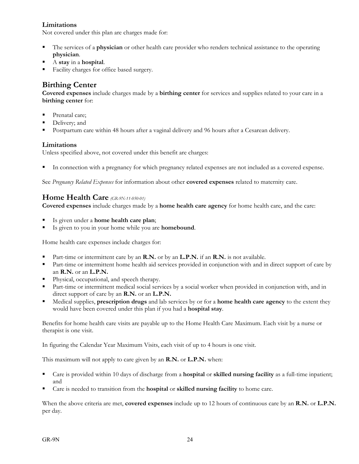#### **Limitations**

Not covered under this plan are charges made for:

- The services of a **physician** or other health care provider who renders technical assistance to the operating **physician**.
- A **stay** in a **hospital**.
- Facility charges for office based surgery.

#### **Birthing Center**

**Covered expenses** include charges made by a **birthing center** for services and supplies related to your care in a **birthing center** for:

- Prenatal care;
- Delivery; and
- Postpartum care within 48 hours after a vaginal delivery and 96 hours after a Cesarean delivery.

#### **Limitations**

Unless specified above, not covered under this benefit are charges:

In connection with a pregnancy for which pregnancy related expenses are not included as a covered expense.

See *Pregnancy Related Expenses* for information about other **covered expenses** related to maternity care.

#### **Home Health Care** *(GR-9N-11-050-01)*

**Covered expenses** include charges made by a **home health care agency** for home health care, and the care:

- Is given under a **home health care plan**;
- Is given to you in your home while you are **homebound**.

Home health care expenses include charges for:

- Part-time or intermittent care by an **R.N.** or by an **L.P.N.** if an **R.N.** is not available.
- **Part-time or intermittent home health aid services provided in conjunction with and in direct support of care by** an **R.N.** or an **L.P.N.**
- Physical, occupational, and speech therapy.
- Part-time or intermittent medical social services by a social worker when provided in conjunction with, and in direct support of care by an **R.N.** or an **L.P.N.**
- Medical supplies, **prescription drugs** and lab services by or for a **home health care agency** to the extent they would have been covered under this plan if you had a **hospital stay**.

Benefits for home health care visits are payable up to the Home Health Care Maximum. Each visit by a nurse or therapist is one visit.

In figuring the Calendar Year Maximum Visits, each visit of up to 4 hours is one visit.

This maximum will not apply to care given by an **R.N.** or **L.P.N.** when:

- Care is provided within 10 days of discharge from a **hospital** or **skilled nursing facility** as a full-time inpatient; and
- Care is needed to transition from the **hospital** or **skilled nursing facility** to home care.

When the above criteria are met, **covered expenses** include up to 12 hours of continuous care by an **R.N.** or **L.P.N.** per day.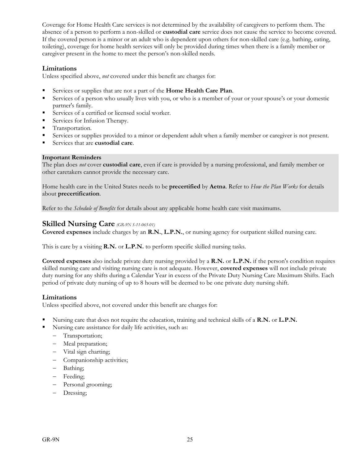Coverage for Home Health Care services is not determined by the availability of caregivers to perform them. The absence of a person to perform a non-skilled or **custodial care** service does not cause the service to become covered. If the covered person is a minor or an adult who is dependent upon others for non-skilled care (e.g. bathing, eating, toileting), coverage for home health services will only be provided during times when there is a family member or caregiver present in the home to meet the person's non-skilled needs.

#### **Limitations**

Unless specified above, *not* covered under this benefit are charges for:

- Services or supplies that are not a part of the **Home Health Care Plan**.
- Services of a person who usually lives with you, or who is a member of your or your spouse's or your domestic partner's family.
- Services of a certified or licensed social worker.
- Services for Infusion Therapy.
- **Transportation.**
- Services or supplies provided to a minor or dependent adult when a family member or caregiver is not present.
- Services that are **custodial care**.

#### **Important Reminders**

The plan does *not* cover **custodial care**, even if care is provided by a nursing professional, and family member or other caretakers cannot provide the necessary care.

Home health care in the United States needs to be **precertified** by **Aetna**. Refer to *How the Plan Works* for details about **precertification**.

Refer to the *Schedule of Benefits* for details about any applicable home health care visit maximums.

#### **Skilled Nursing Care** *(GR-9N S-11-065-01)*

**Covered expenses** include charges by an **R.N.**, **L.P.N.**, or nursing agency for outpatient skilled nursing care.

This is care by a visiting **R.N.** or **L.P.N.** to perform specific skilled nursing tasks.

**Covered expenses** also include private duty nursing provided by a **R.N.** or **L.P.N.** if the person's condition requires skilled nursing care and visiting nursing care is not adequate. However, **covered expenses** will not include private duty nursing for any shifts during a Calendar Year in excess of the Private Duty Nursing Care Maximum Shifts. Each period of private duty nursing of up to 8 hours will be deemed to be one private duty nursing shift.

#### **Limitations**

Unless specified above, not covered under this benefit are charges for:

- Nursing care that does not require the education, training and technical skills of a **R.N.** or **L.P.N.**
	- Nursing care assistance for daily life activities, such as:
		- Transportation;
		- Meal preparation;
		- Vital sign charting;
		- Companionship activities;
		- Bathing;
		- Feeding;
		- Personal grooming;
		- Dressing;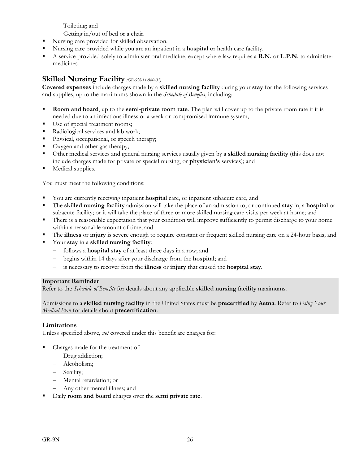- Toileting; and
- Getting in/out of bed or a chair.
- Nursing care provided for skilled observation.
- Nursing care provided while you are an inpatient in a **hospital** or health care facility.
- A service provided solely to administer oral medicine, except where law requires a **R.N.** or **L.P.N.** to administer medicines.

#### **Skilled Nursing Facility** *(GR-9N-11-060-01)*

**Covered expenses** include charges made by a **skilled nursing facility** during your **stay** for the following services and supplies, up to the maximums shown in the *Schedule of Benefits*, including:

- **Room and board**, up to the **semi-private room rate**. The plan will cover up to the private room rate if it is needed due to an infectious illness or a weak or compromised immune system;
- Use of special treatment rooms;
- Radiological services and lab work;
- Physical, occupational, or speech therapy;
- Oxygen and other gas therapy;
- Other medical services and general nursing services usually given by a **skilled nursing facility** (this does not include charges made for private or special nursing, or **physician's** services); and
- **Medical supplies.**

You must meet the following conditions:

- You are currently receiving inpatient **hospital** care, or inpatient subacute care, and
- The **skilled nursing facility** admission will take the place of an admission to, or continued **stay** in, a **hospital** or subacute facility; or it will take the place of three or more skilled nursing care visits per week at home; and
- There is a reasonable expectation that your condition will improve sufficiently to permit discharge to your home within a reasonable amount of time; and
- The **illness** or **injury** is severe enough to require constant or frequent skilled nursing care on a 24-hour basis; and
- Your **stay** in a **skilled nursing facility**:
	- follows a **hospital stay** of at least three days in a row; and
	- begins within 14 days after your discharge from the **hospital**; and
	- is necessary to recover from the **illness** or **injury** that caused the **hospital stay**.

#### **Important Reminder**

Refer to the *Schedule of Benefits* for details about any applicable **skilled nursing facility** maximums.

Admissions to a **skilled nursing facility** in the United States must be **precertified** by **Aetna**. Refer to *Using Your Medical Plan* for details about **precertification**.

#### **Limitations**

Unless specified above, *not* covered under this benefit are charges for:

- Charges made for the treatment of:
	- Drug addiction;
	- Alcoholism;
	- Senility;
	- Mental retardation; or
	- Any other mental illness; and
- Daily **room and board** charges over the **semi private rate**.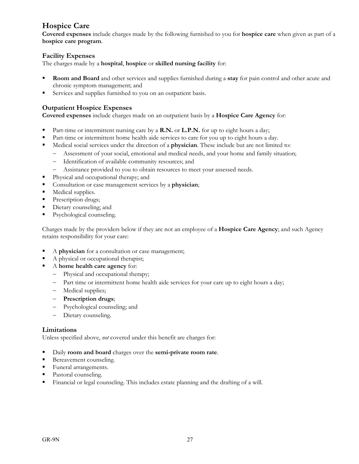#### **Hospice Care**

**Covered expenses** include charges made by the following furnished to you for **hospice care** when given as part of a **hospice care program**.

#### **Facility Expenses**

The charges made by a **hospital**, **hospice** or **skilled nursing facility** for:

- **Room and Board** and other services and supplies furnished during a **stay** for pain control and other acute and chronic symptom management; and
- Services and supplies furnished to you on an outpatient basis.

#### **Outpatient Hospice Expenses**

**Covered expenses** include charges made on an outpatient basis by a **Hospice Care Agency** for:

- Part-time or intermittent nursing care by a **R.N.** or **L.P.N.** for up to eight hours a day;
- Part-time or intermittent home health aide services to care for you up to eight hours a day.
- Medical social services under the direction of a **physician**. These include but are not limited to:
	- Assessment of your social, emotional and medical needs, and your home and family situation;
	- Identification of available community resources; and
	- Assistance provided to you to obtain resources to meet your assessed needs.
- Physical and occupational therapy; and
- Consultation or case management services by a **physician**;
- Medical supplies.
- Prescription drugs;
- Dietary counseling; and
- Psychological counseling.

Charges made by the providers below if they are not an employee of a **Hospice Care Agency**; and such Agency retains responsibility for your care:

- A **physician** for a consultation or case management;
- A physical or occupational therapist;
- A **home health care agency** for:
	- Physical and occupational therapy;
	- Part time or intermittent home health aide services for your care up to eight hours a day;
	- Medical supplies;
	- **Prescription drugs**;
	- Psychological counseling; and
	- Dietary counseling.

#### **Limitations**

Unless specified above, *not* covered under this benefit are charges for:

- Daily **room and board** charges over the **semi-private room rate**.
- Bereavement counseling.
- Funeral arrangements.
- Pastoral counseling.
- Financial or legal counseling. This includes estate planning and the drafting of a will.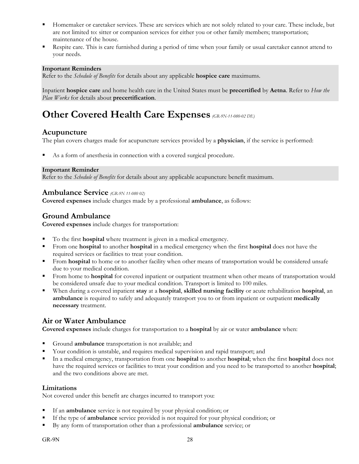- Homemaker or caretaker services. These are services which are not solely related to your care. These include, but are not limited to: sitter or companion services for either you or other family members; transportation; maintenance of the house.
- Respite care. This is care furnished during a period of time when your family or usual caretaker cannot attend to your needs.

#### **Important Reminders**

Refer to the *Schedule of Benefits* for details about any applicable **hospice care** maximums.

Inpatient **hospice care** and home health care in the United States must be **precertified** by **Aetna**. Refer to *How the Plan Works* for details about **precertification**.

# **Other Covered Health Care Expenses** *(GR-9N-11-080-02 DE)*

#### **Acupuncture**

The plan covers charges made for acupuncture services provided by a **physician**, if the service is performed:

As a form of anesthesia in connection with a covered surgical procedure.

#### **Important Reminder**

Refer to the *Schedule of Benefits* for details about any applicable acupuncture benefit maximum.

#### **Ambulance Service** *(GR-9N 11-080 02)*

**Covered expenses** include charges made by a professional **ambulance**, as follows:

#### **Ground Ambulance**

**Covered expenses** include charges for transportation:

- To the first **hospital** where treatment is given in a medical emergency.
- From one **hospital** to another **hospital** in a medical emergency when the first **hospital** does not have the required services or facilities to treat your condition.
- From **hospital** to home or to another facility when other means of transportation would be considered unsafe due to your medical condition.
- From home to **hospital** for covered inpatient or outpatient treatment when other means of transportation would be considered unsafe due to your medical condition. Transport is limited to 100 miles.
- When during a covered inpatient **stay** at a **hospital**, **skilled nursing facility** or acute rehabilitation **hospital**, an **ambulance** is required to safely and adequately transport you to or from inpatient or outpatient **medically necessary** treatment.

#### **Air or Water Ambulance**

**Covered expenses** include charges for transportation to a **hospital** by air or water **ambulance** when:

- Ground **ambulance** transportation is not available; and
- Your condition is unstable, and requires medical supervision and rapid transport; and
- In a medical emergency, transportation from one **hospital** to another **hospital**; when the first **hospital** does not have the required services or facilities to treat your condition and you need to be transported to another **hospital**; and the two conditions above are met.

#### **Limitations**

Not covered under this benefit are charges incurred to transport you:

- If an **ambulance** service is not required by your physical condition; or
- If the type of **ambulance** service provided is not required for your physical condition; or
- By any form of transportation other than a professional **ambulance** service; or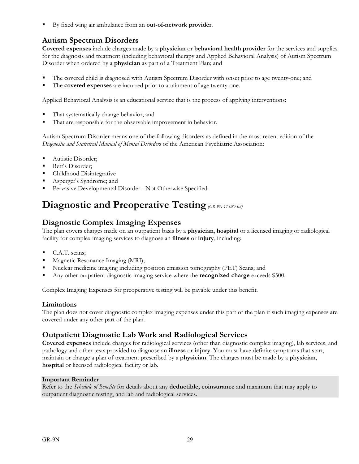By fixed wing air ambulance from an **out-of-network provider**.

#### **Autism Spectrum Disorders**

**Covered expenses** include charges made by a **physician** or **behavioral health provider** for the services and supplies for the diagnosis and treatment (including behavioral therapy and Applied Behavioral Analysis) of Autism Spectrum Disorder when ordered by a **physician** as part of a Treatment Plan; and

- The covered child is diagnosed with Autism Spectrum Disorder with onset prior to age twenty-one; and
- The **covered expenses** are incurred prior to attainment of age twenty-one.

Applied Behavioral Analysis is an educational service that is the process of applying interventions:

- That systematically change behavior; and
- That are responsible for the observable improvement in behavior.

Autism Spectrum Disorder means one of the following disorders as defined in the most recent edition of the *Diagnostic and Statistical Manual of Mental Disorders* of the American Psychiatric Association:

- Autistic Disorder;
- Rett's Disorder;
- Childhood Disintegrative
- Asperger's Syndrome; and
- **Pervasive Developmental Disorder Not Otherwise Specified.**

# **Diagnostic and Preoperative Testing** *(GR-9N-11-085-02)*

#### **Diagnostic Complex Imaging Expenses**

The plan covers charges made on an outpatient basis by a **physician**, **hospital** or a licensed imaging or radiological facility for complex imaging services to diagnose an **illness** or **injury**, including:

- C.A.T. scans;
- Magnetic Resonance Imaging (MRI);
- Nuclear medicine imaging including positron emission tomography (PET) Scans; and
- Any other outpatient diagnostic imaging service where the **recognized charge** exceeds \$500.

Complex Imaging Expenses for preoperative testing will be payable under this benefit.

#### **Limitations**

The plan does not cover diagnostic complex imaging expenses under this part of the plan if such imaging expenses are covered under any other part of the plan.

#### **Outpatient Diagnostic Lab Work and Radiological Services**

**Covered expenses** include charges for radiological services (other than diagnostic complex imaging), lab services, and pathology and other tests provided to diagnose an **illness** or **injury**. You must have definite symptoms that start, maintain or change a plan of treatment prescribed by a **physician**. The charges must be made by a **physician**, **hospital** or licensed radiological facility or lab.

#### **Important Reminder**

Refer to the *Schedule of Benefits* for details about any **deductible, coinsurance** and maximum that may apply to outpatient diagnostic testing, and lab and radiological services.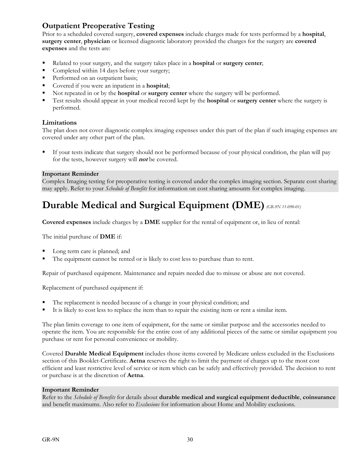#### **Outpatient Preoperative Testing**

Prior to a scheduled covered surgery, **covered expenses** include charges made for tests performed by a **hospital**, **surgery center**, **physician** or licensed diagnostic laboratory provided the charges for the surgery are **covered expenses** and the tests are:

- Related to your surgery, and the surgery takes place in a **hospital** or **surgery center**;
- Completed within 14 days before your surgery;
- Performed on an outpatient basis;
- Covered if you were an inpatient in a **hospital**;
- Not repeated in or by the **hospital** or **surgery center** where the surgery will be performed.
- Test results should appear in your medical record kept by the **hospital** or **surgery center** where the surgery is performed.

#### **Limitations**

The plan does not cover diagnostic complex imaging expenses under this part of the plan if such imaging expenses are covered under any other part of the plan.

 If your tests indicate that surgery should not be performed because of your physical condition, the plan will pay for the tests, however surgery will **not** be covered.

#### **Important Reminder**

Complex Imaging testing for preoperative testing is covered under the complex imaging section. Separate cost sharing may apply. Refer to your *Schedule of Benefits* for information on cost sharing amounts for complex imaging.

# **Durable Medical and Surgical Equipment (DME)***(GR-9N 11-090-01)*

**Covered expenses** include charges by a **DME** supplier for the rental of equipment or, in lieu of rental:

The initial purchase of **DME** if:

- Long term care is planned; and
- The equipment cannot be rented or is likely to cost less to purchase than to rent.

Repair of purchased equipment. Maintenance and repairs needed due to misuse or abuse are not covered.

Replacement of purchased equipment if:

- The replacement is needed because of a change in your physical condition; and
- It is likely to cost less to replace the item than to repair the existing item or rent a similar item.

The plan limits coverage to one item of equipment, for the same or similar purpose and the accessories needed to operate the item. You are responsible for the entire cost of any additional pieces of the same or similar equipment you purchase or rent for personal convenience or mobility.

Covered **Durable Medical Equipment** includes those items covered by Medicare unless excluded in the Exclusions section of this Booklet-Certificate. **Aetna** reserves the right to limit the payment of charges up to the most cost efficient and least restrictive level of service or item which can be safely and effectively provided. The decision to rent or purchase is at the discretion of **Aetna**.

#### **Important Reminder**

Refer to the *Schedule of Benefits* for details about **durable medical and surgical equipment deductible**, **coinsurance** and benefit maximums. Also refer to *Exclusions* for information about Home and Mobility exclusions.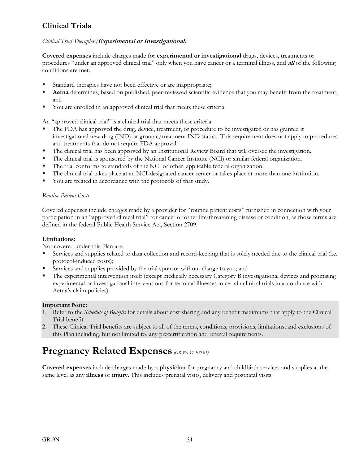#### **Clinical Trials**

#### *Clinical Trial Therapies (***Experimental or Investigational***)*

**Covered expenses** include charges made for **experimental or investigational** drugs, devices, treatments or procedures "under an approved clinical trial" only when you have cancer or a terminal illness, and **all** of the following conditions are met:

- Standard therapies have not been effective or are inappropriate;
- **Aetna** determines, based on published, peer-reviewed scientific evidence that you may benefit from the treatment; and
- You are enrolled in an approved clinical trial that meets these criteria.

An "approved clinical trial" is a clinical trial that meets these criteria:

- The FDA has approved the drug, device, treatment, or procedure to be investigated or has granted it investigational new drug (IND) or group c/treatment IND status. This requirement does not apply to procedures and treatments that do not require FDA approval.
- The clinical trial has been approved by an Institutional Review Board that will oversee the investigation.
- The clinical trial is sponsored by the National Cancer Institute (NCI) or similar federal organization.
- The trial conforms to standards of the NCI or other, applicable federal organization.
- The clinical trial takes place at an NCI-designated cancer center or takes place at more than one institution.
- You are treated in accordance with the protocols of that study.

#### *Routine Patient Costs*

Covered expenses include charges made by a provider for "routine patient costs" furnished in connection with your participation in an "approved clinical trial" for cancer or other life-threatening disease or condition, as those terms are defined in the federal Public Health Service Act, Section 2709.

#### **Limitations:**

Not covered under this Plan are:

- Services and supplies related to data collection and record-keeping that is solely needed due to the clinical trial (i.e. protocol-induced costs);
- Services and supplies provided by the trial sponsor without charge to you; and
- The experimental intervention itself (except medically necessary Category B investigational devices and promising experimental or investigational interventions for terminal illnesses in certain clinical trials in accordance with Aetna's claim policies).

#### **Important Note:**

- 1. Refer to the *Schedule of Benefits* for details about cost sharing and any benefit maximums that apply to the Clinical Trial benefit.
- 2. These Clinical Trial benefits are subject to all of the terms, conditions, provisions, limitations, and exclusions of this Plan including, but not limited to, any precertification and referral requirements.

# **Pregnancy Related Expenses** *(GR-9N-11-100-01)*

**Covered expenses** include charges made by a **physician** for pregnancy and childbirth services and supplies at the same level as any **illness** or **injury**. This includes prenatal visits, delivery and postnatal visits.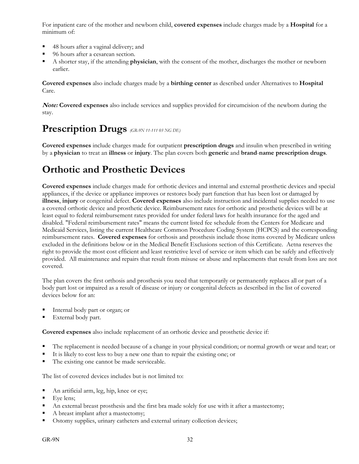For inpatient care of the mother and newborn child, **covered expenses** include charges made by a **Hospital** for a minimum of:

- 48 hours after a vaginal delivery; and
- 96 hours after a cesarean section.
- A shorter stay, if the attending **physician**, with the consent of the mother, discharges the mother or newborn earlier.

**Covered expenses** also include charges made by a **birthing center** as described under Alternatives to **Hospital** Care.

**Note: Covered expenses** also include services and supplies provided for circumcision of the newborn during the stay.

### **Prescription Drugs** *(GR-9N 11-111 03 NG DE)*

**Covered expenses** include charges made for outpatient **prescription drugs** and insulin when prescribed in writing by a **physician** to treat an **illness** or **injury**. The plan covers both **generic** and **brand**-**name prescription drugs**.

# **Orthotic and Prosthetic Devices**

**Covered expenses** include charges made for orthotic devices and internal and external prosthetic devices and special appliances, if the device or appliance improves or restores body part function that has been lost or damaged by **illness**, **injury** or congenital defect. **Covered expenses** also include instruction and incidental supplies needed to use a covered orthotic device and prosthetic device. Reimbursement rates for orthotic and prosthetic devices will be at least equal to federal reimbursement rates provided for under federal laws for health insurance for the aged and disabled. "Federal reimbursement rates" means the current listed fee schedule from the Centers for Medicare and Medicaid Services, listing the current Healthcare Common Procedure Coding System (HCPCS) and the corresponding reimbursement rates. **Covered expenses** for orthosis and prosthesis include those items covered by Medicare unless excluded in the definitions below or in the Medical Benefit Exclusions section of this Certificate. Aetna reserves the right to provide the most cost efficient and least restrictive level of service or item which can be safely and effectively provided. All maintenance and repairs that result from misuse or abuse and replacements that result from loss are not covered.

The plan covers the first orthosis and prosthesis you need that temporarily or permanently replaces all or part of a body part lost or impaired as a result of disease or injury or congenital defects as described in the list of covered devices below for an:

- Internal body part or organ; or
- External body part.

**Covered expenses** also include replacement of an orthotic device and prosthetic device if:

- The replacement is needed because of a change in your physical condition; or normal growth or wear and tear; or
- It is likely to cost less to buy a new one than to repair the existing one; or
- The existing one cannot be made serviceable.

The list of covered devices includes but is not limited to:

- An artificial arm, leg, hip, knee or eye;
- $\blacksquare$  Eye lens;
- An external breast prosthesis and the first bra made solely for use with it after a mastectomy;
- A breast implant after a mastectomy;
- Ostomy supplies, urinary catheters and external urinary collection devices;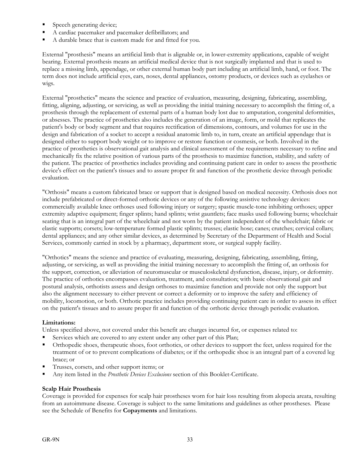- Speech generating device;
- A cardiac pacemaker and pacemaker defibrillators; and
- A durable brace that is custom made for and fitted for you.

External "prosthesis" means an artificial limb that is alignable or, in lower-extremity applications, capable of weight bearing. External prosthesis means an artificial medical device that is not surgically implanted and that is used to replace a missing limb, appendage, or other external human body part including an artificial limb, hand, or foot. The term does not include artificial eyes, ears, noses, dental appliances, ostomy products, or devices such as eyelashes or wigs.

External "prosthetics" means the science and practice of evaluation, measuring, designing, fabricating, assembling, fitting, aligning, adjusting, or servicing, as well as providing the initial training necessary to accomplish the fitting of, a prosthesis through the replacement of external parts of a human body lost due to amputation, congenital deformities, or absesses. The practice of prosthetics also includes the generation of an image, form, or mold that replicates the patient's body or body segment and that requires rectification of dimensions, contours, and volumes for use in the design and fabrication of a socket to accept a residual anatomic limb to, in turn, create an artificial appendage that is designed either to support body weight or to improve or restore function or cosmesis, or both. Involved in the practice of prosthetics is observational gait analysis and clinical assessment of the requirements necessary to refine and mechanically fix the relative position of various parts of the prosthesis to maximize function, stability, and safety of the patient. The practice of prosthetics includes providing and continuing patient care in order to assess the prosthetic device's effect on the patient's tissues and to assure proper fit and function of the prosthetic device through periodic evaluation.

"Orthosis" means a custom fabricated brace or support that is designed based on medical necessity. Orthosis does not include prefabricated or direct-formed orthotic devices or any of the following assistive technology devices: commercially available knee orthoses used following injury or surgery; spastic muscle-tone inhibiting orthoses; upper extremity adaptive equipment; finger splints; hand splints; wrist gauntlets; face masks used following burns; wheelchair seating that is an integral part of the wheelchair and not worn by the patient independent of the wheelchair; fabric or elastic supports; corsets; low-temperature formed plastic splints; trusses; elastic hose; canes; crutches; cervical collars; dental appliances; and any other similar devices, as determined by Secretary of the Department of Health and Social Services, commonly carried in stock by a pharmacy, department store, or surgical supply facility.

"Orthotics" means the science and practice of evaluating, measuring, designing, fabricating, assembling, fitting, adjusting, or servicing, as well as providing the initial training necessary to accomplish the fitting of, an orthosis for the support, correction, or alleviation of neuromuscular or musculoskeletal dysfunction, disease, injury, or deformity. The practice of orthotics encompasses evaluation, treatment, and consultation; with basic observational gait and postural analysis, orthotists assess and design orthoses to maximize function and provide not only the support but also the alignment necessary to either prevent or correct a deformity or to improve the safety and efficiency of mobility, locomotion, or both. Orthotic practice includes providing continuing patient care in order to assess its effect on the patient's tissues and to assure proper fit and function of the orthotic device through periodic evaluation.

#### **Limitations:**

Unless specified above, not covered under this benefit are charges incurred for, or expenses related to:

- Services which are covered to any extent under any other part of this Plan;
- Orthopedic shoes, therapeutic shoes, foot orthotics, or other devices to support the feet, unless required for the treatment of or to prevent complications of diabetes; or if the orthopedic shoe is an integral part of a covered leg brace; or
- Trusses, corsets, and other support items; or
- Any item listed in the *Prosthetic Devices Exclusions* section of this Booklet-Certificate.

#### **Scalp Hair Prosthesis**

Coverage is provided for expenses for scalp hair prostheses worn for hair loss resulting from alopecia areata, resulting from an autoimmune disease. Coverage is subject to the same limitations and guidelines as other prostheses. Please see the Schedule of Benefits for **Copayments** and limitations.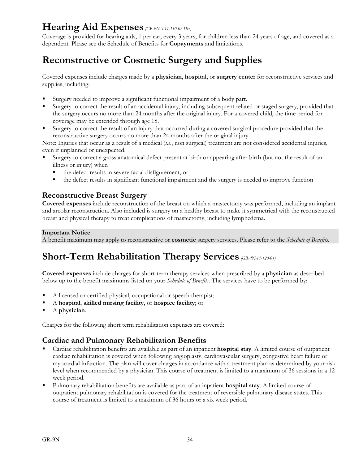# **Hearing Aid Expenses** *(GR-9N S-11-110-02 DE)*

Coverage is provided for hearing aids, 1 per ear, every 3 years, for children less than 24 years of age, and covered as a dependent. Please see the Schedule of Benefits for **Copayments** and limitations.

# **Reconstructive or Cosmetic Surgery and Supplies**

Covered expenses include charges made by a **physician**, **hospital**, or **surgery center** for reconstructive services and supplies, including:

- Surgery needed to improve a significant functional impairment of a body part.
- Surgery to correct the result of an accidental injury, including subsequent related or staged surgery, provided that the surgery occurs no more than 24 months after the original injury. For a covered child, the time period for coverage may be extended through age 18.
- Surgery to correct the result of an injury that occurred during a covered surgical procedure provided that the reconstructive surgery occurs no more than 24 months after the original injury.

Note: Injuries that occur as a result of a medical (*i.e*., non surgical) treatment are not considered accidental injuries, even if unplanned or unexpected.

- Surgery to correct a gross anatomical defect present at birth or appearing after birth (but not the result of an illness or injury) when
	- the defect results in severe facial disfigurement, or
	- the defect results in significant functional impairment and the surgery is needed to improve function

## **Reconstructive Breast Surgery**

**Covered expenses** include reconstruction of the breast on which a mastectomy was performed, including an implant and areolar reconstruction. Also included is surgery on a healthy breast to make it symmetrical with the reconstructed breast and physical therapy to treat complications of mastectomy, including lymphedema.

#### **Important Notice**

A benefit maximum may apply to reconstructive or **cosmetic** surgery services. Please refer to the *Schedule of Benefits.*

# **Short-Term Rehabilitation Therapy Services** *(GR-9N-11-120-01)*

**Covered expenses** include charges for short-term therapy services when prescribed by a **physician** as described below up to the benefit maximums listed on your *Schedule of Benefits*. The services have to be performed by:

- A licensed or certified physical, occupational or speech therapist;
- A **hospital**, **skilled nursing facility**, or **hospice facility**; or
- A **physician**.

Charges for the following short term rehabilitation expenses are covered:

# **Cardiac and Pulmonary Rehabilitation Benefits**.

- Cardiac rehabilitation benefits are available as part of an inpatient **hospital stay**. A limited course of outpatient cardiac rehabilitation is covered when following angioplasty, cardiovascular surgery, congestive heart failure or myocardial infarction. The plan will cover charges in accordance with a treatment plan as determined by your risk level when recommended by a physician. This course of treatment is limited to a maximum of 36 sessions in a 12 week period.
- Pulmonary rehabilitation benefits are available as part of an inpatient **hospital stay**. A limited course of outpatient pulmonary rehabilitation is covered for the treatment of reversible pulmonary disease states. This course of treatment is limited to a maximum of 36 hours or a six week period.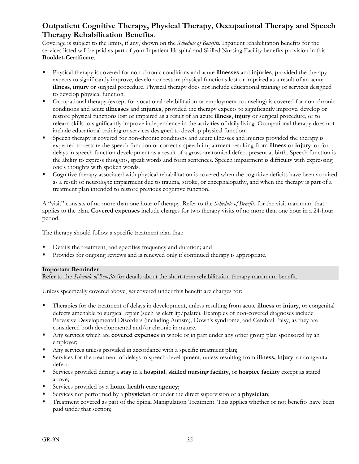# **Outpatient Cognitive Therapy, Physical Therapy, Occupational Therapy and Speech Therapy Rehabilitation Benefits**.

Coverage is subject to the limits, if any, shown on the *Schedule of Benefits*. Inpatient rehabilitation benefits for the services listed will be paid as part of your Inpatient Hospital and Skilled Nursing Facility benefits provision in this **Booklet-Certificate**.

- Physical therapy is covered for non-chronic conditions and acute **illnesses** and **injuries**, provided the therapy expects to significantly improve, develop or restore physical functions lost or impaired as a result of an acute **illness**, **injury** or surgical procedure. Physical therapy does not include educational training or services designed to develop physical function.
- Occupational therapy (except for vocational rehabilitation or employment counseling) is covered for non-chronic conditions and acute **illnesses** and **injuries**, provided the therapy expects to significantly improve, develop or restore physical functions lost or impaired as a result of an acute **illness**, **injury** or surgical procedure, or to relearn skills to significantly improve independence in the activities of daily living. Occupational therapy does not include educational training or services designed to develop physical function.
- Speech therapy is covered for non-chronic conditions and acute illnesses and injuries provided the therapy is expected to restore the speech function or correct a speech impairment resulting from **illness** or **injury**; or for delays in speech function development as a result of a gross anatomical defect present at birth. Speech function is the ability to express thoughts, speak words and form sentences. Speech impairment is difficulty with expressing one's thoughts with spoken words.
- Cognitive therapy associated with physical rehabilitation is covered when the cognitive deficits have been acquired as a result of neurologic impairment due to trauma, stroke, or encephalopathy, and when the therapy is part of a treatment plan intended to restore previous cognitive function.

A "visit" consists of no more than one hour of therapy. Refer to the *Schedule of Benefits* for the visit maximum that applies to the plan. **Covered expenses** include charges for two therapy visits of no more than one hour in a 24-hour period.

The therapy should follow a specific treatment plan that:

- Details the treatment, and specifies frequency and duration; and
- Provides for ongoing reviews and is renewed only if continued therapy is appropriate.

#### **Important Reminder**

Refer to the *Schedule of Benefits* for details about the short-term rehabilitation therapy maximum benefit.

Unless specifically covered above, *not* covered under this benefit are charges for:

- Therapies for the treatment of delays in development, unless resulting from acute **illness** or **injury**, or congenital defects amenable to surgical repair (such as cleft lip/palate). Examples of non-covered diagnoses include Pervasive Developmental Disorders (including Autism), Down's syndrome, and Cerebral Palsy, as they are considered both developmental and/or chronic in nature.
- Any services which are **covered expenses** in whole or in part under any other group plan sponsored by an employer;
- Any services unless provided in accordance with a specific treatment plan;
- Services for the treatment of delays in speech development, unless resulting from **illness, injury**, or congenital defect;
- Services provided during a **stay** in a **hospital**, **skilled nursing facility**, or **hospice facility** except as stated above;
- Services provided by a **home health care agency**;
- Services not performed by a **physician** or under the direct supervision of a **physician**;
- Treatment covered as part of the Spinal Manipulation Treatment. This applies whether or not benefits have been paid under that section;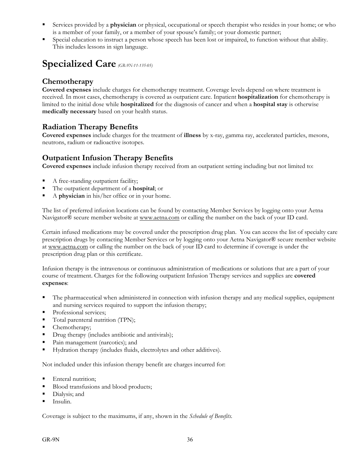- Services provided by a **physician** or physical, occupational or speech therapist who resides in your home; or who is a member of your family, or a member of your spouse's family; or your domestic partner;
- Special education to instruct a person whose speech has been lost or impaired, to function without that ability. This includes lessons in sign language.

# **Specialized Care** *(GR-9N-11-135-05)*

# **Chemotherapy**

**Covered expenses** include charges for chemotherapy treatment. Coverage levels depend on where treatment is received. In most cases, chemotherapy is covered as outpatient care. Inpatient **hospitalization** for chemotherapy is limited to the initial dose while **hospitalized** for the diagnosis of cancer and when a **hospital stay** is otherwise **medically necessary** based on your health status.

# **Radiation Therapy Benefits**

**Covered expenses** include charges for the treatment of **illness** by x-ray, gamma ray, accelerated particles, mesons, neutrons, radium or radioactive isotopes.

# **Outpatient Infusion Therapy Benefits**

**Covered expenses** include infusion therapy received from an outpatient setting including but not limited to:

- A free-standing outpatient facility;
- The outpatient department of a **hospital**; or
- A **physician** in his/her office or in your home.

The list of preferred infusion locations can be found by contacting Member Services by logging onto your Aetna Navigator® secure member website at www.aetna.com or calling the number on the back of your ID card.

Certain infused medications may be covered under the prescription drug plan. You can access the list of specialty care prescription drugs by contacting Member Services or by logging onto your Aetna Navigator® secure member website at www.aetna.com or calling the number on the back of your ID card to determine if coverage is under the prescription drug plan or this certificate.

Infusion therapy is the intravenous or continuous administration of medications or solutions that are a part of your course of treatment. Charges for the following outpatient Infusion Therapy services and supplies are **covered expenses**:

- The pharmaceutical when administered in connection with infusion therapy and any medical supplies, equipment and nursing services required to support the infusion therapy;
- Professional services;
- Total parenteral nutrition (TPN);
- Chemotherapy;
- **Drug therapy (includes antibiotic and antivirals);**
- Pain management (narcotics); and
- Hydration therapy (includes fluids, electrolytes and other additives).

Not included under this infusion therapy benefit are charges incurred for:

- Enteral nutrition;
- Blood transfusions and blood products;
- Dialysis; and
- Insulin.

Coverage is subject to the maximums, if any, shown in the *Schedule of Benefits*.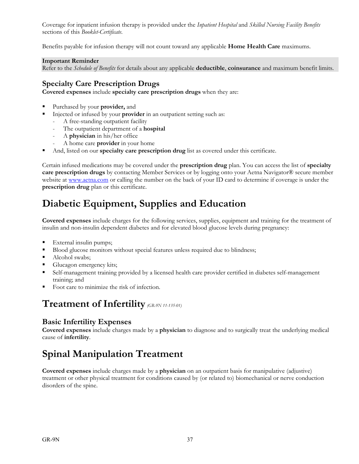Coverage for inpatient infusion therapy is provided under the *Inpatient Hospital* and *Skilled Nursing Facility Benefits* sections of this *Booklet-Certificate*.

Benefits payable for infusion therapy will not count toward any applicable **Home Health Care** maximums.

### **Important Reminder**

Refer to the *Schedule of Benefits* for details about any applicable **deductible**, **coinsurance** and maximum benefit limits.

# **Specialty Care Prescription Drugs**

**Covered expenses** include **specialty care prescription drugs** when they are:

- Purchased by your **provider,** and
- Injected or infused by your **provider** in an outpatient setting such as:
	- A free-standing outpatient facility
	- The outpatient department of a **hospital**
	- A **physician** in his/her office
	- A home care **provider** in your home
- And, listed on our **specialty care prescription drug** list as covered under this certificate.

Certain infused medications may be covered under the **prescription drug** plan. You can access the list of **specialty care prescription drugs** by contacting Member Services or by logging onto your Aetna Navigator® secure member website at www.aetna.com or calling the number on the back of your ID card to determine if coverage is under the **prescription drug** plan or this certificate.

# **Diabetic Equipment, Supplies and Education**

**Covered expenses** include charges for the following services, supplies, equipment and training for the treatment of insulin and non-insulin dependent diabetes and for elevated blood glucose levels during pregnancy:

- External insulin pumps;
- Blood glucose monitors without special features unless required due to blindness;
- Alcohol swabs;
- Glucagon emergency kits;
- Self-management training provided by a licensed health care provider certified in diabetes self-management training; and
- Foot care to minimize the risk of infection.

# **Treatment of Infertility** *(GR-9N 11-135-01)*

# **Basic Infertility Expenses**

**Covered expenses** include charges made by a **physician** to diagnose and to surgically treat the underlying medical cause of **infertility**.

# **Spinal Manipulation Treatment**

**Covered expenses** include charges made by a **physician** on an outpatient basis for manipulative (adjustive) treatment or other physical treatment for conditions caused by (or related to) biomechanical or nerve conduction disorders of the spine.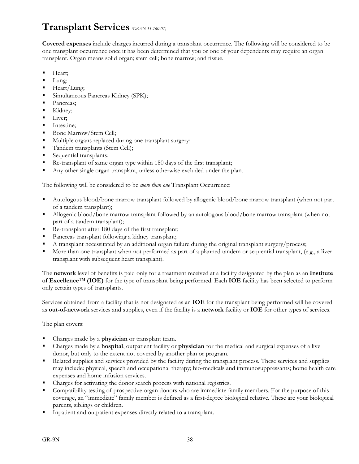# **Transplant Services** *(GR-9N 11-160-01)*

**Covered expenses** include charges incurred during a transplant occurrence. The following will be considered to be one transplant occurrence once it has been determined that you or one of your dependents may require an organ transplant. Organ means solid organ; stem cell; bone marrow; and tissue.

- Heart;
- $\blacksquare$  Lung;
- $Heart/Lung;$
- **Simultaneous Pancreas Kidney (SPK);**
- Pancreas;
- Kidney;
- **Liver**;
- **Intestine:**
- Bone Marrow/Stem Cell;
- Multiple organs replaced during one transplant surgery;
- Tandem transplants (Stem Cell);
- Sequential transplants;
- Re-transplant of same organ type within 180 days of the first transplant;
- Any other single organ transplant, unless otherwise excluded under the plan.

The following will be considered to be *more than one* Transplant Occurrence:

- Autologous blood/bone marrow transplant followed by allogenic blood/bone marrow transplant (when not part of a tandem transplant);
- Allogenic blood/bone marrow transplant followed by an autologous blood/bone marrow transplant (when not part of a tandem transplant);
- Re-transplant after 180 days of the first transplant;
- Pancreas transplant following a kidney transplant;
- A transplant necessitated by an additional organ failure during the original transplant surgery/process;
- More than one transplant when not performed as part of a planned tandem or sequential transplant, (e.g., a liver transplant with subsequent heart transplant).

The **network** level of benefits is paid only for a treatment received at a facility designated by the plan as an **Institute of Excellence**™ **(IOE)** for the type of transplant being performed. Each **IOE** facility has been selected to perform only certain types of transplants.

Services obtained from a facility that is not designated as an **IOE** for the transplant being performed will be covered as **out-of-network** services and supplies, even if the facility is a **network** facility or **IOE** for other types of services.

The plan covers:

- Charges made by a **physician** or transplant team.
- Charges made by a **hospital**, outpatient facility or **physician** for the medical and surgical expenses of a live donor, but only to the extent not covered by another plan or program.
- Related supplies and services provided by the facility during the transplant process. These services and supplies may include: physical, speech and occupational therapy; bio-medicals and immunosuppressants; home health care expenses and home infusion services.
- Charges for activating the donor search process with national registries.
- Compatibility testing of prospective organ donors who are immediate family members. For the purpose of this coverage, an "immediate" family member is defined as a first-degree biological relative. These are your biological parents, siblings or children.
- Inpatient and outpatient expenses directly related to a transplant.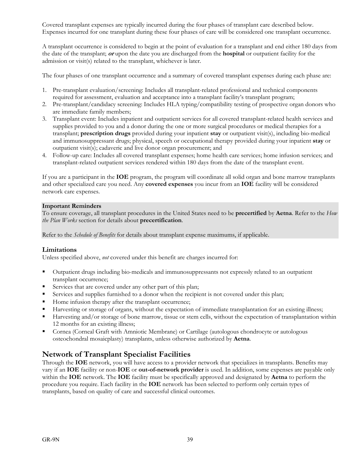Covered transplant expenses are typically incurred during the four phases of transplant care described below. Expenses incurred for one transplant during these four phases of care will be considered one transplant occurrence.

A transplant occurrence is considered to begin at the point of evaluation for a transplant and end either 180 days from the date of the transplant; **or** upon the date you are discharged from the **hospital** or outpatient facility for the admission or visit(s) related to the transplant, whichever is later.

The four phases of one transplant occurrence and a summary of covered transplant expenses during each phase are:

- 1. Pre-transplant evaluation/screening: Includes all transplant-related professional and technical components required for assessment, evaluation and acceptance into a transplant facility's transplant program;
- 2. Pre-transplant/candidacy screening: Includes HLA typing/compatibility testing of prospective organ donors who are immediate family members;
- 3. Transplant event: Includes inpatient and outpatient services for all covered transplant-related health services and supplies provided to you and a donor during the one or more surgical procedures or medical therapies for a transplant; **prescription drugs** provided during your inpatient **stay** or outpatient visit(s), including bio-medical and immunosuppressant drugs; physical, speech or occupational therapy provided during your inpatient **stay** or outpatient visit(s); cadaveric and live donor organ procurement; and
- 4. Follow-up care: Includes all covered transplant expenses; home health care services; home infusion services; and transplant-related outpatient services rendered within 180 days from the date of the transplant event.

If you are a participant in the **IOE** program, the program will coordinate all solid organ and bone marrow transplants and other specialized care you need. Any **covered expenses** you incur from an **IOE** facility will be considered network care expenses.

#### **Important Reminders**

To ensure coverage, all transplant procedures in the United States need to be **precertified** by **Aetna**. Refer to the *How the Plan Works* section for details about **precertification**.

Refer to the *Schedule of Benefits* for details about transplant expense maximums, if applicable.

#### **Limitations**

Unless specified above, *not* covered under this benefit are charges incurred for:

- Outpatient drugs including bio-medicals and immunosuppressants not expressly related to an outpatient transplant occurrence;
- Services that are covered under any other part of this plan;
- Services and supplies furnished to a donor when the recipient is not covered under this plan;
- Home infusion therapy after the transplant occurrence;
- Harvesting or storage of organs, without the expectation of immediate transplantation for an existing illness;
- Harvesting and/or storage of bone marrow, tissue or stem cells, without the expectation of transplantation within 12 months for an existing illness;
- Cornea (Corneal Graft with Amniotic Membrane) or Cartilage (autologous chondrocyte or autologous osteochondral mosaicplasty) transplants, unless otherwise authorized by **Aetna**.

## **Network of Transplant Specialist Facilities**

Through the **IOE** network, you will have access to a provider network that specializes in transplants. Benefits may vary if an **IOE** facility or non-**IOE** or **out-of-network provider** is used. In addition, some expenses are payable only within the **IOE** network. The **IOE** facility must be specifically approved and designated by **Aetna** to perform the procedure you require. Each facility in the **IOE** network has been selected to perform only certain types of transplants, based on quality of care and successful clinical outcomes.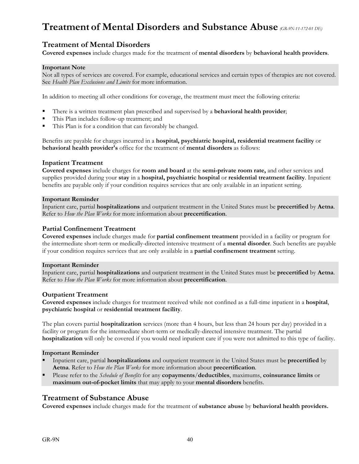# **Treatment of Mental Disorders and Substance Abuse** *(GR-9N-11-172-01 DE)*

## **Treatment of Mental Disorders**

**Covered expenses** include charges made for the treatment of **mental disorders** by **behavioral health providers**.

#### **Important Note**

Not all types of services are covered. For example, educational services and certain types of therapies are not covered. See *Health Plan Exclusions and Limits* for more information.

In addition to meeting all other conditions for coverage, the treatment must meet the following criteria:

- There is a written treatment plan prescribed and supervised by a **behavioral health provider**;
- This Plan includes follow-up treatment; and
- This Plan is for a condition that can favorably be changed.

Benefits are payable for charges incurred in a **hospital, psychiatric hospital, residential treatment facility** or **behavioral health provider's** office for the treatment of **mental disorders** as follows:

#### **Inpatient Treatment**

**Covered expenses** include charges for **room and board** at the **semi-private room rate,** and other services and supplies provided during your **stay** in a **hospital, psychiatric hospital** or **residential treatment facility**. Inpatient benefits are payable only if your condition requires services that are only available in an inpatient setting.

#### **Important Reminder**

Inpatient care, partial **hospitalizations** and outpatient treatment in the United States must be **precertified** by **Aetna**. Refer to *How the Plan Works* for more information about **precertification**.

#### **Partial Confinement Treatment**

**Covered expenses** include charges made for **partial confinement treatment** provided in a facility or program for the intermediate short-term or medically-directed intensive treatment of a **mental disorder**. Such benefits are payable if your condition requires services that are only available in a **partial confinement treatment** setting.

#### **Important Reminder**

Inpatient care, partial **hospitalizations** and outpatient treatment in the United States must be **precertified** by **Aetna**. Refer to *How the Plan Works* for more information about **precertification**.

#### **Outpatient Treatment**

**Covered expenses** include charges for treatment received while not confined as a full-time inpatient in a **hospital**, **psychiatric hospital** or **residential treatment facility**.

The plan covers partial **hospitalization** services (more than 4 hours, but less than 24 hours per day) provided in a facility or program for the intermediate short-term or medically-directed intensive treatment. The partial **hospitalization** will only be covered if you would need inpatient care if you were not admitted to this type of facility.

#### **Important Reminder**

- Inpatient care, partial **hospitalizations** and outpatient treatment in the United States must be **precertified** by **Aetna**. Refer to *How the Plan Works* for more information about **precertification**.
- Please refer to the *Schedule of Benefits* for any **copayments**/**deductibles**, maximums, **coinsurance limits** or **maximum out-of-pocket limits** that may apply to your **mental disorders** benefits.

## **Treatment of Substance Abuse**

**Covered expenses** include charges made for the treatment of **substance abuse** by **behavioral health providers.**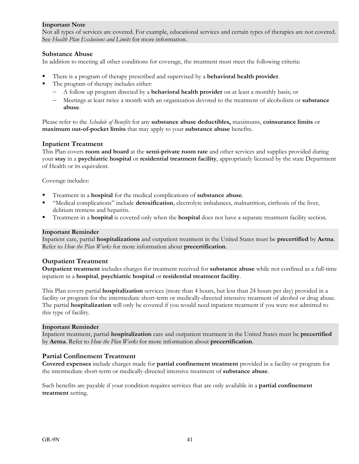#### **Important Note**

Not all types of services are covered. For example, educational services and certain types of therapies are not covered. See *Health Plan Exclusions and Limits* for more information.

### **Substance Abuse**

In addition to meeting all other conditions for coverage, the treatment must meet the following criteria:

- There is a program of therapy prescribed and supervised by a **behavioral health provider**.
- The program of therapy includes either:
	- A follow up program directed by a **behavioral health provider** on at least a monthly basis; or
	- Meetings at least twice a month with an organization devoted to the treatment of alcoholism or **substance abuse**.

Please refer to the *Schedule of Benefits* for any **substance abuse deductibles,** maximums, **coinsurance limits** or **maximum out-of-pocket limits** that may apply to your **substance abuse** benefits.

#### **Inpatient Treatment**

This Plan covers **room and board** at the **semi-private room rate** and other services and supplies provided during your **stay** in a **psychiatric hospital** or **residential treatment facility**, appropriately licensed by the state Department of Health or its equivalent.

Coverage includes:

- Treatment in a **hospital** for the medical complications of **substance abuse**.
- "Medical complications" include **detoxification**, electrolyte imbalances, malnutrition, cirrhosis of the liver, delirium tremens and hepatitis.
- Treatment in a **hospital** is covered only when the **hospital** does not have a separate treatment facility section.

#### **Important Reminder**

Inpatient care, partial **hospitalizations** and outpatient treatment in the United States must be **precertified** by **Aetna**. Refer to *How the Plan Works* for more information about **precertification**.

#### **Outpatient Treatment**

**Outpatient treatment** includes charges for treatment received for **substance abuse** while not confined as a full-time inpatient in a **hospital**, **psychiatric hospital** or **residential treatment facility**.

This Plan covers partial **hospitalization** services (more than 4 hours, but less than 24 hours per day) provided in a facility or program for the intermediate short-term or medically-directed intensive treatment of alcohol or drug abuse. The partial **hospitalization** will only be covered if you would need inpatient treatment if you were not admitted to this type of facility.

#### **Important Reminder**

Inpatient treatment, partial-**hospitalization** care and outpatient treatment in the United States must be **precertified** by **Aetna**. Refer to *How the Plan Works* for more information about **precertification**.

#### **Partial Confinement Treatment**

**Covered expenses** include charges made for **partial confinement treatment** provided in a facility or program for the intermediate short-term or medically-directed intensive treatment of **substance abuse**.

Such benefits are payable if your condition requires services that are only available in a **partial confinement treatment** setting.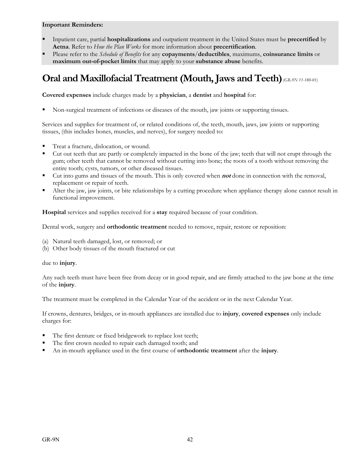#### **Important Reminders:**

- Inpatient care, partial **hospitalizations** and outpatient treatment in the United States must be **precertified** by **Aetna**. Refer to *How the Plan Works* for more information about **precertification**.
- Please refer to the *Schedule of Benefits* for any **copayments**/**deductibles**, maximums, **coinsurance limits** or **maximum out-of-pocket limits** that may apply to your **substance abuse** benefits.

# **Oral and Maxillofacial Treatment (Mouth, Jaws and Teeth)** *(GR-9N 11-180-01)*

**Covered expenses** include charges made by a **physician**, a **dentist** and **hospital** for:

Non-surgical treatment of infections or diseases of the mouth, jaw joints or supporting tissues.

Services and supplies for treatment of, or related conditions of, the teeth, mouth, jaws, jaw joints or supporting tissues, (this includes bones, muscles, and nerves), for surgery needed to:

- Treat a fracture, dislocation, or wound.
- Cut out teeth that are partly or completely impacted in the bone of the jaw; teeth that will not erupt through the gum; other teeth that cannot be removed without cutting into bone; the roots of a tooth without removing the entire tooth; cysts, tumors, or other diseased tissues.
- Cut into gums and tissues of the mouth. This is only covered when **not** done in connection with the removal, replacement or repair of teeth.
- Alter the jaw, jaw joints, or bite relationships by a cutting procedure when appliance therapy alone cannot result in functional improvement.

**Hospital** services and supplies received for a **stay** required because of your condition.

Dental work, surgery and **orthodontic treatment** needed to remove, repair, restore or reposition:

- (a) Natural teeth damaged, lost, or removed; or
- (b) Other body tissues of the mouth fractured or cut

#### due to **injury**.

Any such teeth must have been free from decay or in good repair, and are firmly attached to the jaw bone at the time of the **injury**.

The treatment must be completed in the Calendar Year of the accident or in the next Calendar Year.

If crowns, dentures, bridges, or in-mouth appliances are installed due to **injury**, **covered expenses** only include charges for:

- The first denture or fixed bridgework to replace lost teeth;
- The first crown needed to repair each damaged tooth; and
- An in-mouth appliance used in the first course of **orthodontic treatment** after the **injury**.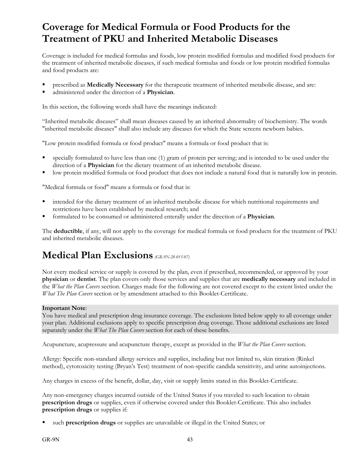# **Coverage for Medical Formula or Food Products for the Treatment of PKU and Inherited Metabolic Diseases**

Coverage is included for medical formulas and foods, low protein modified formulas and modified food products for the treatment of inherited metabolic diseases, if such medical formulas and foods or low protein modified formulas and food products are:

- prescribed as **Medically Necessary** for the therapeutic treatment of inherited metabolic disease, and are:
- administered under the direction of a **Physician**.

In this section, the following words shall have the meanings indicated:

"Inherited metabolic diseases" shall mean diseases caused by an inherited abnormality of biochemistry. The words "inherited metabolic diseases" shall also include any diseases for which the State screens newborn babies.

"Low protein modified formula or food product" means a formula or food product that is:

- specially formulated to have less than one (1) gram of protein per serving; and is intended to be used under the direction of a **Physician** for the dietary treatment of an inherited metabolic disease.
- low protein modified formula or food product that does not include a natural food that is naturally low in protein.

"Medical formula or food" means a formula or food that is:

- intended for the dietary treatment of an inherited metabolic disease for which nutritional requirements and restrictions have been established by medical research; and
- formulated to be consumed or administered enterally under the direction of a **Physician**.

The **deductible**, if any, will not apply to the coverage for medical formula or food products for the treatment of PKU and inherited metabolic diseases.

# **Medical Plan Exclusions** *(GR-9N-28-015-07)*

Not every medical service or supply is covered by the plan, even if prescribed, recommended, or approved by your **physician** or **dentist**. The plan covers only those services and supplies that are **medically necessary** and included in the *What the Plan Covers* section. Charges made for the following are not covered except to the extent listed under the *What The Plan Covers* section or by amendment attached to this Booklet-Certificate.

#### **Important Note**:

You have medical and prescription drug insurance coverage. The exclusions listed below apply to all coverage under your plan. Additional exclusions apply to specific prescription drug coverage. Those additional exclusions are listed separately under the *What The Plan Covers* section for each of these benefits.

Acupuncture, acupressure and acupuncture therapy, except as provided in the *What the Plan Covers* section.

Allergy: Specific non-standard allergy services and supplies, including but not limited to, skin titration (Rinkel method), cytotoxicity testing (Bryan's Test) treatment of non-specific candida sensitivity, and urine autoinjections.

Any charges in excess of the benefit, dollar, day, visit or supply limits stated in this Booklet-Certificate.

Any non-emergency charges incurred outside of the United States if you traveled to such location to obtain **prescription drugs** or supplies, even if otherwise covered under this Booklet-Certificate. This also includes **prescription drugs** or supplies if:

such **prescription drugs** or supplies are unavailable or illegal in the United States; or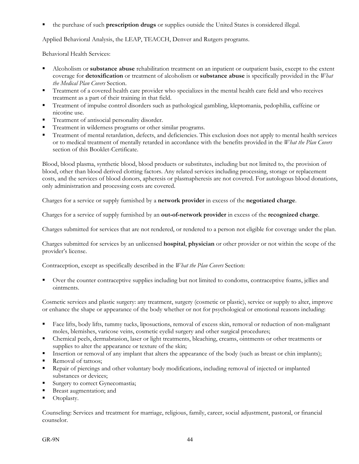the purchase of such **prescription drugs** or supplies outside the United States is considered illegal.

Applied Behavioral Analysis, the LEAP, TEACCH, Denver and Rutgers programs.

Behavioral Health Services:

- Alcoholism or **substance abuse** rehabilitation treatment on an inpatient or outpatient basis, except to the extent coverage for **detoxification** or treatment of alcoholism or **substance abuse** is specifically provided in the *What the Medical Plan Covers* Section.
- Treatment of a covered health care provider who specializes in the mental health care field and who receives treatment as a part of their training in that field.
- Treatment of impulse control disorders such as pathological gambling, kleptomania, pedophilia, caffeine or nicotine use.
- Treatment of antisocial personality disorder.
- Treatment in wilderness programs or other similar programs.
- Treatment of mental retardation, defects, and deficiencies. This exclusion does not apply to mental health services or to medical treatment of mentally retarded in accordance with the benefits provided in the *What the Plan Covers*  section of this Booklet-Certificate.

Blood, blood plasma, synthetic blood, blood products or substitutes, including but not limited to, the provision of blood, other than blood derived clotting factors. Any related services including processing, storage or replacement costs, and the services of blood donors, apheresis or plasmapheresis are not covered. For autologous blood donations, only administration and processing costs are covered.

Charges for a service or supply furnished by a **network provider** in excess of the **negotiated charge**.

Charges for a service of supply furnished by an **out-of-network provider** in excess of the **recognized charge**.

Charges submitted for services that are not rendered, or rendered to a person not eligible for coverage under the plan.

Charges submitted for services by an unlicensed **hospital**, **physician** or other provider or not within the scope of the provider's license.

Contraception, except as specifically described in the *What the Plan Covers* Section:

 Over the counter contraceptive supplies including but not limited to condoms, contraceptive foams, jellies and ointments.

Cosmetic services and plastic surgery: any treatment, surgery (cosmetic or plastic), service or supply to alter, improve or enhance the shape or appearance of the body whether or not for psychological or emotional reasons including:

- Face lifts, body lifts, tummy tucks, liposuctions, removal of excess skin, removal or reduction of non-malignant moles, blemishes, varicose veins, cosmetic eyelid surgery and other surgical procedures;
- Chemical peels, dermabrasion, laser or light treatments, bleaching, creams, ointments or other treatments or supplies to alter the appearance or texture of the skin;
- Insertion or removal of any implant that alters the appearance of the body (such as breast or chin implants);
- Removal of tattoos;
- Repair of piercings and other voluntary body modifications, including removal of injected or implanted substances or devices;
- Surgery to correct Gynecomastia;
- Breast augmentation; and
- Otoplasty.

Counseling: Services and treatment for marriage, religious, family, career, social adjustment, pastoral, or financial counselor.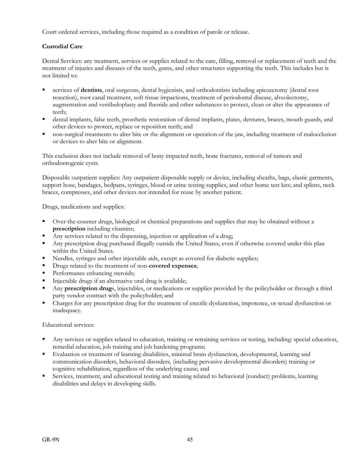Court ordered services, including those required as a condition of parole or release.

## **Custodial Care**

Dental Services: any treatment, services or supplies related to the care, filling, removal or replacement of teeth and the treatment of injuries and diseases of the teeth, gums, and other structures supporting the teeth. This includes but is not limited to:

- services of **dentists**, oral surgeons, dental hygienists, and orthodontists including apicoectomy (dental root resection), root canal treatment, soft tissue impactions, treatment of periodontal disease, alveolectomy, augmentation and vestibuloplasty and fluoride and other substances to protect, clean or alter the appearance of teeth;
- dental implants, false teeth, prosthetic restoration of dental implants, plates, dentures, braces, mouth guards, and other devices to protect, replace or reposition teeth; and
- non-surgical treatments to alter bite or the alignment or operation of the jaw, including treatment of malocclusion or devices to alter bite or alignment.

This exclusion does not include removal of bony impacted teeth, bone fractures, removal of tumors and orthodontogenic cysts.

Disposable outpatient supplies: Any outpatient disposable supply or device, including sheaths, bags, elastic garments, support hose, bandages, bedpans, syringes, blood or urine testing supplies, and other home test kits; and splints, neck braces, compresses, and other devices not intended for reuse by another patient.

Drugs, medications and supplies:

- Over-the-counter drugs, biological or chemical preparations and supplies that may be obtained without a **prescription** including vitamins;
- Any services related to the dispensing, injection or application of a drug;
- Any prescription drug purchased illegally outside the United States, even if otherwise covered under this plan within the United States.
- Needles, syringes and other injectable aids, except as covered for diabetic supplies;
- Drugs related to the treatment of non-**covered expenses**;
- **Performance enhancing steroids;**
- Injectable drugs if an alternative oral drug is available;
- Any **prescription drug**s, injectables, or medications or supplies provided by the policyholder or through a third party vendor contract with the policyholder; and
- Charges for any prescription drug for the treatment of erectile dysfunction, impotence, or sexual dysfunction or inadequacy.

Educational services:

- Any services or supplies related to education, training or retraining services or testing, including: special education, remedial education, job training and job hardening programs;
- Evaluation or treatment of learning disabilities, minimal brain dysfunction, developmental, learning and communication disorders, behavioral disorders, (including pervasive developmental disorders) training or cognitive rehabilitation, regardless of the underlying cause; and
- Services, treatment, and educational testing and training related to behavioral (conduct) problems, learning disabilities and delays in developing skills.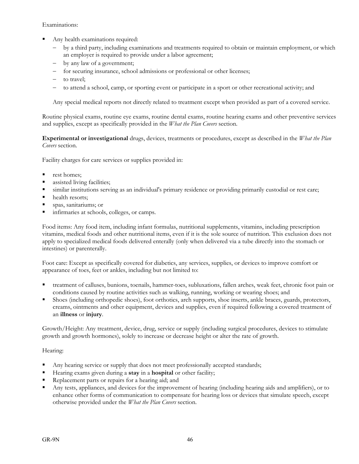Examinations:

- Any health examinations required:
	- by a third party, including examinations and treatments required to obtain or maintain employment, or which an employer is required to provide under a labor agreement;
	- by any law of a government;
	- for securing insurance, school admissions or professional or other licenses;
	- to travel:
	- to attend a school, camp, or sporting event or participate in a sport or other recreational activity; and

Any special medical reports not directly related to treatment except when provided as part of a covered service.

Routine physical exams, routine eye exams, routine dental exams, routine hearing exams and other preventive services and supplies, except as specifically provided in the *What the Plan Covers* section.

**Experimental or investigational** drugs, devices, treatments or procedures, except as described in the *What the Plan Covers* section.

Facility charges for care services or supplies provided in:

- **rest homes;**
- assisted living facilities;
- similar institutions serving as an individual's primary residence or providing primarily custodial or rest care;
- health resorts;
- spas, sanitariums; or
- infirmaries at schools, colleges, or camps.

Food items: Any food item, including infant formulas, nutritional supplements, vitamins, including prescription vitamins, medical foods and other nutritional items, even if it is the sole source of nutrition. This exclusion does not apply to specialized medical foods delivered enterally (only when delivered via a tube directly into the stomach or intestines) or parenterally.

Foot care: Except as specifically covered for diabetics, any services, supplies, or devices to improve comfort or appearance of toes, feet or ankles, including but not limited to:

- treatment of calluses, bunions, toenails, hammer-toes, subluxations, fallen arches, weak feet, chronic foot pain or conditions caused by routine activities such as walking, running, working or wearing shoes; and
- Shoes (including orthopedic shoes), foot orthotics, arch supports, shoe inserts, ankle braces, guards, protectors, creams, ointments and other equipment, devices and supplies, even if required following a covered treatment of an **illness** or **injury**.

Growth/Height: Any treatment, device, drug, service or supply (including surgical procedures, devices to stimulate growth and growth hormones), solely to increase or decrease height or alter the rate of growth.

#### Hearing:

- Any hearing service or supply that does not meet professionally accepted standards;
- Hearing exams given during a **stay** in a **hospital** or other facility;
- Replacement parts or repairs for a hearing aid; and
- Any tests, appliances, and devices for the improvement of hearing (including hearing aids and amplifiers), or to enhance other forms of communication to compensate for hearing loss or devices that simulate speech, except otherwise provided under the *What the Plan Covers* section.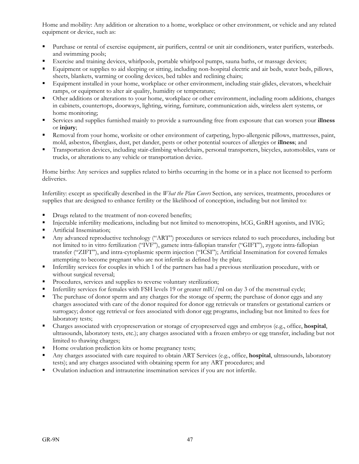Home and mobility: Any addition or alteration to a home, workplace or other environment, or vehicle and any related equipment or device, such as:

- Purchase or rental of exercise equipment, air purifiers, central or unit air conditioners, water purifiers, waterbeds. and swimming pools;
- Exercise and training devices, whirlpools, portable whirlpool pumps, sauna baths, or massage devices;
- Equipment or supplies to aid sleeping or sitting, including non-hospital electric and air beds, water beds, pillows, sheets, blankets, warming or cooling devices, bed tables and reclining chairs;
- Equipment installed in your home, workplace or other environment, including stair-glides, elevators, wheelchair ramps, or equipment to alter air quality, humidity or temperature;
- Other additions or alterations to your home, workplace or other environment, including room additions, changes in cabinets, countertops, doorways, lighting, wiring, furniture, communication aids, wireless alert systems, or home monitoring;
- Services and supplies furnished mainly to provide a surrounding free from exposure that can worsen your **illness** or **injury**;
- Removal from your home, worksite or other environment of carpeting, hypo-allergenic pillows, mattresses, paint, mold, asbestos, fiberglass, dust, pet dander, pests or other potential sources of allergies or **illness**; and
- Transportation devices, including stair-climbing wheelchairs, personal transporters, bicycles, automobiles, vans or trucks, or alterations to any vehicle or transportation device.

Home births: Any services and supplies related to births occurring in the home or in a place not licensed to perform deliveries.

Infertility: except as specifically described in the *What the Plan Covers* Section, any services, treatments, procedures or supplies that are designed to enhance fertility or the likelihood of conception, including but not limited to:

- **PED FINDS** related to the treatment of non-covered benefits;
- Injectable infertility medications, including but not limited to menotropins, hCG, GnRH agonists, and IVIG;
- **Artificial Insemination;**
- Any advanced reproductive technology ("ART") procedures or services related to such procedures, including but not limited to in vitro fertilization ("IVF"), gamete intra-fallopian transfer ("GIFT"), zygote intra-fallopian transfer ("ZIFT"), and intra-cytoplasmic sperm injection ("ICSI"); Artificial Insemination for covered females attempting to become pregnant who are not infertile as defined by the plan;
- Infertility services for couples in which 1 of the partners has had a previous sterilization procedure, with or without surgical reversal;
- Procedures, services and supplies to reverse voluntary sterilization;
- Infertility services for females with FSH levels 19 or greater mIU/ml on day 3 of the menstrual cycle;
- The purchase of donor sperm and any charges for the storage of sperm; the purchase of donor eggs and any charges associated with care of the donor required for donor egg retrievals or transfers or gestational carriers or surrogacy; donor egg retrieval or fees associated with donor egg programs, including but not limited to fees for laboratory tests;
- Charges associated with cryopreservation or storage of cryopreserved eggs and embryos (e.g., office, **hospital**, ultrasounds, laboratory tests, etc.); any charges associated with a frozen embryo or egg transfer, including but not limited to thawing charges;
- Home ovulation prediction kits or home pregnancy tests;
- Any charges associated with care required to obtain ART Services (e.g., office, **hospital**, ultrasounds, laboratory tests); and any charges associated with obtaining sperm for any ART procedures; and
- Ovulation induction and intrauterine insemination services if you are not infertile.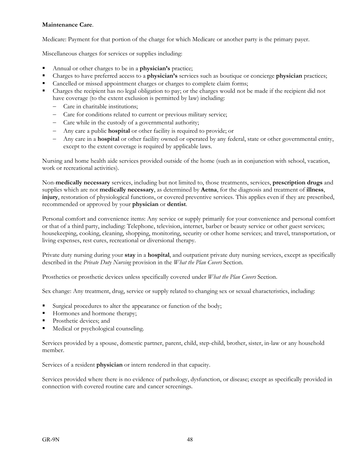### **Maintenance Care**.

Medicare: Payment for that portion of the charge for which Medicare or another party is the primary payer.

Miscellaneous charges for services or supplies including:

- Annual or other charges to be in a **physician's** practice;
- Charges to have preferred access to a **physician's** services such as boutique or concierge **physician** practices;
- Cancelled or missed appointment charges or charges to complete claim forms;
- Charges the recipient has no legal obligation to pay; or the charges would not be made if the recipient did not have coverage (to the extent exclusion is permitted by law) including:
	- Care in charitable institutions;
	- Care for conditions related to current or previous military service;
	- Care while in the custody of a governmental authority;
	- Any care a public **hospital** or other facility is required to provide; or
	- Any care in a **hospital** or other facility owned or operated by any federal, state or other governmental entity, except to the extent coverage is required by applicable laws.

Nursing and home health aide services provided outside of the home (such as in conjunction with school, vacation, work or recreational activities).

Non-**medically necessary** services, including but not limited to, those treatments, services, **prescription drugs** and supplies which are not **medically necessary**, as determined by **Aetna**, for the diagnosis and treatment of **illness**, **injury**, restoration of physiological functions, or covered preventive services. This applies even if they are prescribed, recommended or approved by your **physician** or **dentist**.

Personal comfort and convenience items: Any service or supply primarily for your convenience and personal comfort or that of a third party, including: Telephone, television, internet, barber or beauty service or other guest services; housekeeping, cooking, cleaning, shopping, monitoring, security or other home services; and travel, transportation, or living expenses, rest cures, recreational or diversional therapy.

Private duty nursing during your **stay** in a **hospital**, and outpatient private duty nursing services, except as specifically described in the *Private Duty Nursing* provision in the *What the Plan Covers* Section.

Prosthetics or prosthetic devices unless specifically covered under *What the Plan Covers* Section.

Sex change: Any treatment, drug, service or supply related to changing sex or sexual characteristics, including:

- Surgical procedures to alter the appearance or function of the body;
- Hormones and hormone therapy;
- **Prosthetic devices; and**
- Medical or psychological counseling.

Services provided by a spouse, domestic partner, parent, child, step-child, brother, sister, in-law or any household member.

Services of a resident **physician** or intern rendered in that capacity.

Services provided where there is no evidence of pathology, dysfunction, or disease; except as specifically provided in connection with covered routine care and cancer screenings.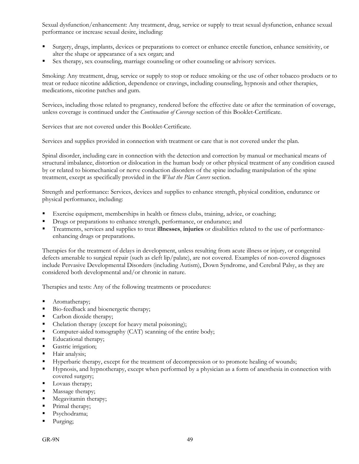Sexual dysfunction/enhancement: Any treatment, drug, service or supply to treat sexual dysfunction, enhance sexual performance or increase sexual desire, including:

- Surgery, drugs, implants, devices or preparations to correct or enhance erectile function, enhance sensitivity, or alter the shape or appearance of a sex organ; and
- Sex therapy, sex counseling, marriage counseling or other counseling or advisory services.

Smoking: Any treatment, drug, service or supply to stop or reduce smoking or the use of other tobacco products or to treat or reduce nicotine addiction, dependence or cravings, including counseling, hypnosis and other therapies, medications, nicotine patches and gum.

Services, including those related to pregnancy, rendered before the effective date or after the termination of coverage, unless coverage is continued under the *Continuation of Coverage* section of this Booklet-Certificate.

Services that are not covered under this Booklet-Certificate.

Services and supplies provided in connection with treatment or care that is not covered under the plan.

Spinal disorder, including care in connection with the detection and correction by manual or mechanical means of structural imbalance, distortion or dislocation in the human body or other physical treatment of any condition caused by or related to biomechanical or nerve conduction disorders of the spine including manipulation of the spine treatment, except as specifically provided in the *What the Plan Covers* section.

Strength and performance: Services, devices and supplies to enhance strength, physical condition, endurance or physical performance, including:

- Exercise equipment, memberships in health or fitness clubs, training, advice, or coaching;
- **•** Drugs or preparations to enhance strength, performance, or endurance; and
- Treatments, services and supplies to treat **illnesses**, **injuries** or disabilities related to the use of performanceenhancing drugs or preparations.

Therapies for the treatment of delays in development, unless resulting from acute illness or injury, or congenital defects amenable to surgical repair (such as cleft lip/palate), are not covered. Examples of non-covered diagnoses include Pervasive Developmental Disorders (including Autism), Down Syndrome, and Cerebral Palsy, as they are considered both developmental and/or chronic in nature.

Therapies and tests: Any of the following treatments or procedures:

- Aromatherapy;
- Bio-feedback and bioenergetic therapy;
- Carbon dioxide therapy;
- Chelation therapy (except for heavy metal poisoning);
- Computer-aided tomography (CAT) scanning of the entire body;
- Educational therapy;
- Gastric irrigation;
- **Hair analysis;**
- Hyperbaric therapy, except for the treatment of decompression or to promote healing of wounds;
- Hypnosis, and hypnotherapy, except when performed by a physician as a form of anesthesia in connection with covered surgery;
- Lovaas therapy;
- **Massage therapy;**
- **Megavitamin therapy;**
- Primal therapy;
- Psychodrama;
- Purging;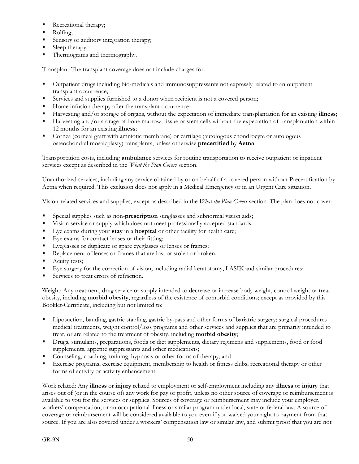- Recreational therapy;
- Rolfing;
- Sensory or auditory integration therapy;
- Sleep therapy;
- Thermograms and thermography.

Transplant-The transplant coverage does not include charges for:

- Outpatient drugs including bio-medicals and immunosuppressants not expressly related to an outpatient transplant occurrence;
- Services and supplies furnished to a donor when recipient is not a covered person;
- Home infusion therapy after the transplant occurrence;
- Harvesting and/or storage of organs, without the expectation of immediate transplantation for an existing **illness**;
- **Harvesting and/or storage of bone marrow, tissue or stem cells without the expectation of transplantation within** 12 months for an existing **illness**;
- Cornea (corneal graft with amniotic membrane) or cartilage (autologous chondrocyte or autologous osteochondral mosaicplasty) transplants, unless otherwise **precertified** by **Aetna**.

Transportation costs, including **ambulance** services for routine transportation to receive outpatient or inpatient services except as described in the *What the Plan Covers* section.

Unauthorized services, including any service obtained by or on behalf of a covered person without Precertification by Aetna when required. This exclusion does not apply in a Medical Emergency or in an Urgent Care situation.

Vision-related services and supplies, except as described in the *What the Plan Covers* section. The plan does not cover:

- Special supplies such as non-**prescription** sunglasses and subnormal vision aids;
- Vision service or supply which does not meet professionally accepted standards;
- Eye exams during your **stay** in a **hospital** or other facility for health care;
- Eye exams for contact lenses or their fitting;
- Eyeglasses or duplicate or spare eyeglasses or lenses or frames;
- Replacement of lenses or frames that are lost or stolen or broken;
- Acuity tests;
- Eye surgery for the correction of vision, including radial keratotomy, LASIK and similar procedures;
- Services to treat errors of refraction.

Weight: Any treatment, drug service or supply intended to decrease or increase body weight, control weight or treat obesity, including **morbid obesity**, regardless of the existence of comorbid conditions; except as provided by this Booklet-Certificate, including but not limited to:

- Liposuction, banding, gastric stapling, gastric by-pass and other forms of bariatric surgery; surgical procedures medical treatments, weight control/loss programs and other services and supplies that are primarily intended to treat, or are related to the treatment of obesity, including **morbid obesity**;
- Drugs, stimulants, preparations, foods or diet supplements, dietary regimens and supplements, food or food supplements, appetite suppressants and other medications;
- Counseling, coaching, training, hypnosis or other forms of therapy; and
- Exercise programs, exercise equipment, membership to health or fitness clubs, recreational therapy or other forms of activity or activity enhancement.

Work related: Any **illness** or **injury** related to employment or self-employment including any **illness** or **injury** that arises out of (or in the course of) any work for pay or profit, unless no other source of coverage or reimbursement is available to you for the services or supplies. Sources of coverage or reimbursement may include your employer, workers' compensation, or an occupational illness or similar program under local, state or federal law. A source of coverage or reimbursement will be considered available to you even if you waived your right to payment from that source. If you are also covered under a workers' compensation law or similar law, and submit proof that you are not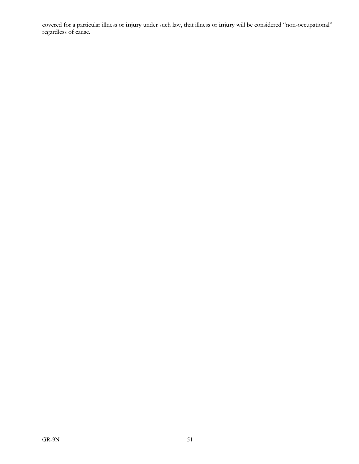covered for a particular illness or **injury** under such law, that illness or **injury** will be considered "non-occupational" regardless of cause.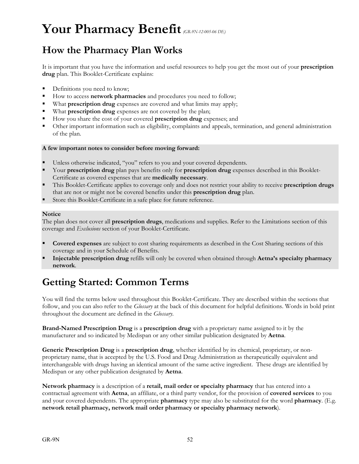# **Your Pharmacy Benefit***(GR-9N-12-005-06 DE)*

# **How the Pharmacy Plan Works**

It is important that you have the information and useful resources to help you get the most out of your **prescription drug** plan. This Booklet-Certificate explains:

- **Definitions you need to know;**
- How to access **network pharmacies** and procedures you need to follow;
- What **prescription drug** expenses are covered and what limits may apply;
- What **prescription drug** expenses are not covered by the plan;
- How you share the cost of your covered **prescription drug** expenses; and
- Other important information such as eligibility, complaints and appeals, termination, and general administration of the plan.

#### **A few important notes to consider before moving forward:**

- Unless otherwise indicated, "you" refers to you and your covered dependents.
- Your **prescription drug** plan pays benefits only for **prescription drug** expenses described in this Booklet-Certificate as covered expenses that are **medically necessary**.
- This Booklet-Certificate applies to coverage only and does not restrict your ability to receive **prescription drugs** that are not or might not be covered benefits under this **prescription drug** plan.
- Store this Booklet-Certificate in a safe place for future reference.

#### **Notice**

The plan does not cover all **prescription drugs**, medications and supplies. Refer to the Limitations section of this coverage and *Exclusions* section of your Booklet-Certificate.

- **Covered expenses** are subject to cost sharing requirements as described in the Cost Sharing sections of this coverage and in your Schedule of Benefits.
- **Injectable prescription drug** refills will only be covered when obtained through **Aetna's specialty pharmacy network**.

# **Getting Started: Common Terms**

You will find the terms below used throughout this Booklet-Certificate. They are described within the sections that follow, and you can also refer to the *Glossary* at the back of this document for helpful definitions. Words in bold print throughout the document are defined in the *Glossary*.

**Brand-Named Prescription Drug** is a **prescription drug** with a proprietary name assigned to it by the manufacturer and so indicated by Medispan or any other similar publication designated by **Aetna**.

**Generic Prescription Drug** is a **prescription drug**, whether identified by its chemical, proprietary, or nonproprietary name, that is accepted by the U.S. Food and Drug Administration as therapeutically equivalent and interchangeable with drugs having an identical amount of the same active ingredient. These drugs are identified by Medispan or any other publication designated by **Aetna**.

**Network pharmacy** is a description of a **retail, mail order or specialty pharmacy** that has entered into a contractual agreement with **Aetna**, an affiliate, or a third party vendor, for the provision of **covered services** to you and your covered dependents. The appropriate **pharmacy** type may also be substituted for the word **pharmacy**. (E.g. **network retail pharmacy, network mail order pharmacy or specialty pharmacy network**).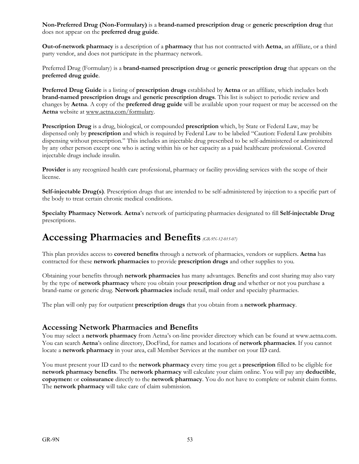**Non-Preferred Drug (Non-Formulary)** is a **brand-named prescription drug** or **generic prescription drug** that does not appear on the **preferred drug guide**.

**Out-of-network pharmacy** is a description of a **pharmacy** that has not contracted with **Aetna**, an affiliate, or a third party vendor, and does not participate in the pharmacy network.

Preferred Drug (Formulary) is a **brand-named prescription drug** or **generic prescription drug** that appears on the **preferred drug guide**.

**Preferred Drug Guide** is a listing of **prescription drugs** established by **Aetna** or an affiliate, which includes both **brand-named prescription drugs** and **generic prescription drugs**. This list is subject to periodic review and changes by **Aetna**. A copy of the **preferred drug guide** will be available upon your request or may be accessed on the **Aetna** website at www.aetna.com/formulary.

**Prescription Drug** is a drug, biological, or compounded **prescription** which, by State or Federal Law, may be dispensed only by **prescription** and which is required by Federal Law to be labeled "Caution: Federal Law prohibits dispensing without prescription." This includes an injectable drug prescribed to be self-administered or administered by any other person except one who is acting within his or her capacity as a paid healthcare professional. Covered injectable drugs include insulin.

**Provider** is any recognized health care professional, pharmacy or facility providing services with the scope of their license.

**Self-injectable Drug(s)**. Prescription drugs that are intended to be self-administered by injection to a specific part of the body to treat certain chronic medical conditions.

**Specialty Pharmacy Network**. **Aetna**'s network of participating pharmacies designated to fill **Self-injectable Drug** prescriptions.

# **Accessing Pharmacies and Benefits** *(GR-9N-12-015-07)*

This plan provides access to **covered benefits** through a network of pharmacies, vendors or suppliers. **Aetna** has contracted for these **network pharmacies** to provide **prescription drugs** and other supplies to you.

Obtaining your benefits through **network pharmacies** has many advantages. Benefits and cost sharing may also vary by the type of **network pharmacy** where you obtain your **prescription drug** and whether or not you purchase a brand-name or generic drug. **Network pharmacies** include retail, mail order and specialty pharmacies.

The plan will only pay for outpatient **prescription drugs** that you obtain from a **network pharmacy**.

## **Accessing Network Pharmacies and Benefits**

You may select a **network pharmacy** from Aetna's on-line provider directory which can be found at www.aetna.com. You can search **Aetna**'s online directory, DocFind, for names and locations of **network pharmacies**. If you cannot locate a **network pharmacy** in your area, call Member Services at the number on your ID card.

You must present your ID card to the **network pharmacy** every time you get a **prescription** filled to be eligible for **network pharmacy benefits**. The **network pharmacy** will calculate your claim online. You will pay any **deductible**, **copaymen**t or **coinsurance** directly to the **network pharmacy**. You do not have to complete or submit claim forms. The **network pharmacy** will take care of claim submission.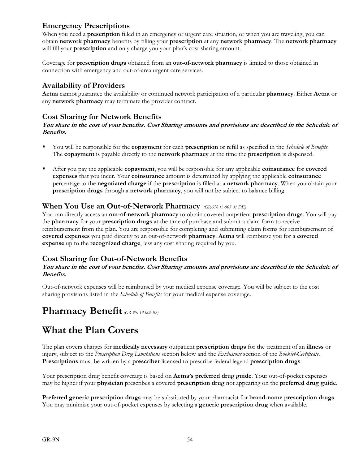# **Emergency Prescriptions**

When you need a **prescription** filled in an emergency or urgent care situation, or when you are traveling, you can obtain **network pharmacy** benefits by filling your **prescription** at any **network pharmacy**. The **network pharmacy** will fill your **prescription** and only charge you your plan's cost sharing amount.

Coverage for **prescription drugs** obtained from an **out-of-network pharmacy** is limited to those obtained in connection with emergency and out-of-area urgent care services.

## **Availability of Providers**

**Aetna** cannot guarantee the availability or continued network participation of a particular **pharmacy**. Either **Aetna** or any **network pharmacy** may terminate the provider contract.

## **Cost Sharing for Network Benefits**

### **You share in the cost of your benefits. Cost Sharing amounts and provisions are described in the Schedule of Benefits.**

- You will be responsible for the **copayment** for each **prescription** or refill as specified in the *Schedule of Benefits*. The **copayment** is payable directly to the **network pharmacy** at the time the **prescription** is dispensed.
- After you pay the applicable **copayment**, you will be responsible for any applicable **coinsurance** for **covered expenses** that you incur. Your **coinsurance** amount is determined by applying the applicable **coinsurance** percentage to the **negotiated charge** if the **prescription** is filled at a **network pharmacy**. When you obtain your **prescription drugs** through a **network pharmacy**, you will not be subject to balance billing.

## **When You Use an Out-of-Network Pharmacy** *(GR-9N 13-005 01 DE)*

You can directly access an **out-of-network pharmacy** to obtain covered outpatient **prescription drugs**. You will pay the **pharmacy** for your **prescription drugs** at the time of purchase and submit a claim form to receive reimbursement from the plan. You are responsible for completing and submitting claim forms for reimbursement of **covered expenses** you paid directly to an out-of-network **pharmacy**. **Aetna** will reimburse you for a **covered expense** up to the **recognized charge**, less any cost sharing required by you.

# **Cost Sharing for Out-of-Network Benefits**

### **You share in the cost of your benefits. Cost Sharing amounts and provisions are described in the Schedule of Benefits.**

Out-of-network expenses will be reimbursed by your medical expense coverage. You will be subject to the cost sharing provisions listed in the *Schedule of Benefits* for your medical expense coverage.

# **Pharmacy Benefit***(GR-9N 13-006-02)*

# **What the Plan Covers**

The plan covers charges for **medically necessary** outpatient **prescription drugs** for the treatment of an **illness** or injury, subject to the *Prescription Drug Limitations* section below and the *Exclusions* section of the *Booklet-Certificate*. **Prescriptions** must be written by a **prescriber** licensed to prescribe federal legend **prescription drugs**.

Your prescription drug benefit coverage is based on **Aetna's preferred drug guide**. Your out-of-pocket expenses may be higher if your **physician** prescribes a covered **prescription drug** not appearing on the **preferred drug guide**.

**Preferred generic prescription drugs** may be substituted by your pharmacist for **brand-name prescription drugs**. You may minimize your out-of-pocket expenses by selecting a **generic prescription drug** when available.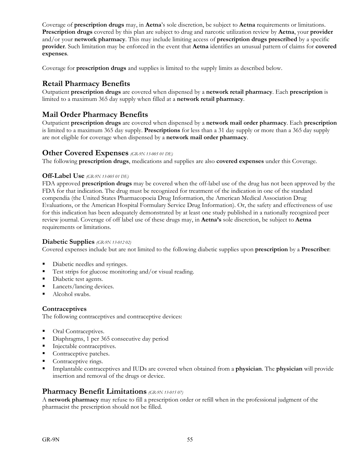Coverage of **prescription drugs** may, in **Aetna**'s sole discretion, be subject to **Aetna** requirements or limitations. **Prescription drugs** covered by this plan are subject to drug and narcotic utilization review by **Aetna**, your **provider** and/or your **network pharmacy**. This may include limiting access of **prescription drugs prescribed** by a specific **provider**. Such limitation may be enforced in the event that **Aetna** identifies an unusual pattern of claims for **covered expenses**.

Coverage for **prescription drugs** and supplies is limited to the supply limits as described below.

# **Retail Pharmacy Benefits**

Outpatient **prescription drugs** are covered when dispensed by a **network retail pharmacy**. Each **prescription** is limited to a maximum 365 day supply when filled at a **network retail pharmacy**.

# **Mail Order Pharmacy Benefits**

Outpatient **prescription drugs** are covered when dispensed by a **network mail order pharmacy**. Each **prescription** is limited to a maximum 365 day supply. **Prescriptions** for less than a 31 day supply or more than a 365 day supply are not eligible for coverage when dispensed by a **network mail order pharmacy**.

## **Other Covered Expenses** *(GR-9N 13-005 01 DE)*

The following **prescription drugs**, medications and supplies are also **covered expenses** under this Coverage.

### **Off-Label Use** *(GR-9N 13-005 01 DE)*

FDA approved **prescription drugs** may be covered when the off-label use of the drug has not been approved by the FDA for that indication. The drug must be recognized for treatment of the indication in one of the standard compendia (the United States Pharmacopoeia Drug Information, the American Medical Association Drug Evaluations, or the American Hospital Formulary Service Drug Information). Or, the safety and effectiveness of use for this indication has been adequately demonstrated by at least one study published in a nationally recognized peer review journal. Coverage of off label use of these drugs may, in **Aetna's** sole discretion, be subject to **Aetna** requirements or limitations.

#### **Diabetic Supplies** *(GR-9N 13-012 02)*

Covered expenses include but are not limited to the following diabetic supplies upon **prescription** by a **Prescriber**:

- Diabetic needles and syringes.
- Test strips for glucose monitoring and/or visual reading.
- Diabetic test agents.
- Lancets/lancing devices.
- Alcohol swabs.

#### **Contraceptives**

The following contraceptives and contraceptive devices:

- Oral Contraceptives.
- Diaphragms, 1 per 365 consecutive day period
- Injectable contraceptives.
- Contraceptive patches.
- Contraceptive rings.
- Implantable contraceptives and IUDs are covered when obtained from a **physician**. The **physician** will provide insertion and removal of the drugs or device.

## **Pharmacy Benefit Limitations** *(GR-9N 13-015 07)*

A **network pharmacy** may refuse to fill a prescription order or refill when in the professional judgment of the pharmacist the prescription should not be filled.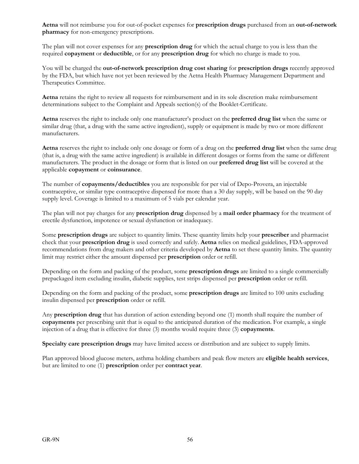**Aetna** will not reimburse you for out-of-pocket expenses for **prescription drugs** purchased from an **out-of-network pharmacy** for non-emergency prescriptions.

The plan will not cover expenses for any **prescription drug** for which the actual charge to you is less than the required **copayment** or **deductible**, or for any **prescription drug** for which no charge is made to you.

You will be charged the **out-of-network prescription drug cost sharing** for **prescription drugs** recently approved by the FDA, but which have not yet been reviewed by the Aetna Health Pharmacy Management Department and Therapeutics Committee.

**Aetna** retains the right to review all requests for reimbursement and in its sole discretion make reimbursement determinations subject to the Complaint and Appeals section(s) of the Booklet-Certificate.

**Aetna** reserves the right to include only one manufacturer's product on the **preferred drug list** when the same or similar drug (that, a drug with the same active ingredient), supply or equipment is made by two or more different manufacturers.

**Aetna** reserves the right to include only one dosage or form of a drug on the **preferred drug list** when the same drug (that is, a drug with the same active ingredient) is available in different dosages or forms from the same or different manufacturers. The product in the dosage or form that is listed on our **preferred drug list** will be covered at the applicable **copayment** or **coinsurance**.

The number of **copayments/deductibles** you are responsible for per vial of Depo-Provera, an injectable contraceptive, or similar type contraceptive dispensed for more than a 30 day supply, will be based on the 90 day supply level. Coverage is limited to a maximum of 5 vials per calendar year.

The plan will not pay charges for any **prescription drug** dispensed by a **mail order pharmacy** for the treatment of erectile dysfunction, impotence or sexual dysfunction or inadequacy.

Some **prescription drugs** are subject to quantity limits. These quantity limits help your **prescriber** and pharmacist check that your **prescription drug** is used correctly and safely. **Aetna** relies on medical guidelines, FDA-approved recommendations from drug makers and other criteria developed by **Aetna** to set these quantity limits. The quantity limit may restrict either the amount dispensed per **prescription** order or refill.

Depending on the form and packing of the product, some **prescription drugs** are limited to a single commercially prepackaged item excluding insulin, diabetic supplies, test strips dispensed per **prescription** order or refill.

Depending on the form and packing of the product, some **prescription drugs** are limited to 100 units excluding insulin dispensed per **prescription** order or refill.

Any **prescription drug** that has duration of action extending beyond one (1) month shall require the number of **copayments** per prescribing unit that is equal to the anticipated duration of the medication. For example, a single injection of a drug that is effective for three (3) months would require three (3) **copayments**.

**Specialty care prescription drugs** may have limited access or distribution and are subject to supply limits.

Plan approved blood glucose meters, asthma holding chambers and peak flow meters are **eligible health services**, but are limited to one (1) **prescription** order per **contract year**.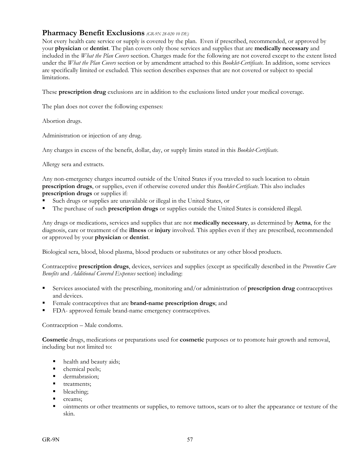## **Pharmacy Benefit Exclusions** *(GR-9N 28-020 10 DE)*

Not every health care service or supply is covered by the plan. Even if prescribed, recommended, or approved by your **physician** or **dentist**. The plan covers only those services and supplies that are **medically necessary** and included in the *What the Plan Covers* section. Charges made for the following are not covered except to the extent listed under the *What the Plan Covers* section or by amendment attached to this *Booklet-Certificate*. In addition, some services are specifically limited or excluded. This section describes expenses that are not covered or subject to special limitations.

These **prescription drug** exclusions are in addition to the exclusions listed under your medical coverage.

The plan does not cover the following expenses:

Abortion drugs.

Administration or injection of any drug.

Any charges in excess of the benefit, dollar, day, or supply limits stated in this *Booklet-Certificate*.

Allergy sera and extracts.

Any non-emergency charges incurred outside of the United States if you traveled to such location to obtain **prescription drugs**, or supplies, even if otherwise covered under this *Booklet-Certificate*. This also includes **prescription drugs** or supplies if:

- Such drugs or supplies are unavailable or illegal in the United States, or
- The purchase of such **prescription drugs** or supplies outside the United States is considered illegal.

Any drugs or medications, services and supplies that are not **medically necessary**, as determined by **Aetna**, for the diagnosis, care or treatment of the **illness** or **injury** involved. This applies even if they are prescribed, recommended or approved by your **physician** or **dentist**.

Biological sera, blood, blood plasma, blood products or substitutes or any other blood products.

Contraceptive **prescription drugs**, devices, services and supplies (except as specifically described in the *Preventive Care Benefits* and *Additional Covered Expenses* section) including:

- Services associated with the prescribing, monitoring and/or administration of **prescription drug** contraceptives and devices.
- Female contraceptives that are **brand-name prescription drugs**; and
- FDA- approved female brand-name emergency contraceptives.

Contraception – Male condoms.

**Cosmetic** drugs, medications or preparations used for **cosmetic** purposes or to promote hair growth and removal, including but not limited to:

- health and beauty aids;
- chemical peels;
- **dermabrasion;**
- **treatments;**
- bleaching;
- creams;
- ointments or other treatments or supplies, to remove tattoos, scars or to alter the appearance or texture of the skin.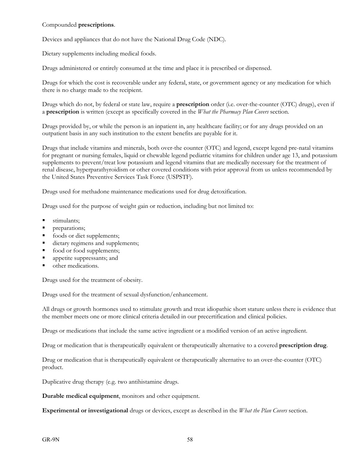#### Compounded **prescriptions**.

Devices and appliances that do not have the National Drug Code (NDC).

Dietary supplements including medical foods.

Drugs administered or entirely consumed at the time and place it is prescribed or dispensed.

Drugs for which the cost is recoverable under any federal, state, or government agency or any medication for which there is no charge made to the recipient.

Drugs which do not, by federal or state law, require a **prescription** order (i.e. over-the-counter (OTC) drugs), even if a **prescription** is written (except as specifically covered in the *What the Pharmacy Plan Covers* section.

Drugs provided by, or while the person is an inpatient in, any healthcare facility; or for any drugs provided on an outpatient basis in any such institution to the extent benefits are payable for it.

Drugs that include vitamins and minerals, both over-the counter (OTC) and legend, except legend pre-natal vitamins for pregnant or nursing females, liquid or chewable legend pediatric vitamins for children under age 13, and potassium supplements to prevent/treat low potassium and legend vitamins that are medically necessary for the treatment of renal disease, hyperparathyroidism or other covered conditions with prior approval from us unless recommended by the United States Preventive Services Task Force (USPSTF).

Drugs used for methadone maintenance medications used for drug detoxification.

Drugs used for the purpose of weight gain or reduction, including but not limited to:

- stimulants;
- **preparations**;
- foods or diet supplements;
- dietary regimens and supplements;
- food or food supplements;
- **appetite suppressants; and**
- other medications.

Drugs used for the treatment of obesity.

Drugs used for the treatment of sexual dysfunction/enhancement.

All drugs or growth hormones used to stimulate growth and treat idiopathic short stature unless there is evidence that the member meets one or more clinical criteria detailed in our precertification and clinical policies.

Drugs or medications that include the same active ingredient or a modified version of an active ingredient.

Drug or medication that is therapeutically equivalent or therapeutically alternative to a covered **prescription drug**.

Drug or medication that is therapeutically equivalent or therapeutically alternative to an over-the-counter (OTC) product.

Duplicative drug therapy (e.g. two antihistamine drugs.

**Durable medical equipment**, monitors and other equipment.

**Experimental or investigational** drugs or devices, except as described in the *What the Plan Covers* section.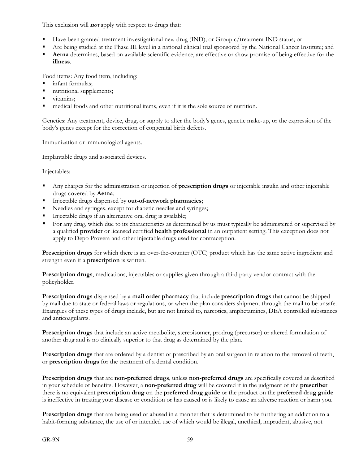This exclusion will **not** apply with respect to drugs that:

- Have been granted treatment investigational new drug (IND); or Group c/treatment IND status; or
- Are being studied at the Phase III level in a national clinical trial sponsored by the National Cancer Institute; and
- **Aetna** determines, based on available scientific evidence, are effective or show promise of being effective for the **illness**.

Food items: Any food item, including:

- infant formulas;
- nutritional supplements;
- vitamins:
- medical foods and other nutritional items, even if it is the sole source of nutrition.

Genetics: Any treatment, device, drug, or supply to alter the body's genes, genetic make-up, or the expression of the body's genes except for the correction of congenital birth defects.

Immunization or immunological agents.

Implantable drugs and associated devices.

Injectables:

- Any charges for the administration or injection of **prescription drugs** or injectable insulin and other injectable drugs covered by **Aetna**;
- Injectable drugs dispensed by **out-of-network pharmacies**;
- Reedles and syringes, except for diabetic needles and syringes;
- Injectable drugs if an alternative oral drug is available;
- For any drug, which due to its characteristics as determined by us must typically be administered or supervised by a qualified **provider** or licensed certified **health professional** in an outpatient setting. This exception does not apply to Depo Provera and other injectable drugs used for contraception.

**Prescription drugs** for which there is an over-the-counter (OTC) product which has the same active ingredient and strength even if a **prescription** is written.

**Prescription drugs**, medications, injectables or supplies given through a third party vendor contract with the policyholder.

**Prescription drugs** dispensed by a **mail order pharmacy** that include **prescription drugs** that cannot be shipped by mail due to state or federal laws or regulations, or when the plan considers shipment through the mail to be unsafe. Examples of these types of drugs include, but are not limited to, narcotics, amphetamines, DEA controlled substances and anticoagulants.

**Prescription drugs** that include an active metabolite, stereoisomer, prodrug (precursor) or altered formulation of another drug and is no clinically superior to that drug as determined by the plan.

**Prescription drugs** that are ordered by a dentist or prescribed by an oral surgeon in relation to the removal of teeth, or **prescription drugs** for the treatment of a dental condition.

**Prescription drugs** that are **non-preferred drugs**, unless **non-preferred drugs** are specifically covered as described in your schedule of benefits. However, a **non-preferred drug** will be covered if in the judgment of the **prescriber** there is no equivalent **prescription drug** on the **preferred drug guide** or the product on the **preferred drug guide** is ineffective in treating your disease or condition or has caused or is likely to cause an adverse reaction or harm you.

**Prescription drugs** that are being used or abused in a manner that is determined to be furthering an addiction to a habit-forming substance, the use of or intended use of which would be illegal, unethical, imprudent, abusive, not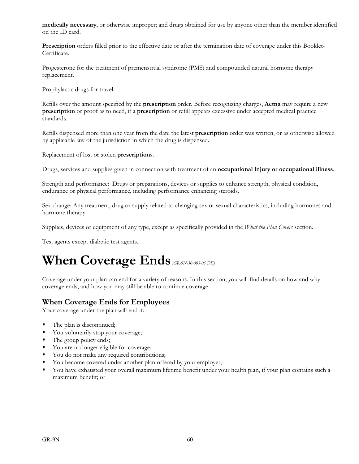**medically necessary**, or otherwise improper; and drugs obtained for use by anyone other than the member identified on the ID card.

**Prescription** orders filled prior to the effective date or after the termination date of coverage under this Booklet-Certificate.

Progesterone for the treatment of premenstrual syndrome (PMS) and compounded natural hormone therapy replacement.

Prophylactic drugs for travel.

Refills over the amount specified by the **prescription** order. Before recognizing charges, **Aetna** may require a new **prescription** or proof as to need, if a **prescription** or refill appears excessive under accepted medical practice standards.

Refills dispensed more than one year from the date the latest **prescription** order was written, or as otherwise allowed by applicable law of the jurisdiction in which the drug is dispensed.

Replacement of lost or stolen **prescription**s.

Drugs, services and supplies given in connection with treatment of an **occupational injury or occupational illness**.

Strength and performance: Drugs or preparations, devices or supplies to enhance strength, physical condition, endurance or physical performance, including performance enhancing steroids.

Sex change: Any treatment, drug or supply related to changing sex or sexual characteristics, including hormones and hormone therapy.

Supplies, devices or equipment of any type, except as specifically provided in the *What the Plan Covers* section.

Test agents except diabetic test agents.

# **When Coverage Ends** *(GR-9N-30-005-05 DE)*

Coverage under your plan can end for a variety of reasons. In this section, you will find details on how and why coverage ends, and how you may still be able to continue coverage.

# **When Coverage Ends for Employees**

Your coverage under the plan will end if:

- The plan is discontinued;
- You voluntarily stop your coverage;
- $\blacksquare$  The group policy ends;
- Vou are no longer eligible for coverage;
- You do not make any required contributions;
- You become covered under another plan offered by your employer;
- You have exhausted your overall maximum lifetime benefit under your health plan, if your plan contains such a maximum benefit; or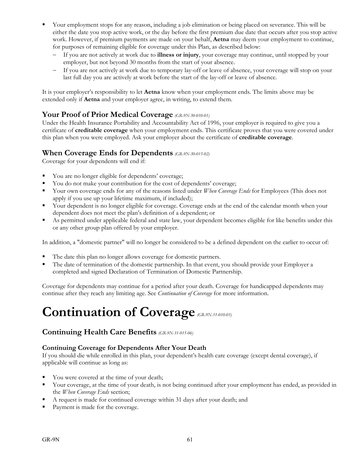- Your employment stops for any reason, including a job elimination or being placed on severance. This will be either the date you stop active work, or the day before the first premium due date that occurs after you stop active work. However, if premium payments are made on your behalf, **Aetna** may deem your employment to continue, for purposes of remaining eligible for coverage under this Plan, as described below:
	- If you are not actively at work due to **illness or injury**, your coverage may continue, until stopped by your employer, but not beyond 30 months from the start of your absence.
	- If you are not actively at work due to temporary lay-off or leave of absence, your coverage will stop on your last full day you are actively at work before the start of the lay-off or leave of absence.

It is your employer's responsibility to let **Aetna** know when your employment ends. The limits above may be extended only if **Aetna** and your employer agree, in writing, to extend them.

## **Your Proof of Prior Medical Coverage** *(GR-9N-30-010-01)*

Under the Health Insurance Portability and Accountability Act of 1996, your employer is required to give you a certificate of **creditable coverage** when your employment ends. This certificate proves that you were covered under this plan when you were employed. Ask your employer about the certificate of **creditable coverage**.

## **When Coverage Ends for Dependents** *(GR-9N-30-015-02)*

Coverage for your dependents will end if:

- You are no longer eligible for dependents' coverage;
- Tou do not make your contribution for the cost of dependents' coverage;
- Your own coverage ends for any of the reasons listed under *When Coverage Ends* for Employees (This does not apply if you use up your lifetime maximum, if included);
- Your dependent is no longer eligible for coverage. Coverage ends at the end of the calendar month when your dependent does not meet the plan's definition of a dependent; or
- As permitted under applicable federal and state law, your dependent becomes eligible for like benefits under this or any other group plan offered by your employer.

In addition, a "domestic partner" will no longer be considered to be a defined dependent on the earlier to occur of:

- The date this plan no longer allows coverage for domestic partners.
- The date of termination of the domestic partnership. In that event, you should provide your Employer a completed and signed Declaration of Termination of Domestic Partnership.

Coverage for dependents may continue for a period after your death. Coverage for handicapped dependents may continue after they reach any limiting age. See *Continuation of Coverage* for more information.

# **Continuation of Coverage***(GR-9N-31-010-03)*

## **Continuing Health Care Benefits** *(GR-9N-31-015-06)*

## **Continuing Coverage for Dependents After Your Death**

If you should die while enrolled in this plan, your dependent's health care coverage (except dental coverage), if applicable will continue as long as:

- You were covered at the time of your death;
- Your coverage, at the time of your death, is not being continued after your employment has ended, as provided in the *When Coverage Ends* section;
- A request is made for continued coverage within 31 days after your death; and
- Payment is made for the coverage.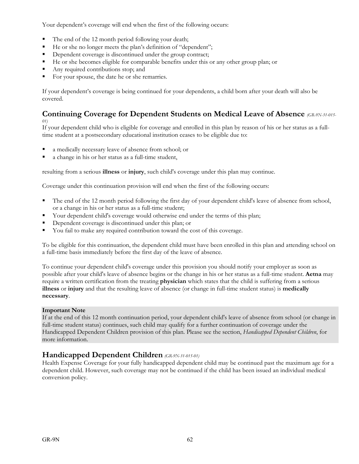Your dependent's coverage will end when the first of the following occurs:

- The end of the 12 month period following your death;
- He or she no longer meets the plan's definition of "dependent";
- Dependent coverage is discontinued under the group contract;
- He or she becomes eligible for comparable benefits under this or any other group plan; or
- Any required contributions stop; and
- For your spouse, the date he or she remarries.

If your dependent's coverage is being continued for your dependents, a child born after your death will also be covered.

### **Continuing Coverage for Dependent Students on Medical Leave of Absence** *(GR-9N-31-015- 01)*

If your dependent child who is eligible for coverage and enrolled in this plan by reason of his or her status as a fulltime student at a postsecondary educational institution ceases to be eligible due to:

- a medically necessary leave of absence from school; or
- a change in his or her status as a full-time student,

resulting from a serious **illness** or **injury**, such child's coverage under this plan may continue.

Coverage under this continuation provision will end when the first of the following occurs:

- The end of the 12 month period following the first day of your dependent child's leave of absence from school, or a change in his or her status as a full-time student;
- Your dependent child's coverage would otherwise end under the terms of this plan;
- Dependent coverage is discontinued under this plan; or
- You fail to make any required contribution toward the cost of this coverage.

To be eligible for this continuation, the dependent child must have been enrolled in this plan and attending school on a full-time basis immediately before the first day of the leave of absence.

To continue your dependent child's coverage under this provision you should notify your employer as soon as possible after your child's leave of absence begins or the change in his or her status as a full-time student. **Aetna** may require a written certification from the treating **physician** which states that the child is suffering from a serious **illness** or **injury** and that the resulting leave of absence (or change in full-time student status) is **medically necessary**.

#### **Important Note**

If at the end of this 12 month continuation period, your dependent child's leave of absence from school (or change in full-time student status) continues, such child may qualify for a further continuation of coverage under the Handicapped Dependent Children provision of this plan. Please see the section, *Handicapped Dependent Children*, for more information.

# **Handicapped Dependent Children** *(GR-9N-31-015-01)*

Health Expense Coverage for your fully handicapped dependent child may be continued past the maximum age for a dependent child. However, such coverage may not be continued if the child has been issued an individual medical conversion policy.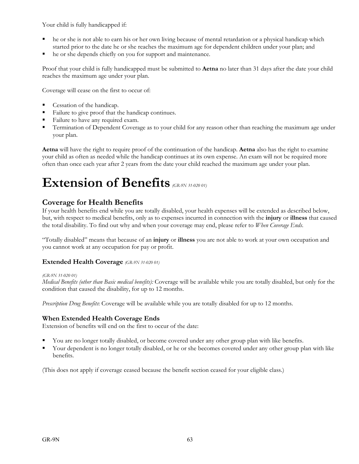Your child is fully handicapped if:

- he or she is not able to earn his or her own living because of mental retardation or a physical handicap which started prior to the date he or she reaches the maximum age for dependent children under your plan; and
- he or she depends chiefly on you for support and maintenance.

Proof that your child is fully handicapped must be submitted to **Aetna** no later than 31 days after the date your child reaches the maximum age under your plan.

Coverage will cease on the first to occur of:

- Cessation of the handicap.
- Failure to give proof that the handicap continues.
- Failure to have any required exam.
- **Termination of Dependent Coverage as to your child for any reason other than reaching the maximum age under** your plan.

**Aetna** will have the right to require proof of the continuation of the handicap. **Aetna** also has the right to examine your child as often as needed while the handicap continues at its own expense. An exam will not be required more often than once each year after 2 years from the date your child reached the maximum age under your plan.

# **Extension of Benefits** *(GR-9N 31-020 01)*

# **Coverage for Health Benefits**

If your health benefits end while you are totally disabled, your health expenses will be extended as described below, but, with respect to medical benefits, only as to expenses incurred in connection with the **injury** or **illness** that caused the total disability. To find out why and when your coverage may end, please refer to *When Coverage Ends*.

"Totally disabled" means that because of an **injury** or **illness** you are not able to work at your own occupation and you cannot work at any occupation for pay or profit.

## **Extended Health Coverage** *(GR-9N 31-020 01)*

*(GR-9N 31-020 01)*

*Medical Benefits (other than Basic medical benefits):* Coverage will be available while you are totally disabled, but only for the condition that caused the disability, for up to 12 months.

*Prescription Drug Benefits*: Coverage will be available while you are totally disabled for up to 12 months.

#### **When Extended Health Coverage Ends**

Extension of benefits will end on the first to occur of the date:

- You are no longer totally disabled, or become covered under any other group plan with like benefits.
- Your dependent is no longer totally disabled, or he or she becomes covered under any other group plan with like benefits.

(This does not apply if coverage ceased because the benefit section ceased for your eligible class.)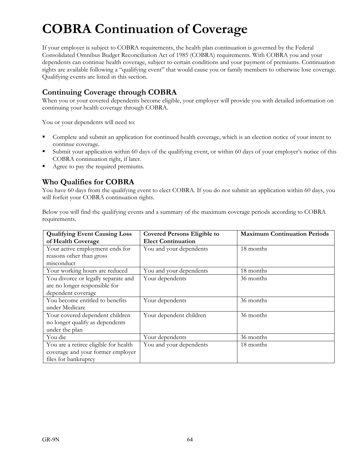# **COBRA Continuation of Coverage**

If your employer is subject to COBRA requirements, the health plan continuation is governed by the Federal Consolidated Omnibus Budget Reconciliation Act of 1985 (COBRA) requirements. With COBRA you and your dependents can continue health coverage, subject to certain conditions and your payment of premiums. Continuation rights are available following a "qualifying event" that would cause you or family members to otherwise lose coverage. Qualifying events are listed in this section.

# **Continuing Coverage through COBRA**

When you or your covered dependents become eligible, your employer will provide you with detailed information on continuing your health coverage through COBRA.

You or your dependents will need to:

- Complete and submit an application for continued health coverage, which is an election notice of your intent to continue coverage.
- Submit your application within 60 days of the qualifying event, or within 60 days of your employer's notice of this COBRA continuation right, if later.
- Agree to pay the required premiums.

# **Who Qualifies for COBRA**

You have 60 days from the qualifying event to elect COBRA. If you do not submit an application within 60 days, you will forfeit your COBRA continuation rights.

Below you will find the qualifying events and a summary of the maximum coverage periods according to COBRA requirements.

| <b>Qualifying Event Causing Loss</b>  | <b>Covered Persons Eligible to</b> | <b>Maximum Continuation Periods</b> |
|---------------------------------------|------------------------------------|-------------------------------------|
| of Health Coverage                    | <b>Elect Continuation</b>          |                                     |
| Your active employment ends for       | You and your dependents            | 18 months                           |
| reasons other than gross              |                                    |                                     |
| misconduct                            |                                    |                                     |
| Your working hours are reduced        | You and your dependents            | 18 months                           |
| You divorce or legally separate and   | Your dependents                    | 36 months                           |
| are no longer responsible for         |                                    |                                     |
| dependent coverage                    |                                    |                                     |
| You become entitled to benefits       | Your dependents                    | 36 months                           |
| under Medicare                        |                                    |                                     |
| Your covered dependent children       | Your dependent children            | 36 months                           |
| no longer qualify as dependents       |                                    |                                     |
| under the plan                        |                                    |                                     |
| You die                               | Your dependents                    | 36 months                           |
| You are a retiree eligible for health | You and your dependents            | 18 months                           |
| coverage and your former employer     |                                    |                                     |
| files for bankruptcy                  |                                    |                                     |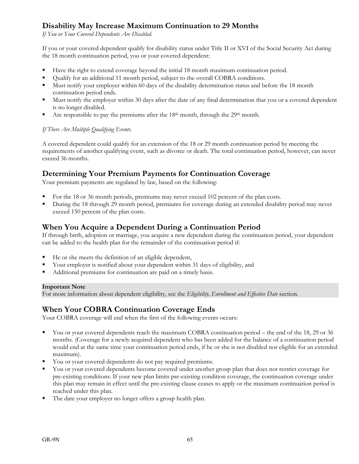# **Disability May Increase Maximum Continuation to 29 Months**

*If You or Your Covered Dependents Are Disabled*.

If you or your covered dependent qualify for disability status under Title II or XVI of the Social Security Act during the 18 month continuation period, you or your covered dependent:

- Have the right to extend coverage beyond the initial 18 month maximum continuation period.
- Qualify for an additional 11 month period, subject to the overall COBRA conditions.
- Must notify your employer within 60 days of the disability determination status and before the 18 month continuation period ends.
- Must notify the employer within 30 days after the date of any final determination that you or a covered dependent is no longer disabled.
- Are responsible to pay the premiums after the  $18<sup>th</sup>$  month, through the  $29<sup>th</sup>$  month.

#### *If There Are Multiple Qualifying Events.*

A covered dependent could qualify for an extension of the 18 or 29 month continuation period by meeting the requirements of another qualifying event, such as divorce or death. The total continuation period, however, can never exceed 36 months.

## **Determining Your Premium Payments for Continuation Coverage**

Your premium payments are regulated by law, based on the following:

- For the 18 or 36 month periods, premiums may never exceed 102 percent of the plan costs.
- During the 18 through 29 month period, premiums for coverage during an extended disability period may never exceed 150 percent of the plan costs.

## **When You Acquire a Dependent During a Continuation Period**

If through birth, adoption or marriage, you acquire a new dependent during the continuation period, your dependent can be added to the health plan for the remainder of the continuation period if:

- He or she meets the definition of an eligible dependent,
- Your employer is notified about your dependent within 31 days of eligibility, and
- Additional premiums for continuation are paid on a timely basis.

#### **Important Note**

For more information about dependent eligibility, see the *Eligibility, Enrollment and Effective Date* section.

## **When Your COBRA Continuation Coverage Ends**

Your COBRA coverage will end when the first of the following events occurs:

- You or your covered dependents reach the maximum COBRA continuation period the end of the 18, 29 or 36 months. (Coverage for a newly acquired dependent who has been added for the balance of a continuation period would end at the same time your continuation period ends, if he or she is not disabled nor eligible for an extended maximum).
- You or your covered dependents do not pay required premiums.
- You or your covered dependents become covered under another group plan that does not restrict coverage for pre-existing conditions. If your new plan limits pre-existing condition coverage, the continuation coverage under this plan may remain in effect until the pre-existing clause ceases to apply or the maximum continuation period is reached under this plan.
- The date your employer no longer offers a group health plan.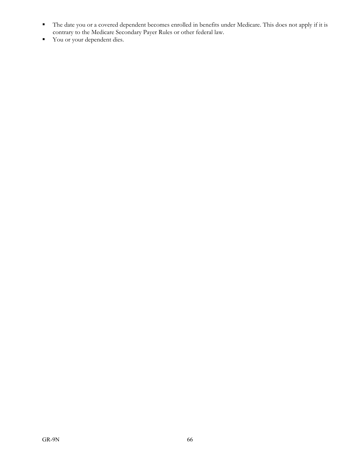- The date you or a covered dependent becomes enrolled in benefits under Medicare. This does not apply if it is contrary to the Medicare Secondary Payer Rules or other federal law.
- Vou or your dependent dies.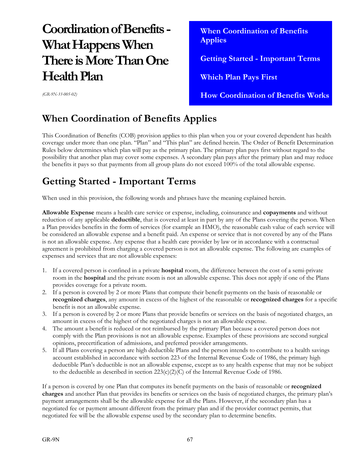# **Coordination of Benefits - What Happens When There is More Than One Health Plan**

 **When Coordination of Benefits Applies Getting Started - Important Terms Which Plan Pays First How Coordination of Benefits Works** 

*(GR-9N-33-005-02)*

# **When Coordination of Benefits Applies**

This Coordination of Benefits (COB) provision applies to this plan when you or your covered dependent has health coverage under more than one plan. "Plan" and "This plan" are defined herein. The Order of Benefit Determination Rules below determines which plan will pay as the primary plan. The primary plan pays first without regard to the possibility that another plan may cover some expenses. A secondary plan pays after the primary plan and may reduce the benefits it pays so that payments from all group plans do not exceed 100% of the total allowable expense.

# **Getting Started - Important Terms**

When used in this provision, the following words and phrases have the meaning explained herein.

**Allowable Expense** means a health care service or expense, including, coinsurance and **copayments** and without reduction of any applicable **deductible**, that is covered at least in part by any of the Plans covering the person. When a Plan provides benefits in the form of services (for example an HMO), the reasonable cash value of each service will be considered an allowable expense and a benefit paid. An expense or service that is not covered by any of the Plans is not an allowable expense. Any expense that a health care provider by law or in accordance with a contractual agreement is prohibited from charging a covered person is not an allowable expense. The following are examples of expenses and services that are not allowable expenses:

- 1. If a covered person is confined in a private **hospital** room, the difference between the cost of a semi-private room in the **hospital** and the private room is not an allowable expense. This does not apply if one of the Plans provides coverage for a private room.
- 2. If a person is covered by 2 or more Plans that compute their benefit payments on the basis of reasonable or **recognized charges**, any amount in excess of the highest of the reasonable or **recognized charges** for a specific benefit is not an allowable expense.
- 3. If a person is covered by 2 or more Plans that provide benefits or services on the basis of negotiated charges, an amount in excess of the highest of the negotiated charges is not an allowable expense.
- 4. The amount a benefit is reduced or not reimbursed by the primary Plan because a covered person does not comply with the Plan provisions is not an allowable expense. Examples of these provisions are second surgical opinions, precertification of admissions, and preferred provider arrangements.
- 5. If all Plans covering a person are high deductible Plans and the person intends to contribute to a health savings account established in accordance with section 223 of the Internal Revenue Code of 1986, the primary high deductible Plan's deductible is not an allowable expense, except as to any health expense that may not be subject to the deductible as described in section  $223(c)(2)(C)$  of the Internal Revenue Code of 1986.

If a person is covered by one Plan that computes its benefit payments on the basis of reasonable or **recognized charges** and another Plan that provides its benefits or services on the basis of negotiated charges, the primary plan's payment arrangements shall be the allowable expense for all the Plans. However, if the secondary plan has a negotiated fee or payment amount different from the primary plan and if the provider contract permits, that negotiated fee will be the allowable expense used by the secondary plan to determine benefits.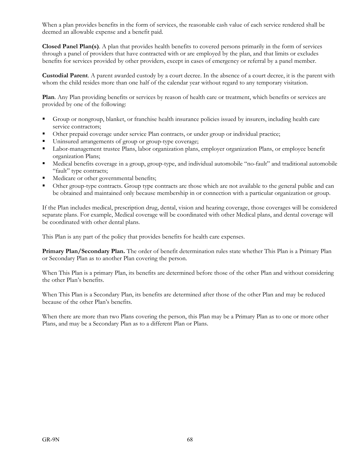When a plan provides benefits in the form of services, the reasonable cash value of each service rendered shall be deemed an allowable expense and a benefit paid.

**Closed Panel Plan(s)**. A plan that provides health benefits to covered persons primarily in the form of services through a panel of providers that have contracted with or are employed by the plan, and that limits or excludes benefits for services provided by other providers, except in cases of emergency or referral by a panel member.

**Custodial Parent**. A parent awarded custody by a court decree. In the absence of a court decree, it is the parent with whom the child resides more than one half of the calendar year without regard to any temporary visitation.

**Plan**. Any Plan providing benefits or services by reason of health care or treatment, which benefits or services are provided by one of the following:

- Group or nongroup, blanket, or franchise health insurance policies issued by insurers, including health care service contractors;
- Other prepaid coverage under service Plan contracts, or under group or individual practice;
- Uninsured arrangements of group or group-type coverage;
- Labor-management trustee Plans, labor organization plans, employer organization Plans, or employee benefit organization Plans;
- Medical benefits coverage in a group, group-type, and individual automobile "no-fault" and traditional automobile "fault" type contracts;
- Medicare or other governmental benefits;
- Other group-type contracts. Group type contracts are those which are not available to the general public and can be obtained and maintained only because membership in or connection with a particular organization or group.

If the Plan includes medical, prescription drug, dental, vision and hearing coverage, those coverages will be considered separate plans. For example, Medical coverage will be coordinated with other Medical plans, and dental coverage will be coordinated with other dental plans.

This Plan is any part of the policy that provides benefits for health care expenses.

**Primary Plan/Secondary Plan.** The order of benefit determination rules state whether This Plan is a Primary Plan or Secondary Plan as to another Plan covering the person.

When This Plan is a primary Plan, its benefits are determined before those of the other Plan and without considering the other Plan's benefits.

When This Plan is a Secondary Plan, its benefits are determined after those of the other Plan and may be reduced because of the other Plan's benefits.

When there are more than two Plans covering the person, this Plan may be a Primary Plan as to one or more other Plans, and may be a Secondary Plan as to a different Plan or Plans.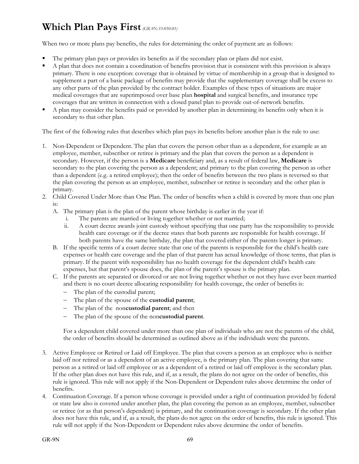# **Which Plan Pays First***(GR-9N-33-010-01)*

When two or more plans pay benefits, the rules for determining the order of payment are as follows:

- The primary plan pays or provides its benefits as if the secondary plan or plans did not exist.
- A plan that does not contain a coordination of benefits provision that is consistent with this provision is always primary. There is one exception: coverage that is obtained by virtue of membership in a group that is designed to supplement a part of a basic package of benefits may provide that the supplementary coverage shall be excess to any other parts of the plan provided by the contract holder. Examples of these types of situations are major medical coverages that are superimposed over base plan **hospital** and surgical benefits, and insurance type coverages that are written in connection with a closed panel plan to provide out-of-network benefits.
- A plan may consider the benefits paid or provided by another plan in determining its benefits only when it is secondary to that other plan.

The first of the following rules that describes which plan pays its benefits before another plan is the rule to use:

- 1. Non-Dependent or Dependent. The plan that covers the person other than as a dependent, for example as an employee, member, subscriber or retiree is primary and the plan that covers the person as a dependent is secondary. However, if the person is a **Medicare** beneficiary and, as a result of federal law, **Medicare** is secondary to the plan covering the person as a dependent; and primary to the plan covering the person as other than a dependent (e.g. a retired employee); then the order of benefits between the two plans is reversed so that the plan covering the person as an employee, member, subscriber or retiree is secondary and the other plan is primary.
- 2. Child Covered Under More than One Plan. The order of benefits when a child is covered by more than one plan is:
	- A. The primary plan is the plan of the parent whose birthday is earlier in the year if:
		- i. The parents are married or living together whether or not married;
		- ii. A court decree awards joint custody without specifying that one party has the responsibility to provide health care coverage or if the decree states that both parents are responsible for health coverage. If both parents have the same birthday, the plan that covered either of the parents longer is primary.
	- B. If the specific terms of a court decree state that one of the parents is responsible for the child's health care expenses or health care coverage and the plan of that parent has actual knowledge of those terms, that plan is primary. If the parent with responsibility has no health coverage for the dependent child's health care expenses, but that parent's spouse does, the plan of the parent's spouse is the primary plan.
	- C. If the parents are separated or divorced or are not living together whether or not they have ever been married and there is no court decree allocating responsibility for health coverage, the order of benefits is:
		- The plan of the custodial parent;
		- The plan of the spouse of the **custodial parent**;
		- The plan of the non**custodial parent**; and then
		- The plan of the spouse of the non**custodial parent**.

For a dependent child covered under more than one plan of individuals who are not the parents of the child, the order of benefits should be determined as outlined above as if the individuals were the parents.

- 3. Active Employee or Retired or Laid off Employee. The plan that covers a person as an employee who is neither laid off nor retired or as a dependent of an active employee, is the primary plan. The plan covering that same person as a retired or laid off employee or as a dependent of a retired or laid off employee is the secondary plan. If the other plan does not have this rule, and if, as a result, the plans do not agree on the order of benefits, this rule is ignored. This rule will not apply if the Non-Dependent or Dependent rules above determine the order of benefits.
- 4. Continuation Coverage. If a person whose coverage is provided under a right of continuation provided by federal or state law also is covered under another plan, the plan covering the person as an employee, member, subscriber or retiree (or as that person's dependent) is primary, and the continuation coverage is secondary. If the other plan does not have this rule, and if, as a result, the plans do not agree on the order of benefits, this rule is ignored. This rule will not apply if the Non-Dependent or Dependent rules above determine the order of benefits.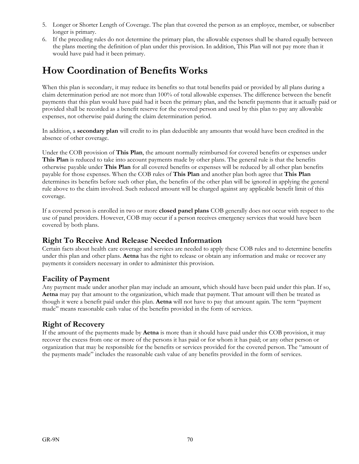- 5. Longer or Shorter Length of Coverage. The plan that covered the person as an employee, member, or subscriber longer is primary.
- 6. If the preceding rules do not determine the primary plan, the allowable expenses shall be shared equally between the plans meeting the definition of plan under this provision. In addition, This Plan will not pay more than it would have paid had it been primary.

## **How Coordination of Benefits Works**

When this plan is secondary, it may reduce its benefits so that total benefits paid or provided by all plans during a claim determination period are not more than 100% of total allowable expenses. The difference between the benefit payments that this plan would have paid had it been the primary plan, and the benefit payments that it actually paid or provided shall be recorded as a benefit reserve for the covered person and used by this plan to pay any allowable expenses, not otherwise paid during the claim determination period.

In addition, a **secondary plan** will credit to its plan deductible any amounts that would have been credited in the absence of other coverage.

Under the COB provision of **This Plan**, the amount normally reimbursed for covered benefits or expenses under **This Plan** is reduced to take into account payments made by other plans. The general rule is that the benefits otherwise payable under **This Plan** for all covered benefits or expenses will be reduced by all other plan benefits payable for those expenses. When the COB rules of **This Plan** and another plan both agree that **This Plan** determines its benefits before such other plan, the benefits of the other plan will be ignored in applying the general rule above to the claim involved. Such reduced amount will be charged against any applicable benefit limit of this coverage.

If a covered person is enrolled in two or more **closed panel plans** COB generally does not occur with respect to the use of panel providers. However, COB may occur if a person receives emergency services that would have been covered by both plans.

#### **Right To Receive And Release Needed Information**

Certain facts about health care coverage and services are needed to apply these COB rules and to determine benefits under this plan and other plans. **Aetna** has the right to release or obtain any information and make or recover any payments it considers necessary in order to administer this provision.

#### **Facility of Payment**

Any payment made under another plan may include an amount, which should have been paid under this plan. If so, **Aetna** may pay that amount to the organization, which made that payment. That amount will then be treated as though it were a benefit paid under this plan. **Aetna** will not have to pay that amount again. The term "payment made" means reasonable cash value of the benefits provided in the form of services.

### **Right of Recovery**

If the amount of the payments made by **Aetna** is more than it should have paid under this COB provision, it may recover the excess from one or more of the persons it has paid or for whom it has paid; or any other person or organization that may be responsible for the benefits or services provided for the covered person. The "amount of the payments made" includes the reasonable cash value of any benefits provided in the form of services.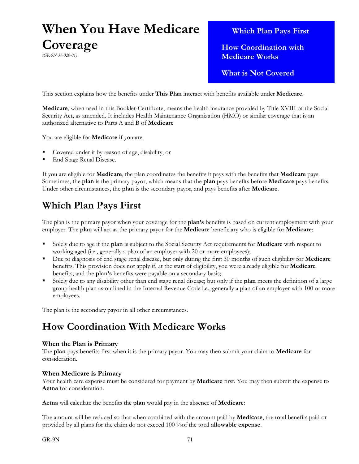## **When You Have Medicare Coverage** *(GR-9N 33-020-01)*

 **Which Plan Pays First**

 **How Coordination with Medicare Works**

 **What is Not Covered**

This section explains how the benefits under **This Plan** interact with benefits available under **Medicare**.

**Medicare**, when used in this Booklet-Certificate, means the health insurance provided by Title XVIII of the Social Security Act, as amended. It includes Health Maintenance Organization (HMO) or similar coverage that is an authorized alternative to Parts A and B of **Medicare**

You are eligible for **Medicare** if you are:

- Covered under it by reason of age, disability, or
- End Stage Renal Disease.

If you are eligible for **Medicare**, the plan coordinates the benefits it pays with the benefits that **Medicare** pays. Sometimes, the **plan** is the primary payor, which means that the **plan** pays benefits before **Medicare** pays benefits. Under other circumstances, the **plan** is the secondary payor, and pays benefits after **Medicare**.

## **Which Plan Pays First**

The plan is the primary payor when your coverage for the **plan's** benefits is based on current employment with your employer. The **plan** will act as the primary payor for the **Medicare** beneficiary who is eligible for **Medicare**:

- Solely due to age if the **plan** is subject to the Social Security Act requirements for **Medicare** with respect to working aged (i.e., generally a plan of an employer with 20 or more employees);
- Due to diagnosis of end stage renal disease, but only during the first 30 months of such eligibility for **Medicare**  benefits. This provision does not apply if, at the start of eligibility, you were already eligible for **Medicare**  benefits, and the **plan's** benefits were payable on a secondary basis;
- Solely due to any disability other than end stage renal disease; but only if the **plan** meets the definition of a large group health plan as outlined in the Internal Revenue Code i.e., generally a plan of an employer with 100 or more employees.

The plan is the secondary payor in all other circumstances.

## **How Coordination With Medicare Works**

#### **When the Plan is Primary**

The **plan** pays benefits first when it is the primary payor. You may then submit your claim to **Medicare** for consideration.

#### **When Medicare is Primary**

Your health care expense must be considered for payment by **Medicare** first. You may then submit the expense to **Aetna** for consideration.

**Aetna** will calculate the benefits the **plan** would pay in the absence of **Medicare**:

The amount will be reduced so that when combined with the amount paid by **Medicare**, the total benefits paid or provided by all plans for the claim do not exceed 100 %of the total **allowable expense**.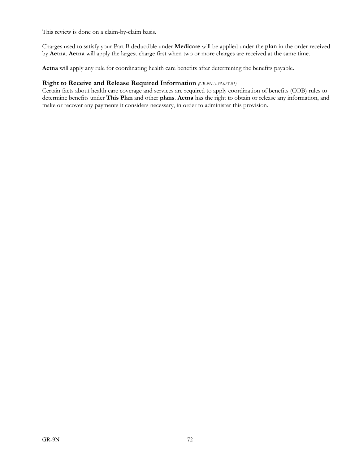This review is done on a claim-by-claim basis.

Charges used to satisfy your Part B deductible under **Medicare** will be applied under the **plan** in the order received by **Aetna**. **Aetna** will apply the largest charge first when two or more charges are received at the same time.

**Aetna** will apply any rule for coordinating health care benefits after determining the benefits payable.

#### **Right to Receive and Release Required Information** *(GR-9N-S-33-025-01)*

Certain facts about health care coverage and services are required to apply coordination of benefits (COB) rules to determine benefits under **This Plan** and other **plans**. **Aetna** has the right to obtain or release any information, and make or recover any payments it considers necessary, in order to administer this provision.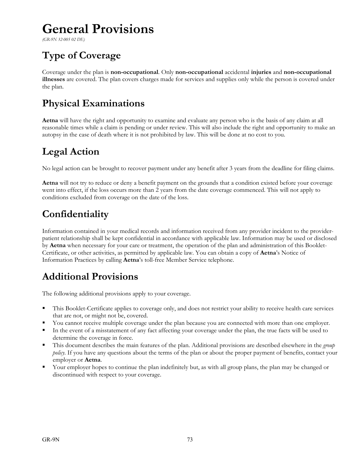# **General Provisions**

*(GR-9N 32-005 02 DE)*

# **Type of Coverage**

Coverage under the plan is **non-occupational**. Only **non-occupational** accidental **injuries** and **non-occupational illnesses** are covered. The plan covers charges made for services and supplies only while the person is covered under the plan.

## **Physical Examinations**

**Aetna** will have the right and opportunity to examine and evaluate any person who is the basis of any claim at all reasonable times while a claim is pending or under review. This will also include the right and opportunity to make an autopsy in the case of death where it is not prohibited by law. This will be done at no cost to you.

## **Legal Action**

No legal action can be brought to recover payment under any benefit after 3 years from the deadline for filing claims.

**Aetna** will not try to reduce or deny a benefit payment on the grounds that a condition existed before your coverage went into effect, if the loss occurs more than 2 years from the date coverage commenced. This will not apply to conditions excluded from coverage on the date of the loss.

## **Confidentiality**

Information contained in your medical records and information received from any provider incident to the providerpatient relationship shall be kept confidential in accordance with applicable law. Information may be used or disclosed by **Aetna** when necessary for your care or treatment, the operation of the plan and administration of this Booklet-Certificate, or other activities, as permitted by applicable law. You can obtain a copy of **Aetna**'s Notice of Information Practices by calling **Aetna**'s toll-free Member Service telephone.

## **Additional Provisions**

The following additional provisions apply to your coverage.

- This Booklet-Certificate applies to coverage only, and does not restrict your ability to receive health care services that are not, or might not be, covered.
- You cannot receive multiple coverage under the plan because you are connected with more than one employer.
- In the event of a misstatement of any fact affecting your coverage under the plan, the true facts will be used to determine the coverage in force.
- This document describes the main features of the plan. Additional provisions are described elsewhere in the *group policy*. If you have any questions about the terms of the plan or about the proper payment of benefits, contact your employer or **Aetna**.
- Your employer hopes to continue the plan indefinitely but, as with all group plans, the plan may be changed or discontinued with respect to your coverage.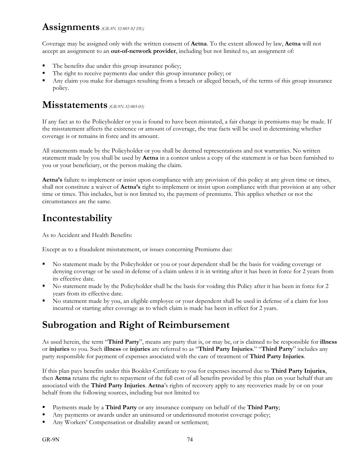## **Assignments** *(GR-9N 32-005 02 DE)*

Coverage may be assigned only with the written consent of **Aetna**. To the extent allowed by law, **Aetna** will not accept an assignment to an **out-of-network provider**, including but not limited to, an assignment of:

- The benefits due under this group insurance policy;
- The right to receive payments due under this group insurance policy; or
- Any claim you make for damages resulting from a breach or alleged breach, of the terms of this group insurance policy.

## **Misstatements** *(GR-9N-32-005-03)*

If any fact as to the Policyholder or you is found to have been misstated, a fair change in premiums may be made. If the misstatement affects the existence or amount of coverage, the true facts will be used in determining whether coverage is or remains in force and its amount.

All statements made by the Policyholder or you shall be deemed representations and not warranties. No written statement made by you shall be used by **Aetna** in a contest unless a copy of the statement is or has been furnished to you or your beneficiary, or the person making the claim.

**Aetna's** failure to implement or insist upon compliance with any provision of this policy at any given time or times, shall not constitute a waiver of **Aetna's** right to implement or insist upon compliance with that provision at any other time or times. This includes, but is not limited to, the payment of premiums. This applies whether or not the circumstances are the same.

## **Incontestability**

As to Accident and Health Benefits:

Except as to a fraudulent misstatement, or issues concerning Premiums due:

- No statement made by the Policyholder or you or your dependent shall be the basis for voiding coverage or denying coverage or be used in defense of a claim unless it is in writing after it has been in force for 2 years from its effective date.
- No statement made by the Policyholder shall be the basis for voiding this Policy after it has been in force for 2 years from its effective date.
- No statement made by you, an eligible employee or your dependent shall be used in defense of a claim for loss incurred or starting after coverage as to which claim is made has been in effect for 2 years.

## **Subrogation and Right of Reimbursement**

As used herein, the term "**Third Party**", means any party that is, or may be, or is claimed to be responsible for **illness**  or **injuries** to you. Such **illness** or **injuries** are referred to as "**Third Party Injuries**." "**Third Party**" includes any party responsible for payment of expenses associated with the care of treatment of **Third Party Injuries**.

If this plan pays benefits under this Booklet-Certificate to you for expenses incurred due to **Third Party Injuries**, then **Aetna** retains the right to repayment of the full cost of all benefits provided by this plan on your behalf that are associated with the **Third Party Injuries**. **Aetna**'s rights of recovery apply to any recoveries made by or on your behalf from the following sources, including but not limited to:

- Payments made by a **Third Party** or any insurance company on behalf of the **Third Party**;
- Any payments or awards under an uninsured or underinsured motorist coverage policy;
- Any Workers' Compensation or disability award or settlement;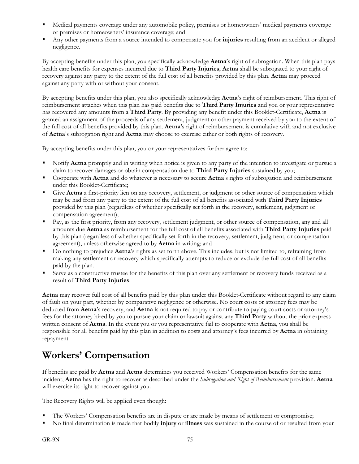- Medical payments coverage under any automobile policy, premises or homeowners' medical payments coverage or premises or homeowners' insurance coverage; and
- Any other payments from a source intended to compensate you for **injuries** resulting from an accident or alleged negligence.

By accepting benefits under this plan, you specifically acknowledge **Aetna**'s right of subrogation. When this plan pays health care benefits for expenses incurred due to **Third Party Injuries**, **Aetna** shall be subrogated to your right of recovery against any party to the extent of the full cost of all benefits provided by this plan. **Aetna** may proceed against any party with or without your consent.

By accepting benefits under this plan, you also specifically acknowledge **Aetna**'s right of reimbursement. This right of reimbursement attaches when this plan has paid benefits due to **Third Party Injuries** and you or your representative has recovered any amounts from a **Third Party**. By providing any benefit under this Booklet-Certificate, **Aetna** is granted an assignment of the proceeds of any settlement, judgment or other payment received by you to the extent of the full cost of all benefits provided by this plan. **Aetna**'s right of reimbursement is cumulative with and not exclusive of **Aetna**'s subrogation right and **Aetna** may choose to exercise either or both rights of recovery.

By accepting benefits under this plan, you or your representatives further agree to:

- Notify **Aetna** promptly and in writing when notice is given to any party of the intention to investigate or pursue a claim to recover damages or obtain compensation due to **Third Party Injuries** sustained by you;
- Cooperate with **Aetna** and do whatever is necessary to secure **Aetna**'s rights of subrogation and reimbursement under this Booklet-Certificate;
- Give **Aetna** a first-priority lien on any recovery, settlement, or judgment or other source of compensation which may be had from any party to the extent of the full cost of all benefits associated with **Third Party Injuries** provided by this plan (regardless of whether specifically set forth in the recovery, settlement, judgment or compensation agreement);
- Pay, as the first priority, from any recovery, settlement judgment, or other source of compensation, any and all amounts due **Aetna** as reimbursement for the full cost of all benefits associated with **Third Party Injuries** paid by this plan (regardless of whether specifically set forth in the recovery, settlement, judgment, or compensation agreement), unless otherwise agreed to by **Aetna** in writing; and
- Do nothing to prejudice **Aetna**'s rights as set forth above. This includes, but is not limited to, refraining from making any settlement or recovery which specifically attempts to reduce or exclude the full cost of all benefits paid by the plan.
- Serve as a constructive trustee for the benefits of this plan over any settlement or recovery funds received as a result of **Third Party Injuries**.

**Aetna** may recover full cost of all benefits paid by this plan under this Booklet-Certificate without regard to any claim of fault on your part, whether by comparative negligence or otherwise. No court costs or attorney fees may be deducted from **Aetna**'s recovery, and **Aetna** is not required to pay or contribute to paying court costs or attorney's fees for the attorney hired by you to pursue your claim or lawsuit against any **Third Party** without the prior express written consent of **Aetna**. In the event you or you representative fail to cooperate with **Aetna**, you shall be responsible for all benefits paid by this plan in addition to costs and attorney's fees incurred by **Aetna** in obtaining repayment.

## **Workers' Compensation**

If benefits are paid by **Aetna** and **Aetna** determines you received Workers' Compensation benefits for the same incident, **Aetna** has the right to recover as described under the *Subrogation and Right of Reimbursement* provision. **Aetna** will exercise its right to recover against you.

The Recovery Rights will be applied even though:

- The Workers' Compensation benefits are in dispute or are made by means of settlement or compromise;
- No final determination is made that bodily **injury** or **illness** was sustained in the course of or resulted from your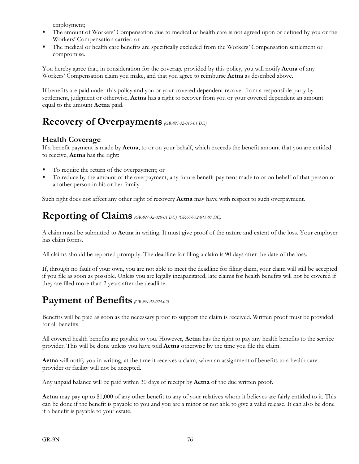employment;

- The amount of Workers' Compensation due to medical or health care is not agreed upon or defined by you or the Workers' Compensation carrier; or
- The medical or health care benefits are specifically excluded from the Workers' Compensation settlement or compromise.

You hereby agree that, in consideration for the coverage provided by this policy, you will notify **Aetna** of any Workers' Compensation claim you make, and that you agree to reimburse **Aetna** as described above.

If benefits are paid under this policy and you or your covered dependent recover from a responsible party by settlement, judgment or otherwise, **Aetna** has a right to recover from you or your covered dependent an amount equal to the amount **Aetna** paid.

## **Recovery of Overpayments** *(GR-9N-32-015-01 DE)*

## **Health Coverage**

If a benefit payment is made by **Aetna**, to or on your behalf, which exceeds the benefit amount that you are entitled to receive, **Aetna** has the right:

- To require the return of the overpayment; or
- To reduce by the amount of the overpayment, any future benefit payment made to or on behalf of that person or another person in his or her family.

Such right does not affect any other right of recovery **Aetna** may have with respect to such overpayment.

## **Reporting of Claims** *(GR-9N-32-020-01 DE) (GR-9N-32-015-01 DE)*

A claim must be submitted to **Aetna** in writing. It must give proof of the nature and extent of the loss. Your employer has claim forms.

All claims should be reported promptly. The deadline for filing a claim is 90 days after the date of the loss.

If, through no fault of your own, you are not able to meet the deadline for filing claim, your claim will still be accepted if you file as soon as possible. Unless you are legally incapacitated, late claims for health benefits will not be covered if they are filed more than 2 years after the deadline.

## **Payment of Benefits** *(GR-9N-32-025-02)*

Benefits will be paid as soon as the necessary proof to support the claim is received. Written proof must be provided for all benefits.

All covered health benefits are payable to you. However, **Aetna** has the right to pay any health benefits to the service provider. This will be done unless you have told **Aetna** otherwise by the time you file the claim.

**Aetna** will notify you in writing, at the time it receives a claim, when an assignment of benefits to a health care provider or facility will not be accepted.

Any unpaid balance will be paid within 30 days of receipt by **Aetna** of the due written proof.

**Aetna** may pay up to \$1,000 of any other benefit to any of your relatives whom it believes are fairly entitled to it. This can be done if the benefit is payable to you and you are a minor or not able to give a valid release. It can also be done if a benefit is payable to your estate.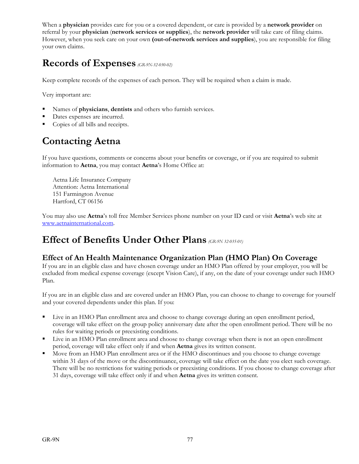When a **physician** provides care for you or a covered dependent, or care is provided by a **network provider** on referral by your **physician** (**network services or supplies**), the **network provider** will take care of filing claims. However, when you seek care on your own **(out-of-network services and supplies**), you are responsible for filing your own claims.

## **Records of Expenses** *(GR-9N-32-030-02)*

Keep complete records of the expenses of each person. They will be required when a claim is made.

Very important are:

- Names of **physicians**, **dentists** and others who furnish services.
- Dates expenses are incurred.
- Copies of all bills and receipts.

## **Contacting Aetna**

If you have questions, comments or concerns about your benefits or coverage, or if you are required to submit information to **Aetna**, you may contact **Aetna**'s Home Office at:

Aetna Life Insurance Company Attention: Aetna International 151 Farmington Avenue Hartford, CT 06156

You may also use **Aetna**'s toll free Member Services phone number on your ID card or visit **Aetna**'s web site at www.aetnainternational.com.

## **Effect of Benefits Under Other Plans** *(GR-9N 32-035-01)*

### **Effect of An Health Maintenance Organization Plan (HMO Plan) On Coverage**

If you are in an eligible class and have chosen coverage under an HMO Plan offered by your employer, you will be excluded from medical expense coverage (except Vision Care), if any, on the date of your coverage under such HMO Plan.

If you are in an eligible class and are covered under an HMO Plan, you can choose to change to coverage for yourself and your covered dependents under this plan. If you:

- Live in an HMO Plan enrollment area and choose to change coverage during an open enrollment period, coverage will take effect on the group policy anniversary date after the open enrollment period. There will be no rules for waiting periods or preexisting conditions.
- Live in an HMO Plan enrollment area and choose to change coverage when there is not an open enrollment period, coverage will take effect only if and when **Aetna** gives its written consent.
- Move from an HMO Plan enrollment area or if the HMO discontinues and you choose to change coverage within 31 days of the move or the discontinuance, coverage will take effect on the date you elect such coverage. There will be no restrictions for waiting periods or preexisting conditions. If you choose to change coverage after 31 days, coverage will take effect only if and when **Aetna** gives its written consent.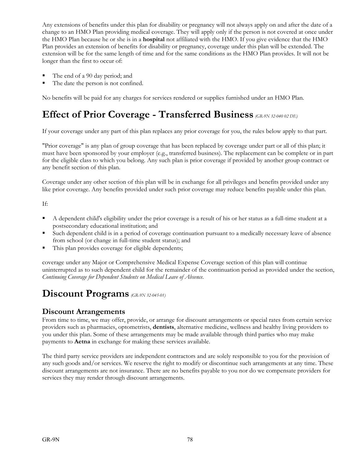Any extensions of benefits under this plan for disability or pregnancy will not always apply on and after the date of a change to an HMO Plan providing medical coverage. They will apply only if the person is not covered at once under the HMO Plan because he or she is in a **hospital** not affiliated with the HMO. If you give evidence that the HMO Plan provides an extension of benefits for disability or pregnancy, coverage under this plan will be extended. The extension will be for the same length of time and for the same conditions as the HMO Plan provides. It will not be longer than the first to occur of:

- The end of a 90 day period; and
- The date the person is not confined.

No benefits will be paid for any charges for services rendered or supplies furnished under an HMO Plan.

## **Effect of Prior Coverage - Transferred Business** *(GR-9N 32-040 02 DE)*

If your coverage under any part of this plan replaces any prior coverage for you, the rules below apply to that part.

"Prior coverage" is any plan of group coverage that has been replaced by coverage under part or all of this plan; it must have been sponsored by your employer (e.g., transferred business). The replacement can be complete or in part for the eligible class to which you belong. Any such plan is prior coverage if provided by another group contract or any benefit section of this plan.

Coverage under any other section of this plan will be in exchange for all privileges and benefits provided under any like prior coverage. Any benefits provided under such prior coverage may reduce benefits payable under this plan.

If:

- A dependent child's eligibility under the prior coverage is a result of his or her status as a full-time student at a postsecondary educational institution; and
- Such dependent child is in a period of coverage continuation pursuant to a medically necessary leave of absence from school (or change in full-time student status); and
- This plan provides coverage for eligible dependents;

coverage under any Major or Comprehensive Medical Expense Coverage section of this plan will continue uninterrupted as to such dependent child for the remainder of the continuation period as provided under the section, *Continuing Coverage for Dependent Students on Medical Leave of Absence*.

## **Discount Programs** *(GR-9N 32-045-01)*

#### **Discount Arrangements**

From time to time, we may offer, provide, or arrange for discount arrangements or special rates from certain service providers such as pharmacies, optometrists, **dentists**, alternative medicine, wellness and healthy living providers to you under this plan. Some of these arrangements may be made available through third parties who may make payments to **Aetna** in exchange for making these services available.

The third party service providers are independent contractors and are solely responsible to you for the provision of any such goods and/or services. We reserve the right to modify or discontinue such arrangements at any time. These discount arrangements are not insurance. There are no benefits payable to you nor do we compensate providers for services they may render through discount arrangements.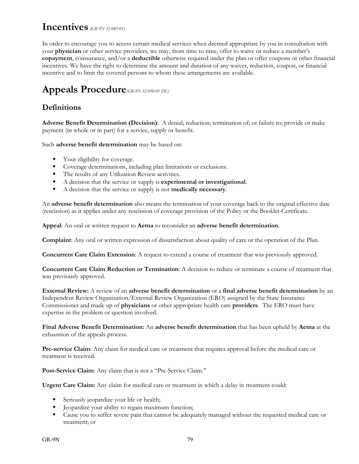## **Incentives** *(GR-9N 32-045-01)*

In order to encourage you to access certain medical services when deemed appropriate by you in consultation with your **physician** or other service providers, we may, from time to time, offer to waive or reduce a member's **copayment**, coinsurance, and/or a **deductible** otherwise required under the plan or offer coupons or other financial incentives. We have the right to determine the amount and duration of any waiver, reduction, coupon, or financial incentive and to limit the covered persons to whom these arrangements are available.

## **Appeals Procedure***(GR-9N-32-050-01 DE)*

## **Definitions**

**Adverse Benefit Determination (Decision)**: A denial; reduction; termination of; or failure to; provide or make payment (in whole or in part) for a service, supply or benefit.

Such **adverse benefit determination** may be based on:

- Your eligibility for coverage.
- Coverage determinations, including plan limitations or exclusions.
- The results of any Utilization Review activities.
- A decision that the service or supply is **experimental or investigational**.
- A decision that the service or supply is not **medically necessary**.

An **adverse benefit determination** also means the termination of your coverage back to the original effective date (rescission) as it applies under any rescission of coverage provision of the Policy or the Booklet-Certificate.

**Appeal**: An oral or written request to **Aetna** to reconsider an **adverse benefit determination**.

**Complaint**: Any oral or written expression of dissatisfaction about quality of care or the operation of the Plan.

**Concurrent Care Claim Extension**: A request to extend a course of treatment that was previously approved.

**Concurrent Care Claim Reduction or Termination**: A decision to reduce or terminate a course of treatment that was previously approved.

**External Review:** A review of an **adverse benefit determination** or a **final adverse benefit determination** by an Independent Review Organization/External Review Organization (ERO) assigned by the State Insurance Commissioner and made up of **physicians** or other appropriate health care **providers**. The ERO must have expertise in the problem or question involved.

**Final Adverse Benefit Determination:** An **adverse benefit determination** that has been upheld by **Aetna** at the exhaustion of the appeals process.

**Pre-service Claim**: Any claim for medical care or treatment that requires approval before the medical care or treatment is received.

**Post-Service Claim**: Any claim that is not a "Pre-Service Claim."

**Urgent Care Claim**: Any claim for medical care or treatment in which a delay in treatment could:

- Seriously jeopardize your life or health;
- Deopardize your ability to regain maximum function;
- Cause you to suffer severe pain that cannot be adequately managed without the requested medical care or treatment; or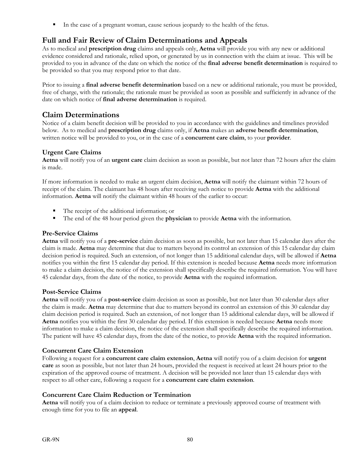In the case of a pregnant woman, cause serious jeopardy to the health of the fetus.

#### **Full and Fair Review of Claim Determinations and Appeals**

As to medical and **prescription drug** claims and appeals only, **Aetna** will provide you with any new or additional evidence considered and rationale, relied upon, or generated by us in connection with the claim at issue. This will be provided to you in advance of the date on which the notice of the **final adverse benefit determination** is required to be provided so that you may respond prior to that date.

Prior to issuing a **final adverse benefit determination** based on a new or additional rationale, you must be provided, free of charge, with the rationale; the rationale must be provided as soon as possible and sufficiently in advance of the date on which notice of **final adverse determination** is required.

#### **Claim Determinations**

Notice of a claim benefit decision will be provided to you in accordance with the guidelines and timelines provided below. As to medical and **prescription drug** claims only, if **Aetna** makes an **adverse benefit determination**, written notice will be provided to you, or in the case of a **concurrent care claim**, to your **provider**.

#### **Urgent Care Claims**

**Aetna** will notify you of an **urgent care** claim decision as soon as possible, but not later than 72 hours after the claim is made.

If more information is needed to make an urgent claim decision, **Aetna** will notify the claimant within 72 hours of receipt of the claim. The claimant has 48 hours after receiving such notice to provide **Aetna** with the additional information. **Aetna** will notify the claimant within 48 hours of the earlier to occur:

- The receipt of the additional information; or
- The end of the 48 hour period given the **physician** to provide **Aetna** with the information.

#### **Pre-Service Claims**

**Aetna** will notify you of a **pre-service** claim decision as soon as possible, but not later than 15 calendar days after the claim is made. **Aetna** may determine that due to matters beyond its control an extension of this 15 calendar day claim decision period is required. Such an extension, of not longer than 15 additional calendar days, will be allowed if **Aetna** notifies you within the first 15 calendar day period. If this extension is needed because **Aetna** needs more information to make a claim decision, the notice of the extension shall specifically describe the required information. You will have 45 calendar days, from the date of the notice, to provide **Aetna** with the required information.

#### **Post-Service Claims**

**Aetna** will notify you of a **post-service** claim decision as soon as possible, but not later than 30 calendar days after the claim is made. **Aetna** may determine that due to matters beyond its control an extension of this 30 calendar day claim decision period is required. Such an extension, of not longer than 15 additional calendar days, will be allowed if **Aetna** notifies you within the first 30 calendar day period. If this extension is needed because **Aetna** needs more information to make a claim decision, the notice of the extension shall specifically describe the required information. The patient will have 45 calendar days, from the date of the notice, to provide **Aetna** with the required information.

#### **Concurrent Care Claim Extension**

Following a request for a **concurrent care claim extension**, **Aetna** will notify you of a claim decision for **urgent care** as soon as possible, but not later than 24 hours, provided the request is received at least 24 hours prior to the expiration of the approved course of treatment. A decision will be provided not later than 15 calendar days with respect to all other care, following a request for a **concurrent care claim extension**.

#### **Concurrent Care Claim Reduction or Termination**

**Aetna** will notify you of a claim decision to reduce or terminate a previously approved course of treatment with enough time for you to file an **appeal**.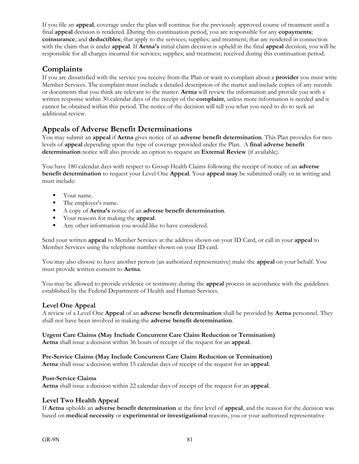If you file an **appeal**, coverage under the plan will continue for the previously approved course of treatment until a final **appeal** decision is rendered. During this continuation period, you are responsible for any **copayments**; **coinsurance**; and **deductibles**; that apply to the services; supplies; and treatment; that are rendered in connection with the claim that is under **appeal**. If **Aetna's** initial claim decision is upheld in the final **appeal** decision, you will be responsible for all charges incurred for services; supplies; and treatment; received during this continuation period.

#### **Complaints**

If you are dissatisfied with the service you receive from the Plan or want to complain about a **provider** you must write Member Services. The complaint must include a detailed description of the matter and include copies of any records or documents that you think are relevant to the matter. **Aetna** will review the information and provide you with a written response within 30 calendar days of the receipt of the **complaint**, unless more information is needed and it cannot be obtained within this period. The notice of the decision will tell you what you need to do to seek an additional review.

#### **Appeals of Adverse Benefit Determinations**

You may submit an **appeal** if **Aetna** gives notice of an **adverse benefit determination**. This Plan provides for two levels of **appeal** depending upon the type of coverage provided under the Plan. A **final adverse benefit determination** notice will also provide an option to request an **External Review** (if available).

You have 180 calendar days with respect to Group Health Claims following the receipt of notice of an **adverse benefit determination** to request your Level One **Appeal**. Your **appeal may** be submitted orally or in writing and must include:

- **•** Your name.
- The employer's name.
- A copy of **Aetna's** notice of an **adverse benefit determination**.
- Your reasons for making the **appeal**.
- Any other information you would like to have considered.

Send your written **appeal** to Member Services at the address shown on your ID Card, or call in your **appeal** to Member Services using the telephone number shown on your ID card.

You may also choose to have another person (an authorized representative) make the **appeal** on your behalf. You must provide written consent to **Aetna**.

You may be allowed to provide evidence or testimony during the **appeal** process in accordance with the guidelines established by the Federal Department of Health and Human Services.

#### **Level One Appeal**

A review of a Level One **Appeal** of an **adverse benefit determination** shall be provided by **Aetna** personnel. They shall not have been involved in making the **adverse benefit determination**.

#### **Urgent Care Claims (May Include Concurrent Care Claim Reduction or Termination)**

**Aetna** shall issue a decision within 36 hours of receipt of the request for an **appeal**.

#### **Pre-Service Claims (May Include Concurrent Care Claim Reduction or Termination)**

**Aetna** shall issue a decision within 15 calendar days of receipt of the request for an **appeal**.

#### **Post-Service Claims**

**Aetna** shall issue a decision within 22 calendar days of receipt of the request for an **appeal**.

#### **Level Two Health Appeal**

If **Aetna** upholds an **adverse benefit determination** at the first level of **appeal**, and the reason for the decision was based on **medical necessity** or **experimental or investigational** reasons, you or your authorized representative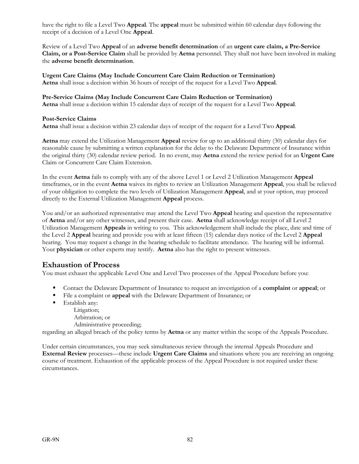have the right to file a Level Two **Appeal**. The **appeal** must be submitted within 60 calendar days following the receipt of a decision of a Level One **Appeal**.

Review of a Level Two **Appeal** of an **adverse benefit determination** of an **urgent care claim, a Pre-Service Claim, or a Post-Service Claim** shall be provided by **Aetna** personnel. They shall not have been involved in making the **adverse benefit determination**.

**Urgent Care Claims (May Include Concurrent Care Claim Reduction or Termination) Aetna** shall issue a decision within 36 hours of receipt of the request for a Level Two **Appeal**.

**Pre-Service Claims (May Include Concurrent Care Claim Reduction or Termination)** 

**Aetna** shall issue a decision within 15 calendar days of receipt of the request for a Level Two **Appeal**.

#### **Post-Service Claims**

**Aetna** shall issue a decision within 23 calendar days of receipt of the request for a Level Two **Appeal**.

**Aetna** may extend the Utilization Management **Appeal** review for up to an additional thirty (30) calendar days for reasonable cause by submitting a written explanation for the delay to the Delaware Department of Insurance within the original thirty (30) calendar review period. In no event, may **Aetna** extend the review period for an **Urgent Care**  Claim or Concurrent Care Claim Extension.

In the event **Aetna** fails to comply with any of the above Level 1 or Level 2 Utilization Management **Appeal** timeframes, or in the event **Aetna** waives its rights to review an Utilization Management **Appeal**, you shall be relieved of your obligation to complete the two levels of Utilization Management **Appeal**, and at your option, may proceed directly to the External Utilization Management **Appeal** process.

You and/or an authorized representative may attend the Level Two **Appeal** hearing and question the representative of **Aetna** and/or any other witnesses, and present their case. **Aetna** shall acknowledge receipt of all Level 2 Utilization Management **Appeals** in writing to you. This acknowledgement shall include the place, date and time of the Level 2 **Appeal** hearing and provide you with at least fifteen (15) calendar days notice of the Level 2 **Appeal** hearing. You may request a change in the hearing schedule to facilitate attendance. The hearing will be informal. Your **physician** or other experts may testify. **Aetna** also has the right to present witnesses.

#### **Exhaustion of Process**

You must exhaust the applicable Level One and Level Two processes of the Appeal Procedure before you:

- Contact the Delaware Department of Insurance to request an investigation of a **complaint** or **appeal**; or
- File a complaint or **appeal** with the Delaware Department of Insurance; or
- **Establish any:** 
	- Litigation;
	- Arbitration; or
	- Administrative proceeding;

regarding an alleged breach of the policy terms by **Aetna** or any matter within the scope of the Appeals Procedure.

Under certain circumstances, you may seek simultaneous review through the internal Appeals Procedure and **External Review** processes—these include **Urgent Care Claims** and situations where you are receiving an ongoing course of treatment. Exhaustion of the applicable process of the Appeal Procedure is not required under these circumstances.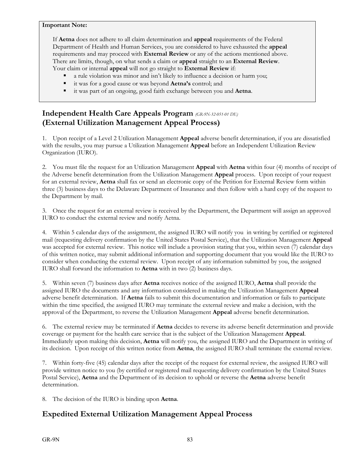#### **Important Note:**

If **Aetna** does not adhere to all claim determination and **appeal** requirements of the Federal Department of Health and Human Services, you are considered to have exhausted the **appeal** requirements and may proceed with **External Review** or any of the actions mentioned above. There are limits, though, on what sends a claim or **appeal** straight to an **External Review**. Your claim or internal **appeal** will not go straight to **External Review** if:

- a rule violation was minor and isn't likely to influence a decision or harm you;
- it was for a good cause or was beyond **Aetna's** control; and
- it was part of an ongoing, good faith exchange between you and **Aetna**.

### **Independent Health Care Appeals Program** *(GR-9N-32-051-01 DE)* **(External Utilization Management Appeal Process)**

1. Upon receipt of a Level 2 Utilization Management **Appeal** adverse benefit determination, if you are dissatisfied with the results, you may pursue a Utilization Management **Appeal** before an Independent Utilization Review Organization (IURO).

2. You must file the request for an Utilization Management **Appeal** with **Aetna** within four (4) months of receipt of the Adverse benefit determination from the Utilization Management **Appeal** process. Upon receipt of your request for an external review, **Aetna** shall fax or send an electronic copy of the Petition for External Review form within three (3) business days to the Delaware Department of Insurance and then follow with a hard copy of the request to the Department by mail.

3. Once the request for an external review is received by the Department, the Department will assign an approved IURO to conduct the external review and notify Aetna.

4. Within 5 calendar days of the assignment, the assigned IURO will notify you in writing by certified or registered mail (requesting delivery confirmation by the United States Postal Service), that the Utilization Management **Appeal** was accepted for external review. This notice will include a provision stating that you, within seven (7) calendar days of this written notice, may submit additional information and supporting document that you would like the IURO to consider when conducting the external review. Upon receipt of any information submitted by you, the assigned IURO shall forward the information to **Aetna** with in two (2) business days.

5. Within seven (7) business days after **Aetna** receives notice of the assigned IURO, **Aetna** shall provide the assigned IURO the documents and any information considered in making the Utilization Management **Appeal** adverse benefit determination. If **Aetna** fails to submit this documentation and information or fails to participate within the time specified, the assigned IURO may terminate the external review and make a decision, with the approval of the Department, to reverse the Utilization Management **Appeal** adverse benefit determination.

6. The external review may be terminated if **Aetna** decides to reverse its adverse benefit determination and provide coverage or payment for the health care service that is the subject of the Utilization Management **Appeal**. Immediately upon making this decision, **Aetna** will notify you, the assigned IURO and the Department in writing of its decision. Upon receipt of this written notice from **Aetna**, the assigned IURO shall terminate the external review.

7. Within forty-five (45) calendar days after the receipt of the request for external review, the assigned IURO will provide written notice to you (by certified or registered mail requesting delivery confirmation by the United States Postal Service), **Aetna** and the Department of its decision to uphold or reverse the **Aetna** adverse benefit determination.

8. The decision of the IURO is binding upon **Aetna**.

### **Expedited External Utilization Management Appeal Process**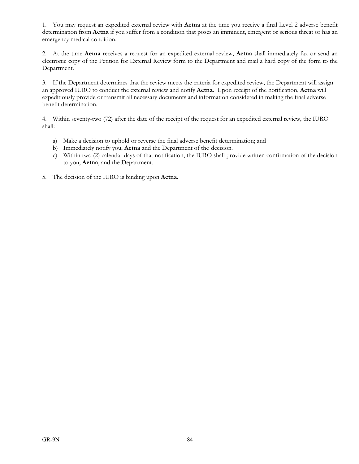1. You may request an expedited external review with **Aetna** at the time you receive a final Level 2 adverse benefit determination from **Aetna** if you suffer from a condition that poses an imminent, emergent or serious threat or has an emergency medical condition.

2. At the time **Aetna** receives a request for an expedited external review, **Aetna** shall immediately fax or send an electronic copy of the Petition for External Review form to the Department and mail a hard copy of the form to the Department.

3. If the Department determines that the review meets the criteria for expedited review, the Department will assign an approved IURO to conduct the external review and notify **Aetna**. Upon receipt of the notification, **Aetna** will expeditiously provide or transmit all necessary documents and information considered in making the final adverse benefit determination.

4. Within seventy-two (72) after the date of the receipt of the request for an expedited external review, the IURO shall:

- a) Make a decision to uphold or reverse the final adverse benefit determination; and
- b) Immediately notify you, **Aetna** and the Department of the decision.
- c) Within two (2) calendar days of that notification, the IURO shall provide written confirmation of the decision to you, **Aetna**, and the Department.
- 5. The decision of the IURO is binding upon **Aetna**.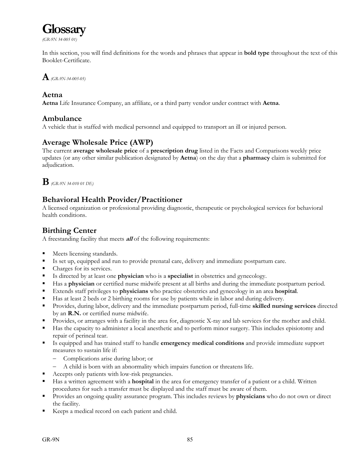

*(GR-9N 34-005 01)*

In this section, you will find definitions for the words and phrases that appear in **bold type** throughout the text of this Booklet-Certificate.

## **A***(GR-9N-34-005-05)*

#### **Aetna**

**Aetna** Life Insurance Company, an affiliate, or a third party vendor under contract with **Aetna**.

#### **Ambulance**

A vehicle that is staffed with medical personnel and equipped to transport an ill or injured person.

### **Average Wholesale Price (AWP)**

The current **average wholesale price** of a **prescription drug** listed in the Facts and Comparisons weekly price updates (or any other similar publication designated by **Aetna**) on the day that a **pharmacy** claim is submitted for adjudication.

## **B***(GR-9N 34-010 01 DE)*

### **Behavioral Health Provider/Practitioner**

A licensed organization or professional providing diagnostic, therapeutic or psychological services for behavioral health conditions.

### **Birthing Center**

A freestanding facility that meets **all** of the following requirements:

- **Meets licensing standards.**
- Is set up, equipped and run to provide prenatal care, delivery and immediate postpartum care.
- Charges for its services.
- Is directed by at least one **physician** who is a **specialist** in obstetrics and gynecology.
- Has a **physician** or certified nurse midwife present at all births and during the immediate postpartum period.
- Extends staff privileges to **physicians** who practice obstetrics and gynecology in an area **hospital**.
- Has at least 2 beds or 2 birthing rooms for use by patients while in labor and during delivery.
- Provides, during labor, delivery and the immediate postpartum period, full-time **skilled nursing services** directed by an **R.N.** or certified nurse midwife.
- Provides, or arranges with a facility in the area for, diagnostic X-ray and lab services for the mother and child.
- Has the capacity to administer a local anesthetic and to perform minor surgery. This includes episiotomy and repair of perineal tear.
- Is equipped and has trained staff to handle **emergency medical conditions** and provide immediate support measures to sustain life if:
	- Complications arise during labor; or
	- A child is born with an abnormality which impairs function or threatens life.
- Accepts only patients with low-risk pregnancies.
- Has a written agreement with a **hospital** in the area for emergency transfer of a patient or a child. Written procedures for such a transfer must be displayed and the staff must be aware of them.
- Provides an ongoing quality assurance program. This includes reviews by **physicians** who do not own or direct the facility.
- Keeps a medical record on each patient and child.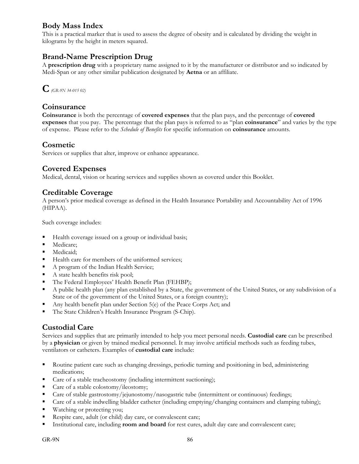### **Body Mass Index**

This is a practical marker that is used to assess the degree of obesity and is calculated by dividing the weight in kilograms by the height in meters squared.

### **Brand-Name Prescription Drug**

A **prescription drug** with a proprietary name assigned to it by the manufacturer or distributor and so indicated by Medi-Span or any other similar publication designated by **Aetna** or an affiliate.



#### **Coinsurance**

**Coinsurance** is both the percentage of **covered expenses** that the plan pays, and the percentage of **covered expenses** that you pay. The percentage that the plan pays is referred to as "plan **coinsurance**" and varies by the type of expense. Please refer to the *Schedule of Benefits* for specific information on **coinsurance** amounts.

#### **Cosmetic**

Services or supplies that alter, improve or enhance appearance.

#### **Covered Expenses**

Medical, dental, vision or hearing services and supplies shown as covered under this Booklet.

#### **Creditable Coverage**

A person's prior medical coverage as defined in the Health Insurance Portability and Accountability Act of 1996 (HIPAA).

Such coverage includes:

- Health coverage issued on a group or individual basis;
- **Medicare:**
- **Medicaid**;
- Health care for members of the uniformed services;
- A program of the Indian Health Service;
- $\blacksquare$  A state health benefits risk pool;
- The Federal Employees' Health Benefit Plan (FEHBP);
- A public health plan (any plan established by a State, the government of the United States, or any subdivision of a State or of the government of the United States, or a foreign country);
- Any health benefit plan under Section 5(e) of the Peace Corps Act; and
- The State Children's Health Insurance Program (S-Chip).

#### **Custodial Care**

Services and supplies that are primarily intended to help you meet personal needs. **Custodial care** can be prescribed by a **physician** or given by trained medical personnel. It may involve artificial methods such as feeding tubes, ventilators or catheters. Examples of **custodial care** include:

- Routine patient care such as changing dressings, periodic turning and positioning in bed, administering medications;
- Care of a stable tracheostomy (including intermittent suctioning);
- Care of a stable colostomy/ileostomy;
- Care of stable gastrostomy/jejunostomy/nasogastric tube (intermittent or continuous) feedings;
- Care of a stable indwelling bladder catheter (including emptying/changing containers and clamping tubing);
- Watching or protecting you;
- Respite care, adult (or child) day care, or convalescent care;
- Institutional care, including **room and board** for rest cures, adult day care and convalescent care;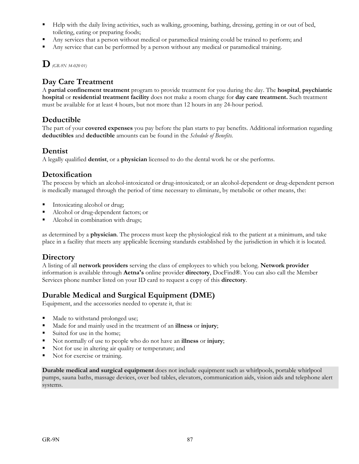- Help with the daily living activities, such as walking, grooming, bathing, dressing, getting in or out of bed, toileting, eating or preparing foods;
- Any services that a person without medical or paramedical training could be trained to perform; and
- Any service that can be performed by a person without any medical or paramedical training.

**D***(GR-9N 34-020 01)*

## **Day Care Treatment**

A **partial confinement treatment** program to provide treatment for you during the day. The **hospital**, **psychiatric hospital** or **residential treatment facility** does not make a room charge for **day care treatment.** Such treatment must be available for at least 4 hours, but not more than 12 hours in any 24-hour period.

### **Deductible**

The part of your **covered expenses** you pay before the plan starts to pay benefits. Additional information regarding **deductibles** and **deductible** amounts can be found in the *Schedule of Benefits*.

#### **Dentist**

A legally qualified **dentist**, or a **physician** licensed to do the dental work he or she performs.

#### **Detoxification**

The process by which an alcohol-intoxicated or drug-intoxicated; or an alcohol-dependent or drug-dependent person is medically managed through the period of time necessary to eliminate, by metabolic or other means, the:

- Intoxicating alcohol or drug;
- Alcohol or drug-dependent factors; or
- Alcohol in combination with drugs;

as determined by a **physician**. The process must keep the physiological risk to the patient at a minimum, and take place in a facility that meets any applicable licensing standards established by the jurisdiction in which it is located.

#### **Directory**

A listing of all **network providers** serving the class of employees to which you belong. **Network provider** information is available through **Aetna's** online provider **directory**, DocFind®. You can also call the Member Services phone number listed on your ID card to request a copy of this **directory**.

### **Durable Medical and Surgical Equipment (DME)**

Equipment, and the accessories needed to operate it, that is:

- Made to withstand prolonged use;
- Made for and mainly used in the treatment of an **illness** or **injury**;
- Suited for use in the home;
- Not normally of use to people who do not have an **illness** or **injury**;
- Not for use in altering air quality or temperature; and
- Not for exercise or training.

**Durable medical and surgical equipment** does not include equipment such as whirlpools, portable whirlpool pumps, sauna baths, massage devices, over bed tables, elevators, communication aids, vision aids and telephone alert systems.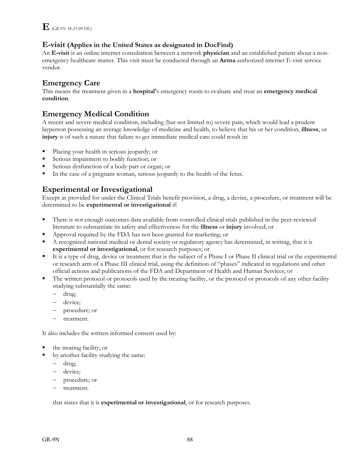#### **E-visit (Applies in the United States as designated in DocFind)**

An **E-visit** is an online internet consultation between a network **physician** and an established patient about a nonemergency healthcare matter. This visit must be conducted through an **Aetna** authorized internet E-visit service vendor.

### **Emergency Care**

This means the treatment given in a **hospital'**s emergency room to evaluate and treat an **emergency medical condition**.

#### **Emergency Medical Condition**

A recent and severe medical condition, including (but not limited to) severe pain, which would lead a prudent layperson possessing an average knowledge of medicine and health, to believe that his or her condition, **illness**, or **injury** is of such a nature that failure to get immediate medical care could result in:

- Placing your health in serious jeopardy; or
- Serious impairment to bodily function; or
- Serious dysfunction of a body part or organ; or
- In the case of a pregnant woman, serious jeopardy to the health of the fetus.

### **Experimental or Investigational**

Except as provided for under the Clinical Trials benefit provision, a drug, a device, a procedure, or treatment will be determined to be **experimental or investigational** if:

- There is not enough outcomes data available from controlled clinical trials published in the peer-reviewed literature to substantiate its safety and effectiveness for the **illness** or **injury** involved; or
- Approval required by the FDA has not been granted for marketing; or
- A recognized national medical or dental society or regulatory agency has determined, in writing, that it is **experimental or investigational**, or for research purposes; or
- It is a type of drug, device or treatment that is the subject of a Phase I or Phase II clinical trial or the experimental or research arm of a Phase III clinical trial, using the definition of "phases" indicated in regulations and other official actions and publications of the FDA and Department of Health and Human Services; or
- The written protocol or protocols used by the treating facility, or the protocol or protocols of any other facility studying substantially the same:
	- drug;
	- device;
	- procedure; or
	- treatment.

It also includes the written informed consent used by:

- the treating facility; or
- by another facility studying the same:
	- drug;
	- device;
	- procedure; or
	- treatment.

that states that it is **experimental or investigational**, or for research purposes.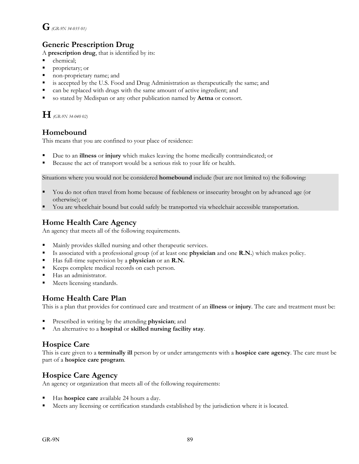## **G** *(GR-9N 34-035 01)*

## **Generic Prescription Drug**

A **prescription drug**, that is identified by its:

- chemical;
- **Peroprietary; or**
- non-proprietary name; and
- is accepted by the U.S. Food and Drug Administration as therapeutically the same; and
- can be replaced with drugs with the same amount of active ingredient; and
- so stated by Medispan or any other publication named by **Aetna** or consort.

**H** *(GR-9N 34-040 02)*

## **Homebound**

This means that you are confined to your place of residence:

- Due to an **illness** or **injury** which makes leaving the home medically contraindicated; or
- Because the act of transport would be a serious risk to your life or health.

Situations where you would not be considered **homebound** include (but are not limited to) the following:

- You do not often travel from home because of feebleness or insecurity brought on by advanced age (or otherwise); or
- You are wheelchair bound but could safely be transported via wheelchair accessible transportation.

### **Home Health Care Agency**

An agency that meets all of the following requirements.

- Mainly provides skilled nursing and other therapeutic services.
- Is associated with a professional group (of at least one **physician** and one **R.N.**) which makes policy.
- Has full-time supervision by a **physician** or an **R.N.**
- Keeps complete medical records on each person.
- Has an administrator.
- **Meets licensing standards.**

#### **Home Health Care Plan**

This is a plan that provides for continued care and treatment of an **illness** or **injury**. The care and treatment must be:

- Prescribed in writing by the attending **physician**; and
- An alternative to a **hospital** or **skilled nursing facility stay**.

### **Hospice Care**

This is care given to a **terminally ill** person by or under arrangements with a **hospice care agency**. The care must be part of a **hospice care program**.

#### **Hospice Care Agency**

An agency or organization that meets all of the following requirements:

- Has **hospice care** available 24 hours a day.
- Meets any licensing or certification standards established by the jurisdiction where it is located.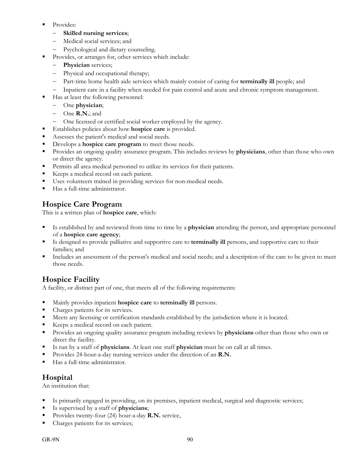- Provides:
	- **Skilled nursing services**;
	- Medical social services; and
	- Psychological and dietary counseling.
- Provides, or arranges for, other services which include:
	- **Physician** services;
	- Physical and occupational therapy;
	- Part-time home health aide services which mainly consist of caring for **terminally ill** people; and
	- Inpatient care in a facility when needed for pain control and acute and chronic symptom management.
- Has at least the following personnel:
	- One **physician**;
	- One **R.N.**; and
	- One licensed or certified social worker employed by the agency.
- Establishes policies about how **hospice care** is provided.
- Assesses the patient's medical and social needs.
- Develops a **hospice care program** to meet those needs.
- Provides an ongoing quality assurance program. This includes reviews by **physicians**, other than those who own or direct the agency.
- Permits all area medical personnel to utilize its services for their patients.
- Keeps a medical record on each patient.
- Uses volunteers trained in providing services for non-medical needs.
- Has a full-time administrator.

### **Hospice Care Program**

This is a written plan of **hospice care**, which:

- Is established by and reviewed from time to time by a **physician** attending the person, and appropriate personnel of a **hospice care agency**;
- Is designed to provide palliative and supportive care to **terminally ill** persons, and supportive care to their families; and
- Includes an assessment of the person's medical and social needs; and a description of the care to be given to meet those needs.

### **Hospice Facility**

A facility, or distinct part of one, that meets all of the following requirements:

- Mainly provides inpatient **hospice care** to **terminally ill** persons.
- Charges patients for its services.
- Meets any licensing or certification standards established by the jurisdiction where it is located.
- Keeps a medical record on each patient.
- Provides an ongoing quality assurance program including reviews by **physicians** other than those who own or direct the facility.
- Is run by a staff of **physicians**. At least one staff **physician** must be on call at all times.
- Provides 24-hour-a-day nursing services under the direction of an **R.N.**
- Has a full-time administrator.

#### **Hospital**

An institution that:

- Is primarily engaged in providing, on its premises, inpatient medical, surgical and diagnostic services;
- Is supervised by a staff of **physicians**;
- Provides twenty-four (24) hour-a-day **R.N.** service,
- Charges patients for its services;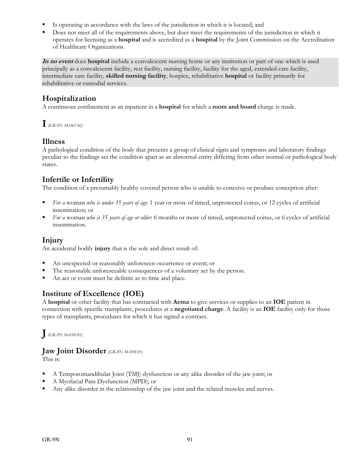- Is operating in accordance with the laws of the jurisdiction in which it is located; and
- Does not meet all of the requirements above, but does meet the requirements of the jurisdiction in which it operates for licensing as a **hospital** and is accredited as a **hospital** by the Joint Commission on the Accreditation of Healthcare Organizations.

**In no event** does **hospital** include a convalescent nursing home or any institution or part of one which is used principally as a convalescent facility, rest facility, nursing facility, facility for the aged, extended care facility, intermediate care facility, **skilled nursing facility**, hospice, rehabilitative **hospital** or facility primarily for rehabilitative or custodial services.

### **Hospitalization**

A continuous confinement as an inpatient in a **hospital** for which a **room and board** charge is made.

**I***(GR-9N 34-045 02)*

#### **Illness**

A pathological condition of the body that presents a group of clinical signs and symptoms and laboratory findings peculiar to the findings set the condition apart as an abnormal entity differing from other normal or pathological body states.

## **Infertile or Infertility**

The condition of a presumably healthy covered person who is unable to conceive or produce conception after:

- *For a* woman *who is under 35 years of age*: 1 year or more of timed, unprotected coitus, or 12 cycles of artificial insemination; or
- *For a* woman *who is 35 years of age or older*: 6 months or more of timed, unprotected coitus, or 6 cycles of artificial insemination.

#### **Injury**

An accidental bodily **injury** that is the sole and direct result of:

- An unexpected or reasonably unforeseen occurrence or event; or
- The reasonable unforeseeable consequences of a voluntary act by the person.
- An act or event must be definite as to time and place.

#### **Institute of Excellence (IOE)**

A **hospital** or other facility that has contracted with **Aetna** to give services or supplies to an **IOE** patient in connection with specific transplants, procedures at a **negotiated charge**. A facility is an **IOE** facility only for those types of transplants, procedures for which it has signed a contract.

**J***(GR-9N 34-050 01)*

### **Jaw Joint Disorder** *(GR-9N 34-050 01)*

This is:

- A Temporomandibular Joint (TMJ) dysfunction or any alike disorder of the jaw joint; or
- A Myofacial Pain Dysfunction (MPD); or
- Any alike disorder in the relationship of the jaw joint and the related muscles and nerves.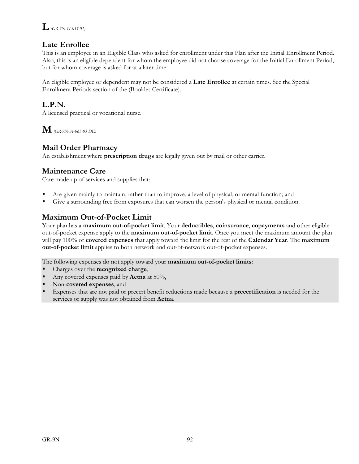### **Late Enrollee**

This is an employee in an Eligible Class who asked for enrollment under this Plan after the Initial Enrollment Period. Also, this is an eligible dependent for whom the employee did not choose coverage for the Initial Enrollment Period, but for whom coverage is asked for at a later time.

An eligible employee or dependent may not be considered a **Late Enrollee** at certain times. See the Special Enrollment Periods section of the (Booklet-Certificate).

### **L.P.N.**

A licensed practical or vocational nurse.

**M** *(GR-9N-34-065-03 DE)*

### **Mail Order Pharmacy**

An establishment where **prescription drugs** are legally given out by mail or other carrier.

### **Maintenance Care**

Care made up of services and supplies that:

- Are given mainly to maintain, rather than to improve, a level of physical, or mental function; and
- Give a surrounding free from exposures that can worsen the person's physical or mental condition.

### **Maximum Out-of-Pocket Limit**

Your plan has a **maximum out-of-pocket limit**. Your **deductibles**, **coinsurance**, **copayments** and other eligible out-of-pocket expense apply to the **maximum out-of-pocket limit**. Once you meet the maximum amount the plan will pay 100% of **covered expenses** that apply toward the limit for the rest of the **Calendar Year**. The **maximum out-of-pocket limit** applies to both network and out-of-network out-of-pocket expenses.

The following expenses do not apply toward your **maximum out-of-pocket limits**:

- Charges over the **recognized charge**,
- Any covered expenses paid by **Aetna** at 50%,
- Non-**covered expenses**, and
- Expenses that are not paid or precert benefit reductions made because a **precertification** is needed for the services or supply was not obtained from **Aetna**.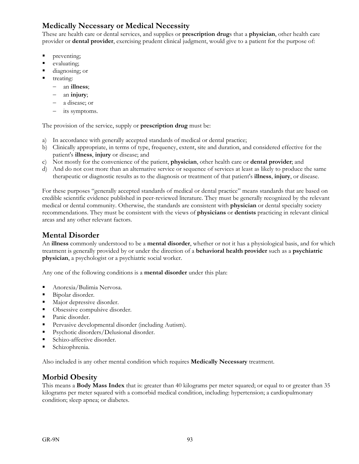## **Medically Necessary or Medical Necessity**

These are health care or dental services, and supplies or **prescription drug**s that a **physician**, other health care provider or **dental provider**, exercising prudent clinical judgment, would give to a patient for the purpose of:

- preventing;
- evaluating;
- diagnosing; or
- treating:
	- an **illness**;
	- an **injury**;
	- a disease; or
	- its symptoms.

The provision of the service, supply or **prescription drug** must be:

- a) In accordance with generally accepted standards of medical or dental practice;
- b) Clinically appropriate, in terms of type, frequency, extent, site and duration, and considered effective for the patient's **illness**, **injury** or disease; and
- c) Not mostly for the convenience of the patient, **physician**, other health care or **dental provider**; and
- d) And do not cost more than an alternative service or sequence of services at least as likely to produce the same therapeutic or diagnostic results as to the diagnosis or treatment of that patient's **illness**, **injury**, or disease.

For these purposes "generally accepted standards of medical or dental practice" means standards that are based on credible scientific evidence published in peer-reviewed literature. They must be generally recognized by the relevant medical or dental community. Otherwise, the standards are consistent with **physician** or dental specialty society recommendations. They must be consistent with the views of **physicians** or **dentists** practicing in relevant clinical areas and any other relevant factors.

### **Mental Disorder**

An **illness** commonly understood to be a **mental disorder**, whether or not it has a physiological basis, and for which treatment is generally provided by or under the direction of a **behavioral health provider** such as a **psychiatric physician**, a psychologist or a psychiatric social worker.

Any one of the following conditions is a **mental disorder** under this plan:

- Anorexia/Bulimia Nervosa.
- Bipolar disorder.
- **Major depressive disorder.**
- Obsessive compulsive disorder.
- Panic disorder.
- Pervasive developmental disorder (including Autism).
- **Psychotic disorders/Delusional disorder.**
- **Schizo-affective disorder.**
- Schizophrenia.

Also included is any other mental condition which requires **Medically Necessary** treatment.

#### **Morbid Obesity**

This means a **Body Mass Index** that is: greater than 40 kilograms per meter squared; or equal to or greater than 35 kilograms per meter squared with a comorbid medical condition, including: hypertension; a cardiopulmonary condition; sleep apnea; or diabetes.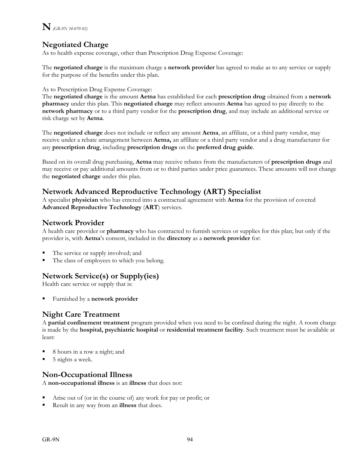

### **Negotiated Charge**

As to health expense coverage, other than Prescription Drug Expense Coverage:

The **negotiated charge** is the maximum charge a **network provider** has agreed to make as to any service or supply for the purpose of the benefits under this plan.

#### As to Prescription Drug Expense Coverage:

The **negotiated charge** is the amount **Aetna** has established for each **prescription drug** obtained from a **network pharmacy** under this plan. This **negotiated charge** may reflect amounts **Aetna** has agreed to pay directly to the **network pharmacy** or to a third party vendor for the **prescription drug**, and may include an additional service or risk charge set by **Aetna**.

The **negotiated charge** does not include or reflect any amount **Aetna**, an affiliate, or a third party vendor, may receive under a rebate arrangement between **Aetna,** an affiliate or a third party vendor and a drug manufacturer for any **prescription drug**, including **prescription drugs** on the **preferred drug guide**.

Based on its overall drug purchasing, **Aetna** may receive rebates from the manufacturers of **prescription drugs** and may receive or pay additional amounts from or to third parties under price guarantees. These amounts will not change the **negotiated charge** under this plan.

#### **Network Advanced Reproductive Technology (ART) Specialist**

A specialist **physician** who has entered into a contractual agreement with **Aetna** for the provision of covered **Advanced Reproductive Technology** (**ART**) services.

#### **Network Provider**

A health care provider or **pharmacy** who has contracted to furnish services or supplies for this plan; but only if the provider is, with **Aetna**'s consent, included in the **directory** as a **network provider** for:

- The service or supply involved; and
- The class of employees to which you belong.

### **Network Service(s) or Supply(ies)**

Health care service or supply that is:

Furnished by a **network provider**

#### **Night Care Treatment**

A **partial confinement treatment** program provided when you need to be confined during the night. A room charge is made by the **hospital, psychiatric hospital** or **residential treatment facility**. Such treatment must be available at least:

- 8 hours in a row a night; and
- 5 nights a week.

#### **Non-Occupational Illness**

A **non-occupational illness** is an **illness** that does not:

- Arise out of (or in the course of) any work for pay or profit; or
- Result in any way from an **illness** that does.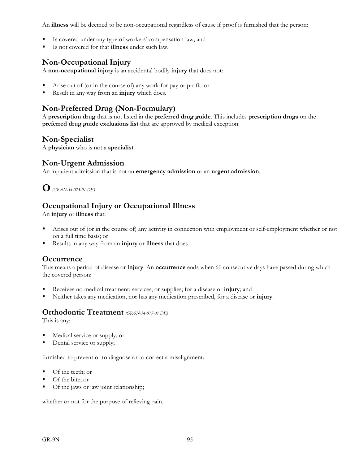An **illness** will be deemed to be non-occupational regardless of cause if proof is furnished that the person:

- Is covered under any type of workers' compensation law; and
- Is not covered for that **illness** under such law.

### **Non-Occupational Injury**

A **non-occupational injury** is an accidental bodily **injury** that does not:

- Arise out of (or in the course of) any work for pay or profit; or
- Result in any way from an **injury** which does.

### **Non-Preferred Drug (Non-Formulary)**

A **prescription drug** that is not listed in the **preferred drug guide**. This includes **prescription drugs** on the **preferred drug guide exclusions list** that are approved by medical exception.

#### **Non-Specialist**

A **physician** who is not a **specialist**.

#### **Non-Urgent Admission**

An inpatient admission that is not an **emergency admission** or an **urgent admission**.

**O***(GR-9N-34-075-01 DE)*

### **Occupational Injury or Occupational Illness**

An **injury** or **illness** that:

- Arises out of (or in the course of) any activity in connection with employment or self-employment whether or not on a full time basis; or
- Results in any way from an **injury** or **illness** that does.

#### **Occurrence**

This means a period of disease or **injury**. An **occurrence** ends when 60 consecutive days have passed during which the covered person:

- Receives no medical treatment; services; or supplies; for a disease or **injury**; and
- Neither takes any medication, nor has any medication prescribed, for a disease or **injury**.

#### **Orthodontic Treatment** *(GR-9N-34-075-01 DE)*

This is any:

- Medical service or supply; or
- Dental service or supply;

furnished to prevent or to diagnose or to correct a misalignment:

- Of the teeth; or
- Of the bite; or
- Of the jaws or jaw joint relationship;

whether or not for the purpose of relieving pain.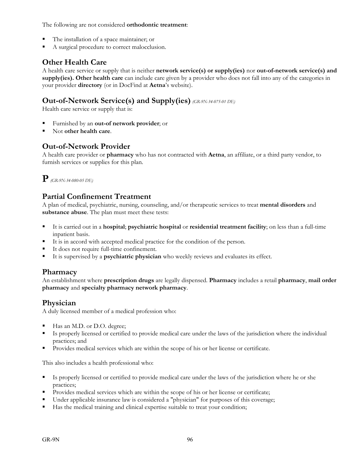The following are not considered **orthodontic treatment**:

- The installation of a space maintainer; or
- A surgical procedure to correct malocclusion.

### **Other Health Care**

A health care service or supply that is neither **network service(s) or supply(ies)** nor **out-of-network service(s) and supply(ies). Other health care** can include care given by a provider who does not fall into any of the categories in your provider **directory** (or in DocFind at **Aetna**'s website).

### **Out-of-Network Service(s) and Supply(ies)** *(GR-9N-34-075-01 DE)*

Health care service or supply that is:

- Furnished by an **out-of network provider**; or
- Not **other health care**.

#### **Out-of-Network Provider**

A health care provider or **pharmacy** who has not contracted with **Aetna**, an affiliate, or a third party vendor, to furnish services or supplies for this plan.

**P***(GR-9N-34-080-05 DE)* 

### **Partial Confinement Treatment**

A plan of medical, psychiatric, nursing, counseling, and/or therapeutic services to treat **mental disorders** and **substance abuse**. The plan must meet these tests:

- It is carried out in a **hospital**; **psychiatric hospital** or **residential treatment facility**; on less than a full-time inpatient basis.
- It is in accord with accepted medical practice for the condition of the person.
- It does not require full-time confinement.
- It is supervised by a **psychiatric physician** who weekly reviews and evaluates its effect.

#### **Pharmacy**

An establishment where **prescription drugs** are legally dispensed. **Pharmacy** includes a retail **pharmacy**, **mail order pharmacy** and **specialty pharmacy network pharmacy**.

#### **Physician**

A duly licensed member of a medical profession who:

- Has an M.D. or D.O. degree;
- Is properly licensed or certified to provide medical care under the laws of the jurisdiction where the individual practices; and
- Provides medical services which are within the scope of his or her license or certificate.

This also includes a health professional who:

- Is properly licensed or certified to provide medical care under the laws of the jurisdiction where he or she practices;
- Provides medical services which are within the scope of his or her license or certificate;
- Under applicable insurance law is considered a "physician" for purposes of this coverage;
- Has the medical training and clinical expertise suitable to treat your condition;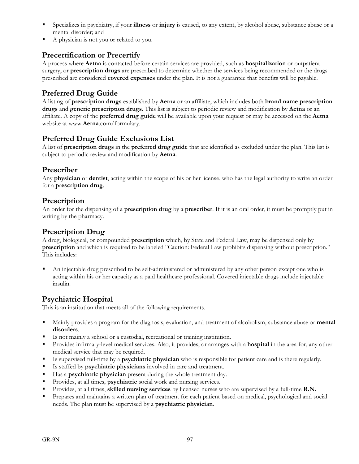- Specializes in psychiatry, if your **illness** or **injury** is caused, to any extent, by alcohol abuse, substance abuse or a mental disorder; and
- A physician is not you or related to you.

## **Precertification or Precertify**

A process where **Aetna** is contacted before certain services are provided, such as **hospitalization** or outpatient surgery, or **prescription drugs** are prescribed to determine whether the services being recommended or the drugs prescribed are considered **covered expenses** under the plan. It is not a guarantee that benefits will be payable.

### **Preferred Drug Guide**

A listing of **prescription drugs** established by **Aetna** or an affiliate, which includes both **brand name prescription drugs** and **generic prescription drugs**. This list is subject to periodic review and modification by **Aetna** or an affiliate. A copy of the **preferred drug guide** will be available upon your request or may be accessed on the **Aetna** website at www.**Aetna**.com/formulary.

### **Preferred Drug Guide Exclusions List**

A list of **prescription drugs** in the **preferred drug guide** that are identified as excluded under the plan. This list is subject to periodic review and modification by **Aetna**.

#### **Prescriber**

Any **physician** or **dentist**, acting within the scope of his or her license, who has the legal authority to write an order for a **prescription drug**.

#### **Prescription**

An order for the dispensing of a **prescription drug** by a **prescriber**. If it is an oral order, it must be promptly put in writing by the pharmacy.

#### **Prescription Drug**

A drug, biological, or compounded **prescription** which, by State and Federal Law, may be dispensed only by **prescription** and which is required to be labeled "Caution: Federal Law prohibits dispensing without prescription." This includes:

 An injectable drug prescribed to be self-administered or administered by any other person except one who is acting within his or her capacity as a paid healthcare professional. Covered injectable drugs include injectable insulin.

#### **Psychiatric Hospital**

This is an institution that meets all of the following requirements.

- Mainly provides a program for the diagnosis, evaluation, and treatment of alcoholism, substance abuse or **mental disorders**.
- Is not mainly a school or a custodial, recreational or training institution.
- Provides infirmary-level medical services. Also, it provides, or arranges with a **hospital** in the area for, any other medical service that may be required.
- Is supervised full-time by a **psychiatric physician** who is responsible for patient care and is there regularly.
- Is staffed by **psychiatric physicians** involved in care and treatment.
- Has a **psychiatric physician** present during the whole treatment day.
- Provides, at all times, **psychiatric** social work and nursing services.
- Provides, at all times, **skilled nursing services** by licensed nurses who are supervised by a full-time **R.N.**
- Prepares and maintains a written plan of treatment for each patient based on medical, psychological and social needs. The plan must be supervised by a **psychiatric physician**.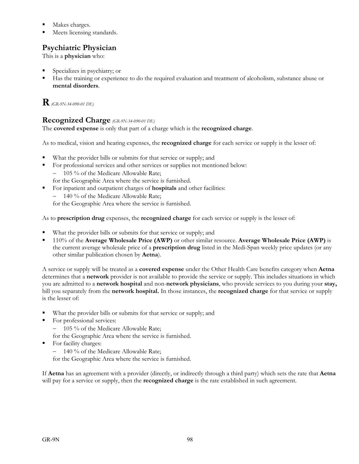- Makes charges.
- Meets licensing standards.

### **Psychiatric Physician**

This is a **physician** who:

- Specializes in psychiatry; or
- Has the training or experience to do the required evaluation and treatment of alcoholism, substance abuse or **mental disorders**.

## **R***(GR-9N-34-090-01 DE)*

#### **Recognized Charge** *(GR-9N-34-090-01 DE)*

The **covered expense** is only that part of a charge which is the **recognized charge**.

As to medical, vision and hearing expenses, the **recognized charge** for each service or supply is the lesser of:

- What the provider bills or submits for that service or supply; and
- For professional services and other services or supplies not mentioned below:  $-$  105 % of the Medicare Allowable Rate: for the Geographic Area where the service is furnished.
- For inpatient and outpatient charges of **hospitals** and other facilities:
	- 140 % of the Medicare Allowable Rate;

for the Geographic Area where the service is furnished.

As to **prescription drug** expenses, the **recognized charge** for each service or supply is the lesser of:

- What the provider bills or submits for that service or supply; and
- 110% of the **Average Wholesale Price (AWP)** or other similar resource. **Average Wholesale Price (AWP)** is the current average wholesale price of a **prescription drug** listed in the Medi-Span weekly price updates (or any other similar publication chosen by **Aetna**).

A service or supply will be treated as a **covered expense** under the Other Health Care benefits category when **Aetna**  determines that a **network** provider is not available to provide the service or supply. This includes situations in which you are admitted to a **network hospital** and non-**network physicians**, who provide services to you during your **stay,**  bill you separately from the **network hospital.** In those instances, the **recognized charge** for that service or supply is the lesser of:

- What the provider bills or submits for that service or supply; and
- For professional services:
	- 105 % of the Medicare Allowable Rate;
	- for the Geographic Area where the service is furnished.
- For facility charges:
	- 140 % of the Medicare Allowable Rate;

for the Geographic Area where the service is furnished.

If **Aetna** has an agreement with a provider (directly, or indirectly through a third party) which sets the rate that **Aetna** will pay for a service or supply, then the **recognized charge** is the rate established in such agreement.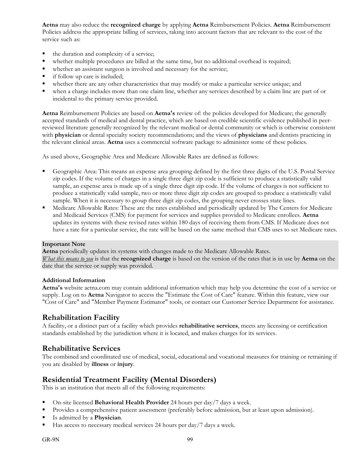**Aetna** may also reduce the **recognized charge** by applying **Aetna** Reimbursement Policies. **Aetna** Reimbursement Policies address the appropriate billing of services, taking into account factors that are relevant to the cost of the service such as:

- the duration and complexity of a service;
- whether multiple procedures are billed at the same time, but no additional overhead is required;
- whether an assistant surgeon is involved and necessary for the service;
- if follow up care is included;
- whether there are any other characteristics that may modify or make a particular service unique; and
- when a charge includes more than one claim line, whether any services described by a claim line are part of or incidental to the primary service provided.

**Aetna** Reimbursement Policies are based on **Aetna's** review of: the policies developed for Medicare; the generally accepted standards of medical and dental practice, which are based on credible scientific evidence published in peerreviewed literature generally recognized by the relevant medical or dental community or which is otherwise consistent with **physician** or dental specialty society recommendations; and the views of **physicians** and dentists practicing in the relevant clinical areas. **Aetna** uses a commercial software package to administer some of these policies.

As used above, Geographic Area and Medicare Allowable Rates are defined as follows:

- Geographic Area: This means an expense area grouping defined by the first three digits of the U.S. Postal Service zip codes. If the volume of charges in a single three digit zip code is sufficient to produce a statistically valid sample, an expense area is made up of a single three digit zip code. If the volume of charges is not sufficient to produce a statistically valid sample, two or more three digit zip codes are grouped to produce a statistically valid sample. When it is necessary to group three digit zip codes, the grouping never crosses state lines.
- Medicare Allowable Rates: These are the rates established and periodically updated by The Centers for Medicare and Medicaid Services (CMS) for payment for services and supplies provided to Medicare enrollees. **Aetna**  updates its systems with these revised rates within 180 days of receiving them from CMS. If Medicare does not have a rate for a particular service, the rate will be based on the same method that CMS uses to set Medicare rates.

#### **Important Note**

**Aetna** periodically updates its systems with changes made to the Medicare Allowable Rates. *What this means to you* is that the **recognized charge** is based on the version of the rates that is in use by **Aetna** on the date that the service or supply was provided.

#### **Additional Information**

**Aetna's** website aetna.com may contain additional information which may help you determine the cost of a service or supply. Log on to **Aetna** Navigator to access the "Estimate the Cost of Care" feature. Within this feature, view our "Cost of Care" and "Member Payment Estimator" tools, or contact our Customer Service Department for assistance.

#### **Rehabilitation Facility**

A facility, or a distinct part of a facility which provides **rehabilitative services**, meets any licensing or certification standards established by the jurisdiction where it is located, and makes charges for its services.

#### **Rehabilitative Services**

The combined and coordinated use of medical, social, educational and vocational measures for training or retraining if you are disabled by **illness** or **injury**.

#### **Residential Treatment Facility (Mental Disorders)**

This is an institution that meets all of the following requirements:

- On-site licensed **Behavioral Health Provider** 24 hours per day/7 days a week.
- Provides a comprehensive patient assessment (preferably before admission, but at least upon admission).
- Is admitted by a **Physician**.
- Has access to necessary medical services 24 hours per day/7 days a week.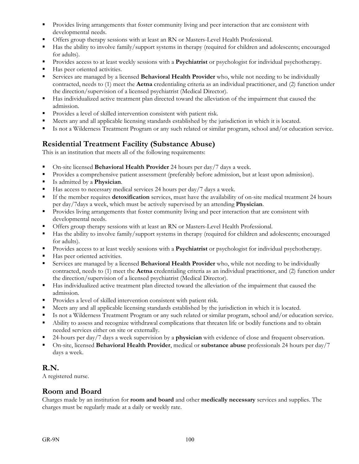- **Provides living arrangements that foster community living and peer interaction that are consistent with** developmental needs.
- Offers group therapy sessions with at least an RN or Masters-Level Health Professional.
- Has the ability to involve family/support systems in therapy (required for children and adolescents; encouraged for adults).
- Provides access to at least weekly sessions with a **Psychiatrist** or psychologist for individual psychotherapy.
- Has peer oriented activities.
- Services are managed by a licensed **Behavioral Health Provider** who, while not needing to be individually contracted, needs to (1) meet the **Aetna** credentialing criteria as an individual practitioner, and (2) function under the direction/supervision of a licensed psychiatrist (Medical Director).
- Has individualized active treatment plan directed toward the alleviation of the impairment that caused the admission.
- Provides a level of skilled intervention consistent with patient risk.
- Meets any and all applicable licensing standards established by the jurisdiction in which it is located.
- Is not a Wilderness Treatment Program or any such related or similar program, school and/or education service.

### **Residential Treatment Facility (Substance Abuse)**

This is an institution that meets all of the following requirements:

- On-site licensed **Behavioral Health Provider** 24 hours per day/7 days a week.
- **Provides a comprehensive patient assessment (preferably before admission, but at least upon admission).**
- Is admitted by a **Physician**.
- Has access to necessary medical services 24 hours per day/7 days a week.
- If the member requires **detoxification** services, must have the availability of on-site medical treatment 24 hours per day/7days a week, which must be actively supervised by an attending **Physician**.
- **Provides living arrangements that foster community living and peer interaction that are consistent with** developmental needs.
- Offers group therapy sessions with at least an RN or Masters-Level Health Professional.
- Has the ability to involve family/support systems in therapy (required for children and adolescents; encouraged for adults).
- Provides access to at least weekly sessions with a **Psychiatrist** or psychologist for individual psychotherapy.
- Has peer oriented activities.
- Services are managed by a licensed **Behavioral Health Provider** who, while not needing to be individually contracted, needs to (1) meet the **Aetna** credentialing criteria as an individual practitioner, and (2) function under the direction/supervision of a licensed psychiatrist (Medical Director).
- Has individualized active treatment plan directed toward the alleviation of the impairment that caused the admission.
- Provides a level of skilled intervention consistent with patient risk.
- Meets any and all applicable licensing standards established by the jurisdiction in which it is located.
- Is not a Wilderness Treatment Program or any such related or similar program, school and/or education service.
- Ability to assess and recognize withdrawal complications that threaten life or bodily functions and to obtain needed services either on site or externally.
- 24-hours per day/7 days a week supervision by a **physician** with evidence of close and frequent observation.
- On-site, licensed **Behavioral Health Provider**, medical or **substance abuse** professionals 24 hours per day/7 days a week.

#### **R.N.**

A registered nurse.

#### **Room and Board**

Charges made by an institution for **room and board** and other **medically necessary** services and supplies. The charges must be regularly made at a daily or weekly rate.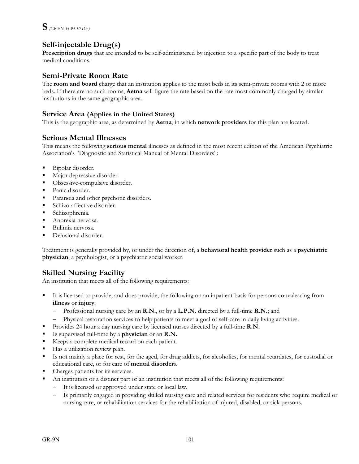## **Self-injectable Drug(s)**

**Prescription drugs** that are intended to be self-administered by injection to a specific part of the body to treat medical conditions.

#### **Semi-Private Room Rate**

The **room and board** charge that an institution applies to the most beds in its semi-private rooms with 2 or more beds. If there are no such rooms, **Aetna** will figure the rate based on the rate most commonly charged by similar institutions in the same geographic area.

#### **Service Area (Applies in the United States)**

This is the geographic area, as determined by **Aetna**, in which **network providers** for this plan are located.

#### **Serious Mental Illnesses**

This means the following **serious mental** illnesses as defined in the most recent edition of the American Psychiatric Association's "Diagnostic and Statistical Manual of Mental Disorders":

- Bipolar disorder.
- **Major depressive disorder.**
- Obsessive-compulsive disorder.
- **Panic disorder.**
- **Paranoia and other psychotic disorders.**
- **Schizo-affective disorder.**
- Schizophrenia.
- Anorexia nervosa.
- Bulimia nervosa.
- Delusional disorder.

Treatment is generally provided by, or under the direction of, a **behavioral health provider** such as a **psychiatric physician**, a psychologist, or a psychiatric social worker.

#### **Skilled Nursing Facility**

An institution that meets all of the following requirements:

- It is licensed to provide, and does provide, the following on an inpatient basis for persons convalescing from **illness** or **injury**:
	- Professional nursing care by an **R.N.**, or by a **L.P.N.** directed by a full-time **R.N.**; and
	- Physical restoration services to help patients to meet a goal of self-care in daily living activities.
- **Provides 24 hour a day nursing care by licensed nurses directed by a full-time R.N.**
- Is supervised full-time by a **physician** or an **R.N.**
- Keeps a complete medical record on each patient.
- Has a utilization review plan.
- Is not mainly a place for rest, for the aged, for drug addicts, for alcoholics, for mental retardates, for custodial or educational care, or for care of **mental disorder**s.
- Charges patients for its services.
- An institution or a distinct part of an institution that meets all of the following requirements:
	- It is licensed or approved under state or local law.
	- Is primarily engaged in providing skilled nursing care and related services for residents who require medical or nursing care, or rehabilitation services for the rehabilitation of injured, disabled, or sick persons.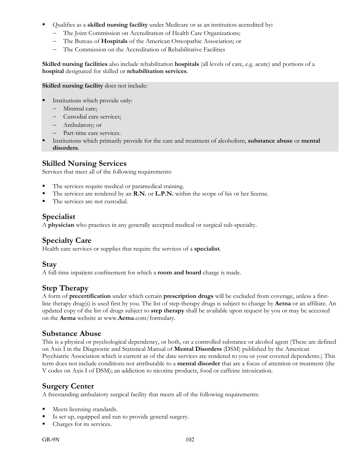- Qualifies as a **skilled nursing facility** under Medicare or as an institution accredited by**:**
	- The Joint Commission on Accreditation of Health Care Organizations;
	- The Bureau of **Hospitals** of the American Osteopathic Association; or
	- The Commission on the Accreditation of Rehabilitative Facilities

**Skilled nursing facilities** also include rehabilitation **hospitals** (all levels of care, e.g. acute) and portions of a **hospital** designated for skilled or **rehabilitation services**.

**Skilled nursing facility** does not include:

- Institutions which provide only:
	- Minimal care;
	- Custodial care services;
	- Ambulatory; or
	- Part-time care services.
- Institutions which primarily provide for the care and treatment of alcoholism, **substance abuse** or **mental disorders**.

#### **Skilled Nursing Services**

Services that meet all of the following requirements:

- The services require medical or paramedical training.
- The services are rendered by an **R.N.** or **L.P.N.** within the scope of his or her license.
- The services are not custodial.

#### **Specialist**

A **physician** who practices in any generally accepted medical or surgical sub-specialty.

#### **Specialty Care**

Health care services or supplies that require the services of a **specialist**.

#### **Stay**

A full-time inpatient confinement for which a **room and board** charge is made.

#### **Step Therapy**

A form of **precertification** under which certain **prescription drugs** will be excluded from coverage, unless a firstline therapy drug(s) is used first by you. The list of step-therapy drugs is subject to change by **Aetna** or an affiliate. An updated copy of the list of drugs subject to **step therapy** shall be available upon request by you or may be accessed on the **Aetna** website at www.**Aetna**.com/formulary.

#### **Substance Abuse**

This is a physical or psychological dependency, or both, on a controlled substance or alcohol agent (These are defined on Axis I in the Diagnostic and Statistical Manual of **Mental Disorders** (DSM) published by the American Psychiatric Association which is current as of the date services are rendered to you or your covered dependents.) This term does not include conditions not attributable to a **mental disorder** that are a focus of attention or treatment (the V codes on Axis I of DSM); an addiction to nicotine products, food or caffeine intoxication.

#### **Surgery Center**

A freestanding ambulatory surgical facility that meets all of the following requirements:

- Meets licensing standards.
- Is set up, equipped and run to provide general surgery.
- Charges for its services.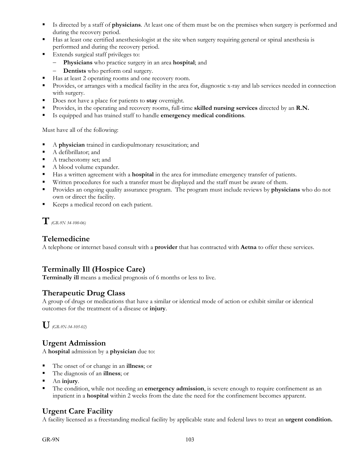- Is directed by a staff of **physicians**. At least one of them must be on the premises when surgery is performed and during the recovery period.
- Has at least one certified anesthesiologist at the site when surgery requiring general or spinal anesthesia is performed and during the recovery period.
- **Extends surgical staff privileges to:** 
	- **Physicians** who practice surgery in an area **hospital**; and
	- **Dentists** who perform oral surgery.
- Has at least 2 operating rooms and one recovery room.
- Provides, or arranges with a medical facility in the area for, diagnostic x-ray and lab services needed in connection with surgery.
- Does not have a place for patients to **stay** overnight.
- Provides, in the operating and recovery rooms, full-time **skilled nursing services** directed by an **R.N.**
- Is equipped and has trained staff to handle **emergency medical conditions**.

Must have all of the following:

- A **physician** trained in cardiopulmonary resuscitation; and
- A defibrillator; and
- A tracheotomy set; and
- A blood volume expander.
- Has a written agreement with a **hospital** in the area for immediate emergency transfer of patients.
- Written procedures for such a transfer must be displayed and the staff must be aware of them.
- Provides an ongoing quality assurance program. The program must include reviews by **physicians** who do not own or direct the facility.
- Keeps a medical record on each patient.

**T***(GR-9N 34-100-06)*

#### **Telemedicine**

A telephone or internet based consult with a **provider** that has contracted with **Aetna** to offer these services.

### **Terminally Ill (Hospice Care)**

**Terminally ill** means a medical prognosis of 6 months or less to live.

### **Therapeutic Drug Class**

A group of drugs or medications that have a similar or identical mode of action or exhibit similar or identical outcomes for the treatment of a disease or **injury**.

**U** *(GR-9N-34-105-02)*

#### **Urgent Admission**

A **hospital** admission by a **physician** due to:

- The onset of or change in an **illness**; or
- The diagnosis of an **illness**; or
- An **injury**.
- The condition, while not needing an **emergency admission**, is severe enough to require confinement as an inpatient in a **hospital** within 2 weeks from the date the need for the confinement becomes apparent.

### **Urgent Care Facility**

A facility licensed as a freestanding medical facility by applicable state and federal laws to treat an **urgent condition.**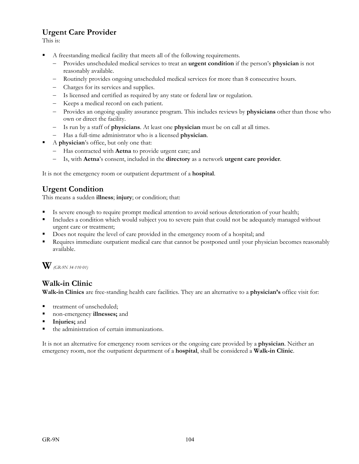## **Urgent Care Provider**

This is:

- A freestanding medical facility that meets all of the following requirements.
	- Provides unscheduled medical services to treat an **urgent condition** if the person's **physician** is not reasonably available.
	- Routinely provides ongoing unscheduled medical services for more than 8 consecutive hours.
	- Charges for its services and supplies.
	- Is licensed and certified as required by any state or federal law or regulation.
	- Keeps a medical record on each patient.
	- Provides an ongoing quality assurance program. This includes reviews by **physicians** other than those who own or direct the facility.
	- Is run by a staff of **physicians**. At least one **physician** must be on call at all times.
	- Has a full-time administrator who is a licensed **physician**.
- A **physician**'s office, but only one that:
	- Has contracted with **Aetna** to provide urgent care; and
	- Is, with **Aetna**'s consent, included in the **directory** as a network **urgent care provider**.

It is not the emergency room or outpatient department of a **hospital**.

### **Urgent Condition**

This means a sudden **illness**; **injury**; or condition; that:

- Is severe enough to require prompt medical attention to avoid serious deterioration of your health;
- Includes a condition which would subject you to severe pain that could not be adequately managed without urgent care or treatment;
- Does not require the level of care provided in the emergency room of a hospital; and
- Requires immediate outpatient medical care that cannot be postponed until your physician becomes reasonably available.

## **W** *(GR-9N 34-110 01)*

#### **Walk-in Clinic**

**Walk-in Clinics** are free-standing health care facilities. They are an alternative to a **physician's** office visit for:

- treatment of unscheduled;
- non-emergency **illnesses;** and
- **Injuries;** and
- the administration of certain immunizations.

It is not an alternative for emergency room services or the ongoing care provided by a **physician**. Neither an emergency room, nor the outpatient department of a **hospital**, shall be considered a **Walk-in Clinic**.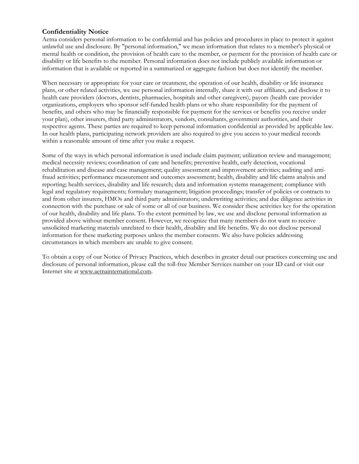#### **Confidentiality Notice**

Aetna considers personal information to be confidential and has policies and procedures in place to protect it against unlawful use and disclosure. By "personal information," we mean information that relates to a member's physical or mental health or condition, the provision of health care to the member, or payment for the provision of health care or disability or life benefits to the member. Personal information does not include publicly available information or information that is available or reported in a summarized or aggregate fashion but does not identify the member.

When necessary or appropriate for your care or treatment, the operation of our health, disability or life insurance plans, or other related activities, we use personal information internally, share it with our affiliates, and disclose it to health care providers (doctors, dentists, pharmacies, hospitals and other caregivers), payors (health care provider organizations, employers who sponsor self-funded health plans or who share responsibility for the payment of benefits, and others who may be financially responsible for payment for the services or benefits you receive under your plan), other insurers, third party administrators, vendors, consultants, government authorities, and their respective agents. These parties are required to keep personal information confidential as provided by applicable law. In our health plans, participating network providers are also required to give you access to your medical records within a reasonable amount of time after you make a request.

Some of the ways in which personal information is used include claim payment; utilization review and management; medical necessity reviews; coordination of care and benefits; preventive health, early detection, vocational rehabilitation and disease and case management; quality assessment and improvement activities; auditing and antifraud activities; performance measurement and outcomes assessment; health, disability and life claims analysis and reporting; health services, disability and life research; data and information systems management; compliance with legal and regulatory requirements; formulary management; litigation proceedings; transfer of policies or contracts to and from other insurers, HMOs and third party administrators; underwriting activities; and due diligence activities in connection with the purchase or sale of some or all of our business. We consider these activities key for the operation of our health, disability and life plans. To the extent permitted by law, we use and disclose personal information as provided above without member consent. However, we recognize that many members do not want to receive unsolicited marketing materials unrelated to their health, disability and life benefits. We do not disclose personal information for these marketing purposes unless the member consents. We also have policies addressing circumstances in which members are unable to give consent.

To obtain a copy of our Notice of Privacy Practices, which describes in greater detail our practices concerning use and disclosure of personal information, please call the toll-free Member Services number on your ID card or visit our Internet site at www.aetnainternational.com.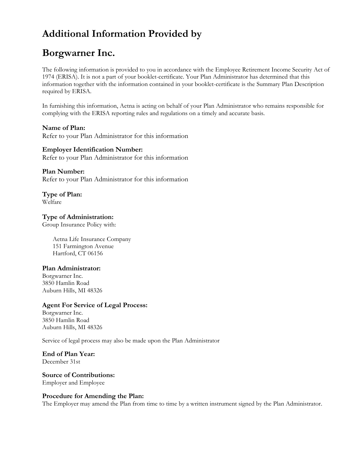# **Additional Information Provided by**

# **Borgwarner Inc.**

The following information is provided to you in accordance with the Employee Retirement Income Security Act of 1974 (ERISA). It is not a part of your booklet-certificate. Your Plan Administrator has determined that this information together with the information contained in your booklet-certificate is the Summary Plan Description required by ERISA.

In furnishing this information, Aetna is acting on behalf of your Plan Administrator who remains responsible for complying with the ERISA reporting rules and regulations on a timely and accurate basis.

**Name of Plan:**  Refer to your Plan Administrator for this information

# **Employer Identification Number:**

Refer to your Plan Administrator for this information

#### **Plan Number:**

Refer to your Plan Administrator for this information

**Type of Plan:**  Welfare

**Type of Administration:**  Group Insurance Policy with:

> Aetna Life Insurance Company 151 Farmington Avenue Hartford, CT 06156

#### **Plan Administrator:**

Borgwarner Inc. 3850 Hamlin Road Auburn Hills, MI 48326

#### **Agent For Service of Legal Process:**

Borgwarner Inc. 3850 Hamlin Road Auburn Hills, MI 48326

Service of legal process may also be made upon the Plan Administrator

#### **End of Plan Year:**  December 31st

## **Source of Contributions:**

Employer and Employee

#### **Procedure for Amending the Plan:**

The Employer may amend the Plan from time to time by a written instrument signed by the Plan Administrator.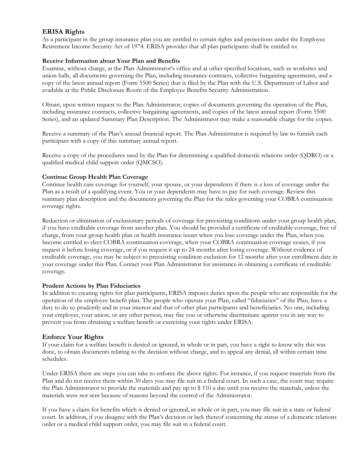## **ERISA Rights**

As a participant in the group insurance plan you are entitled to certain rights and protections under the Employee Retirement Income Security Act of 1974. ERISA provides that all plan participants shall be entitled to:

#### **Receive Information about Your Plan and Benefits**

Examine, without charge, at the Plan Administrator's office and at other specified locations, such as worksites and union halls, all documents governing the Plan, including insurance contracts, collective bargaining agreements, and a copy of the latest annual report (Form 5500 Series) that is filed by the Plan with the U.S. Department of Labor and available at the Public Disclosure Room of the Employee Benefits Security Administration.

Obtain, upon written request to the Plan Administrator, copies of documents governing the operation of the Plan, including insurance contracts, collective bargaining agreements, and copies of the latest annual report (Form 5500 Series), and an updated Summary Plan Description. The Administrator may make a reasonable charge for the copies.

Receive a summary of the Plan's annual financial report. The Plan Administrator is required by law to furnish each participant with a copy of this summary annual report.

Receive a copy of the procedures used by the Plan for determining a qualified domestic relations order (QDRO) or a qualified medical child support order (QMCSO).

#### **Continue Group Health Plan Coverage**

Continue health care coverage for yourself, your spouse, or your dependents if there is a loss of coverage under the Plan as a result of a qualifying event. You or your dependents may have to pay for such coverage. Review this summary plan description and the documents governing the Plan for the rules governing your COBRA continuation coverage rights.

Reduction or elimination of exclusionary periods of coverage for preexisting conditions under your group health plan, if you have creditable coverage from another plan. You should be provided a certificate of creditable coverage, free of charge, from your group health plan or health insurance issuer when you lose coverage under the Plan, when you become entitled to elect COBRA continuation coverage, when your COBRA continuation coverage ceases, if you request it before losing coverage, or if you request it up to 24 months after losing coverage. Without evidence of creditable coverage, you may be subject to preexisting condition exclusion for 12 months after your enrollment date in your coverage under this Plan. Contact your Plan Administrator for assistance in obtaining a certificate of creditable coverage.

#### **Prudent Actions by Plan Fiduciaries**

In addition to creating rights for plan participants, ERISA imposes duties upon the people who are responsible for the operation of the employee benefit plan. The people who operate your Plan, called "fiduciaries" of the Plan, have a duty to do so prudently and in your interest and that of other plan participants and beneficiaries. No one, including your employer, your union, or any other person, may fire you or otherwise discriminate against you in any way to prevent you from obtaining a welfare benefit or exercising your rights under ERISA.

#### **Enforce Your Rights**

If your claim for a welfare benefit is denied or ignored, in whole or in part, you have a right to know why this was done, to obtain documents relating to the decision without charge, and to appeal any denial, all within certain time schedules.

Under ERISA there are steps you can take to enforce the above rights. For instance, if you request materials from the Plan and do not receive them within 30 days you may file suit in a federal court. In such a case, the court may require the Plan Administrator to provide the materials and pay up to \$ 110 a day until you receive the materials, unless the materials were not sent because of reasons beyond the control of the Administrator.

If you have a claim for benefits which is denied or ignored, in whole or in part, you may file suit in a state or federal court. In addition, if you disagree with the Plan's decision or lack thereof concerning the status of a domestic relations order or a medical child support order, you may file suit in a federal court.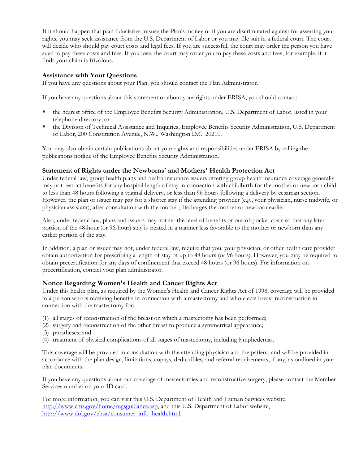If it should happen that plan fiduciaries misuse the Plan's money or if you are discriminated against for asserting your rights, you may seek assistance from the U.S. Department of Labor or you may file suit in a federal court. The court will decide who should pay court costs and legal fees. If you are successful, the court may order the person you have sued to pay these costs and fees. If you lose, the court may order you to pay these costs and fees, for example, if it finds your claim is frivolous.

### **Assistance with Your Questions**

If you have any questions about your Plan, you should contact the Plan Administrator.

If you have any questions about this statement or about your rights under ERISA, you should contact:

- the nearest office of the Employee Benefits Security Administration, U.S. Department of Labor, listed in your telephone directory; or
- the Division of Technical Assistance and Inquiries, Employee Benefits Security Administration, U.S. Department of Labor, 200 Constitution Avenue, N.W., Washington D.C. 20210.

You may also obtain certain publications about your rights and responsibilities under ERISA by calling the publications hotline of the Employee Benefits Security Administration.

### **Statement of Rights under the Newborns' and Mothers' Health Protection Act**

Under federal law, group health plans and health insurance issuers offering group health insurance coverage generally may not restrict benefits for any hospital length of stay in connection with childbirth for the mother or newborn child to less than 48 hours following a vaginal delivery, or less than 96 hours following a delivery by cesarean section. However, the plan or issuer may pay for a shorter stay if the attending provider (e.g., your physician, nurse midwife, or physician assistant), after consultation with the mother, discharges the mother or newborn earlier.

Also, under federal law, plans and issuers may not set the level of benefits or out-of-pocket costs so that any later portion of the 48-hour (or 96-hour) stay is treated in a manner less favorable to the mother or newborn than any earlier portion of the stay.

In addition, a plan or issuer may not, under federal law, require that you, your physician, or other health care provider obtain authorization for prescribing a length of stay of up to 48 hours (or 96 hours). However, you may be required to obtain precertification for any days of confinement that exceed 48 hours (or 96 hours). For information on precertification, contact your plan administrator.

# **Notice Regarding Women's Health and Cancer Rights Act**

Under this health plan, as required by the Women's Health and Cancer Rights Act of 1998, coverage will be provided to a person who is receiving benefits in connection with a mastectomy and who elects breast reconstruction in connection with the mastectomy for:

- (1) all stages of reconstruction of the breast on which a mastectomy has been performed;
- (2) surgery and reconstruction of the other breast to produce a symmetrical appearance;
- (3) prostheses; and
- (4) treatment of physical complications of all stages of mastectomy, including lymphedemas.

This coverage will be provided in consultation with the attending physician and the patient, and will be provided in accordance with the plan design, limitations, copays, deductibles, and referral requirements, if any, as outlined in your plan documents.

If you have any questions about our coverage of mastectomies and reconstructive surgery, please contact the Member Services number on your ID card.

For more information, you can visit this U.S. Department of Health and Human Services website, http://www.cms.gov/home/regsguidance.asp, and this U.S. Department of Labor website, http://www.dol.gov/ebsa/consumer\_info\_health.html.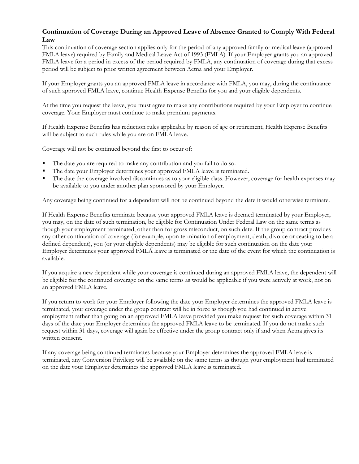# **Continuation of Coverage During an Approved Leave of Absence Granted to Comply With Federal Law**

This continuation of coverage section applies only for the period of any approved family or medical leave (approved FMLA leave) required by Family and Medical Leave Act of 1993 (FMLA). If your Employer grants you an approved FMLA leave for a period in excess of the period required by FMLA, any continuation of coverage during that excess period will be subject to prior written agreement between Aetna and your Employer.

If your Employer grants you an approved FMLA leave in accordance with FMLA, you may, during the continuance of such approved FMLA leave, continue Health Expense Benefits for you and your eligible dependents.

At the time you request the leave, you must agree to make any contributions required by your Employer to continue coverage. Your Employer must continue to make premium payments.

If Health Expense Benefits has reduction rules applicable by reason of age or retirement, Health Expense Benefits will be subject to such rules while you are on FMLA leave.

Coverage will not be continued beyond the first to occur of:

- The date you are required to make any contribution and you fail to do so.
- The date your Employer determines your approved FMLA leave is terminated.
- The date the coverage involved discontinues as to your eligible class. However, coverage for health expenses may be available to you under another plan sponsored by your Employer.

Any coverage being continued for a dependent will not be continued beyond the date it would otherwise terminate.

If Health Expense Benefits terminate because your approved FMLA leave is deemed terminated by your Employer, you may, on the date of such termination, be eligible for Continuation Under Federal Law on the same terms as though your employment terminated, other than for gross misconduct, on such date. If the group contract provides any other continuation of coverage (for example, upon termination of employment, death, divorce or ceasing to be a defined dependent), you (or your eligible dependents) may be eligible for such continuation on the date your Employer determines your approved FMLA leave is terminated or the date of the event for which the continuation is available.

If you acquire a new dependent while your coverage is continued during an approved FMLA leave, the dependent will be eligible for the continued coverage on the same terms as would be applicable if you were actively at work, not on an approved FMLA leave.

If you return to work for your Employer following the date your Employer determines the approved FMLA leave is terminated, your coverage under the group contract will be in force as though you had continued in active employment rather than going on an approved FMLA leave provided you make request for such coverage within 31 days of the date your Employer determines the approved FMLA leave to be terminated. If you do not make such request within 31 days, coverage will again be effective under the group contract only if and when Aetna gives its written consent.

If any coverage being continued terminates because your Employer determines the approved FMLA leave is terminated, any Conversion Privilege will be available on the same terms as though your employment had terminated on the date your Employer determines the approved FMLA leave is terminated.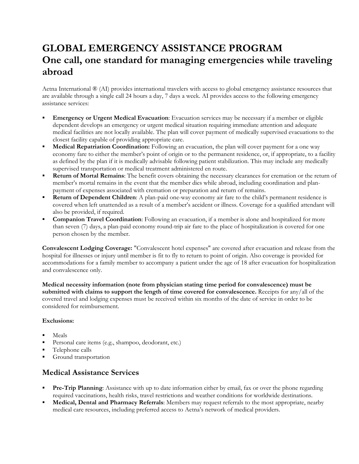# **GLOBAL EMERGENCY ASSISTANCE PROGRAM One call, one standard for managing emergencies while traveling abroad**

Aetna International ® (AI) provides international travelers with access to global emergency assistance resources that are available through a single call 24 hours a day, 7 days a week. AI provides access to the following emergency assistance services:

- **Emergency or Urgent Medical Evacuation**: Evacuation services may be necessary if a member or eligible dependent develops an emergency or urgent medical situation requiring immediate attention and adequate medical facilities are not locally available. The plan will cover payment of medically supervised evacuations to the closest facility capable of providing appropriate care.
- **Medical Repatriation Coordination:** Following an evacuation, the plan will cover payment for a one way economy fare to either the member's point of origin or to the permanent residence, or, if appropriate, to a facility as defined by the plan if it is medically advisable following patient stabilization. This may include any medically supervised transportation or medical treatment administered en route.
- **Return of Mortal Remains**: The benefit covers obtaining the necessary clearances for cremation or the return of member's mortal remains in the event that the member dies while abroad, including coordination and planpayment of expenses associated with cremation or preparation and return of remains.
- **Return of Dependent Children**: A plan-paid one-way economy air fare to the child's permanent residence is covered when left unattended as a result of a member's accident or illness. Coverage for a qualified attendant will also be provided, if required.
- **Companion Travel Coordination**: Following an evacuation, if a member is alone and hospitalized for more than seven (7) days, a plan-paid economy round-trip air fare to the place of hospitalization is covered for one person chosen by the member.

**Convalescent Lodging Coverage:** "Convalescent hotel expenses" are covered after evacuation and release from the hospital for illnesses or injury until member is fit to fly to return to point of origin. Also coverage is provided for accommodations for a family member to accompany a patient under the age of 18 after evacuation for hospitalization and convalescence only.

**Medical necessity information (note from physician stating time period for convalescence) must be submitted with claims to support the length of time covered for convalescence.** Receipts for any/all of the covered travel and lodging expenses must be received within six months of the date of service in order to be considered for reimbursement.

#### **Exclusions:**

- Meals
- Personal care items (e.g., shampoo, deodorant, etc.)
- Telephone calls
- Ground transportation

# **Medical Assistance Services**

- **Pre-Trip Planning**: Assistance with up to date information either by email, fax or over the phone regarding required vaccinations, health risks, travel restrictions and weather conditions for worldwide destinations.
- **Medical, Dental and Pharmacy Referrals**: Members may request referrals to the most appropriate, nearby medical care resources, including preferred access to Aetna's network of medical providers.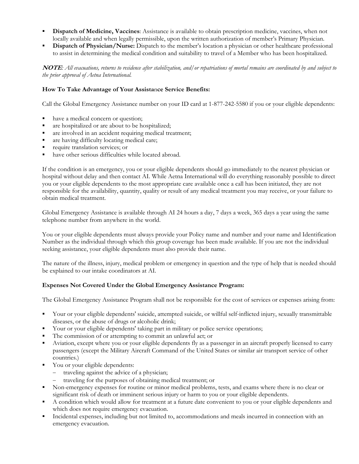- **Dispatch of Medicine, Vaccines**: Assistance is available to obtain prescription medicine, vaccines, when not locally available and when legally permissible, upon the written authorization of member's Primary Physician.
- **Dispatch of Physician/Nurse:** Dispatch to the member's location a physician or other healthcare professional to assist in determining the medical condition and suitability to travel of a Member who has been hospitalized.

**NOTE***: All evacuations, returns to residence after stabilization, and/or repatriations of mortal remains are coordinated by and subject to the prior approval of Aetna International.* 

#### **How To Take Advantage of Your Assista**n**ce Service Benefits:**

Call the Global Emergency Assistance number on your ID card at 1-877-242-5580 if you or your eligible dependents:

- have a medical concern or question;
- are hospitalized or are about to be hospitalized;
- are involved in an accident requiring medical treatment;
- are having difficulty locating medical care;
- require translation services; or
- have other serious difficulties while located abroad.

If the condition is an emergency, you or your eligible dependents should go immediately to the nearest physician or hospital without delay and then contact AI. While Aetna International will do everything reasonably possible to direct you or your eligible dependents to the most appropriate care available once a call has been initiated, they are not responsible for the availability, quantity, quality or result of any medical treatment you may receive, or your failure to obtain medical treatment.

Global Emergency Assistance is available through AI 24 hours a day, 7 days a week, 365 days a year using the same telephone number from anywhere in the world.

You or your eligible dependents must always provide your Policy name and number and your name and Identification Number as the individual through which this group coverage has been made available. If you are not the individual seeking assistance, your eligible dependents must also provide their name.

The nature of the illness, injury, medical problem or emergency in question and the type of help that is needed should be explained to our intake coordinators at AI.

#### **Expenses Not Covered Under the Global Emergency Assistance Program:**

The Global Emergency Assistance Program shall not be responsible for the cost of services or expenses arising from:

- Your or your eligible dependents' suicide, attempted suicide, or willful self-inflicted injury, sexually transmittable diseases, or the abuse of drugs or alcoholic drink;
- Your or your eligible dependents' taking part in military or police service operations;
- The commission of or attempting to commit an unlawful act; or
- Aviation, except where you or your eligible dependents fly as a passenger in an aircraft properly licensed to carry passengers (except the Military Aircraft Command of the United States or similar air transport service of other countries.)
- You or your eligible dependents:
	- traveling against the advice of a physician;
	- traveling for the purposes of obtaining medical treatment; or
- Non-emergency expenses for routine or minor medical problems, tests, and exams where there is no clear or significant risk of death or imminent serious injury or harm to you or your eligible dependents.
- A condition which would allow for treatment at a future date convenient to you or your eligible dependents and which does not require emergency evacuation.
- Incidental expenses, including but not limited to, accommodations and meals incurred in connection with an emergency evacuation.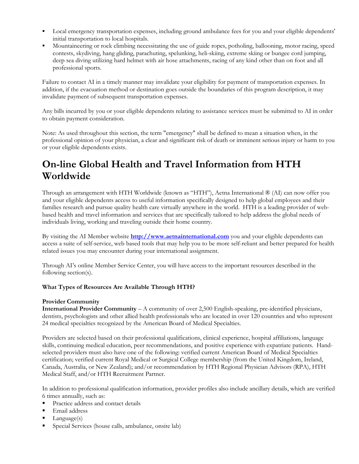- Local emergency transportation expenses, including ground ambulance fees for you and your eligible dependents' initial transportation to local hospitals.
- Mountaineering or rock climbing necessitating the use of guide ropes, potholing, ballooning, motor racing, speed contests, skydiving, hang gliding, parachuting, spelunking, heli-skiing, extreme skiing or bungee cord jumping, deep sea diving utilizing hard helmet with air hose attachments, racing of any kind other than on foot and all professional sports.

Failure to contact AI in a timely manner may invalidate your eligibility for payment of transportation expenses. In addition, if the evacuation method or destination goes outside the boundaries of this program description, it may invalidate payment of subsequent transportation expenses.

Any bills incurred by you or your eligible dependents relating to assistance services must be submitted to AI in order to obtain payment consideration.

Note: As used throughout this section, the term "emergency" shall be defined to mean a situation when, in the professional opinion of your physician, a clear and significant risk of death or imminent serious injury or harm to you or your eligible dependents exists.

# **On-line Global Health and Travel Information from HTH Worldwide**

Through an arrangement with HTH Worldwide (known as "HTH"), Aetna International ® (AI) can now offer you and your eligible dependents access to useful information specifically designed to help global employees and their families research and pursue quality health care virtually anywhere in the world. HTH is a leading provider of webbased health and travel information and services that are specifically tailored to help address the global needs of individuals living, working and traveling outside their home country.

By visiting the AI Member website **http://www.aetnainternational.com** you and your eligible dependents can access a suite of self-service, web based tools that may help you to be more self-reliant and better prepared for health related issues you may encounter during your international assignment.

Through AI's online Member Service Center, you will have access to the important resources described in the following section(s).

# **What Types of Resources Are Available Through HTH?**

#### **Provider Community**

**International Provider Community** – A community of over 2,500 English-speaking, pre-identified physicians, dentists, psychologists and other allied health professionals who are located in over 120 countries and who represent 24 medical specialties recognized by the American Board of Medical Specialties.

Providers are selected based on their professional qualifications, clinical experience, hospital affiliations, language skills, continuing medical education, peer recommendations, and positive experience with expatriate patients. Handselected providers must also have one of the following: verified current American Board of Medical Specialties certification; verified current Royal Medical or Surgical College membership (from the United Kingdom, Ireland, Canada, Australia, or New Zealand); and/or recommendation by HTH Regional Physician Advisors (RPA), HTH Medical Staff, and/or HTH Recruitment Partner.

In addition to professional qualification information, provider profiles also include ancillary details, which are verified 6 times annually, such as:

- **Practice address and contact details**
- **Email address**
- Language(s)
- Special Services (house calls, ambulance, onsite lab)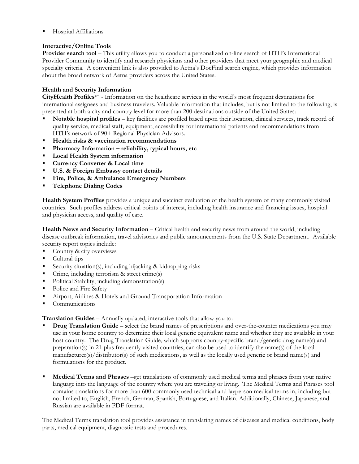Hospital Affiliations

## **Interactive/Online Tools**

**Provider search tool** – This utility allows you to conduct a personalized on-line search of HTH's International Provider Community to identify and research physicians and other providers that meet your geographic and medical specialty criteria. A convenient link is also provided to Aetna's DocFind search engine, which provides information about the broad network of Aetna providers across the United States.

#### **Health and Security Information**

**CityHealth Profiless**m - Information on the healthcare services in the world's most frequent destinations for international assignees and business travelers. Valuable information that includes, but is not limited to the following, is presented at both a city and country level for more than 200 destinations outside of the United States:

- **Notable hospital profiles** key facilities are profiled based upon their location, clinical services, track record of quality service, medical staff, equipment, accessibility for international patients and recommendations from HTH's network of 90+ Regional Physician Advisors.
- **Health risks & vaccination recommendations**
- **Pharmacy Information reliability, typical hours, etc**
- **Local Health System information**
- **Currency Converter & Local time**
- **U.S. & Foreign Embassy contact details**
- **Fire, Police, & Ambulance Emergency Numbers**
- **Telephone Dialing Codes**

**Health System Profiles** provides a unique and succinct evaluation of the health system of many commonly visited countries. Such profiles address critical points of interest, including health insurance and financing issues, hospital and physician access, and quality of care.

**Health News and Security Information** – Critical health and security news from around the world, including disease outbreak information, travel advisories and public announcements from the U.S. State Department. Available security report topics include:

- Country & city overviews
- Cultural tips
- Security situation(s), including hijacking  $\&$  kidnapping risks
- Crime, including terrorism & street crime(s)
- Political Stability, including demonstration(s)
- Police and Fire Safety
- Airport, Airlines & Hotels and Ground Transportation Information
- Communications

**Translation Guides** – Annually updated, interactive tools that allow you to:

- **Drug Translation Guide** select the brand names of prescriptions and over-the-counter medications you may use in your home country to determine their local generic equivalent name and whether they are available in your host country. The Drug Translation Guide, which supports country-specific brand/generic drug name(s) and preparation(s) in 21-plus frequently visited countries, can also be used to identify the name(s) of the local manufacturer(s)/distributor(s) of such medications, as well as the locally used generic or brand name(s) and formulations for the product.
- **Medical Terms and Phrases** –get translations of commonly used medical terms and phrases from your native language into the language of the country where you are traveling or living. The Medical Terms and Phrases tool contains translations for more than 600 commonly used technical and layperson medical terms in, including but not limited to, English, French, German, Spanish, Portuguese, and Italian. Additionally, Chinese, Japanese, and Russian are available in PDF format.

The Medical Terms translation tool provides assistance in translating names of diseases and medical conditions, body parts, medical equipment, diagnostic tests and procedures.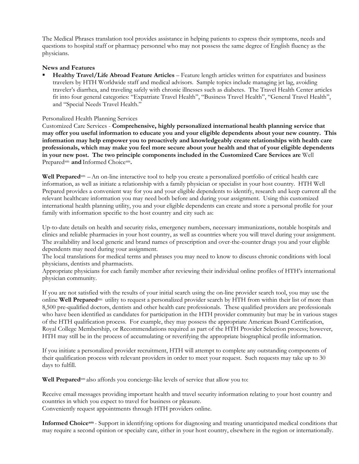The Medical Phrases translation tool provides assistance in helping patients to express their symptoms, needs and questions to hospital staff or pharmacy personnel who may not possess the same degree of English fluency as the physicians.

#### **News and Features**

 **Healthy Travel/Life Abroad Feature Articles** – Feature length articles written for expatriates and business travelers by HTH Worldwide staff and medical advisors. Sample topics include managing jet lag, avoiding traveler's diarrhea, and traveling safely with chronic illnesses such as diabetes. The Travel Health Center articles fit into four general categories: "Expatriate Travel Health", "Business Travel Health", "General Travel Health", and "Special Needs Travel Health."

#### Personalized Health Planning Services

Customized Care Services - **Comprehensive, highly personalized international health planning service that may offer you useful information to educate you and your eligible dependents about your new country. This information may help empower you to proactively and knowledgeably create relationships with health care professionals, which may make you feel more secure about your health and that of your eligible dependents in your new post. The two principle components included in the Customized Care Services are** Well Prepared<sup>sm</sup> and Informed Choice<sup>sm</sup>.

**Well Prepared**sm –An on-line interactive tool to help you create a personalized portfolio of critical health care information, as well as initiate a relationship with a family physician or specialist in your host country. HTH Well Prepared provides a convenient way for you and your eligible dependents to identify, research and keep current all the relevant healthcare information you may need both before and during your assignment. Using this customized international health planning utility, you and your eligible dependents can create and store a personal profile for your family with information specific to the host country and city such as:

Up-to-date details on health and security risks, emergency numbers, necessary immunizations, notable hospitals and clinics and reliable pharmacies in your host country, as well as countries where you will travel during your assignment. The availability and local generic and brand names of prescription and over-the-counter drugs you and your eligible dependents may need during your assignment.

The local translations for medical terms and phrases you may need to know to discuss chronic conditions with local physicians, dentists and pharmacists.

Appropriate physicians for each family member after reviewing their individual online profiles of HTH's international physician community.

If you are not satisfied with the results of your initial search using the on-line provider search tool, you may use the online **Well Prepared**sm utility to request a personalized provider search by HTH from within their list of more than 8,500 pre-qualified doctors, dentists and other health care professionals. These qualified providers are professionals who have been identified as candidates for participation in the HTH provider community but may be in various stages of the HTH qualification process. For example, they may possess the appropriate American Board Certification, Royal College Membership, or Recommendations required as part of the HTH Provider Selection process; however, HTH may still be in the process of accumulating or reverifying the appropriate biographical profile information.

If you initiate a personalized provider recruitment, HTH will attempt to complete any outstanding components of their qualification process with relevant providers in order to meet your request. Such requests may take up to 30 days to fulfill.

**Well Prepared**sm also affords you concierge-like levels of service that allow you to:

Receive email messages providing important health and travel security information relating to your host country and countries in which you expect to travel for business or pleasure. Conveniently request appointments through HTH providers online.

**Informed Choicesm** - Support in identifying options for diagnosing and treating unanticipated medical conditions that may require a second opinion or specialty care, either in your host country, elsewhere in the region or internationally.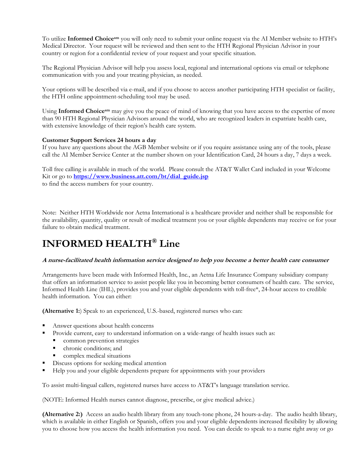To utilize **Informed Choicesm** you will only need to submit your online request via the AI Member website to HTH's Medical Director. Your request will be reviewed and then sent to the HTH Regional Physician Advisor in your country or region for a confidential review of your request and your specific situation.

The Regional Physician Advisor will help you assess local, regional and international options via email or telephone communication with you and your treating physician, as needed.

Your options will be described via e-mail, and if you choose to access another participating HTH specialist or facility, the HTH online appointment-scheduling tool may be used.

Using **Informed Choicesm** may give you the peace of mind of knowing that you have access to the expertise of more than 90 HTH Regional Physician Advisors around the world, who are recognized leaders in expatriate health care, with extensive knowledge of their region's health care system.

#### **Customer Support Services 24 hours a day**

If you have any questions about the AGB Member website or if you require assistance using any of the tools, please call the AI Member Service Center at the number shown on your Identification Card, 24 hours a day, 7 days a week.

Toll free calling is available in much of the world. Please consult the AT&T Wallet Card included in your Welcome Kit or go to **https://www.business.att.com/bt/dial\_guide.jsp**  to find the access numbers for your country.

Note: Neither HTH Worldwide nor Aetna International is a healthcare provider and neither shall be responsible for the availability, quantity, quality or result of medical treatment you or your eligible dependents may receive or for your failure to obtain medical treatment.

# **INFORMED HEALTH® Line**

#### **A nurse-facilitated health information service designed to help you become a better health care consumer**

Arrangements have been made with Informed Health, Inc*.*, an Aetna Life Insurance Company subsidiary company that offers an information service to assist people like you in becoming better consumers of health care. The service, Informed Health Line (IHL), provides you and your eligible dependents with toll-free\*, 24-hour access to credible health information. You can either:

**(Alternative 1:**) Speak to an experienced, U.S.-based, registered nurses who can:

- Answer questions about health concerns
- Provide current, easy to understand information on a wide-range of health issues such as:
	- **Common prevention strategies**
	- chronic conditions; and
	- complex medical situations
- Discuss options for seeking medical attention
- Help you and your eligible dependents prepare for appointments with your providers

To assist multi-lingual callers, registered nurses have access to AT&T's language translation service.

(NOTE: Informed Health nurses cannot diagnose, prescribe, or give medical advice.)

**(Alternative 2:)** Access an audio health library from any touch-tone phone, 24 hours-a-day. The audio health library, which is available in either English or Spanish, offers you and your eligible dependents increased flexibility by allowing you to choose how you access the health information you need. You can decide to speak to a nurse right away or go